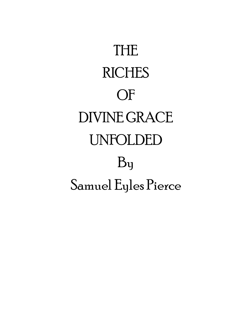| THE.                      |
|---------------------------|
| <b>RICHES</b>             |
| $()$ F                    |
| DIVINE GRACE              |
| <b>UNFOLDED</b>           |
| $\mathbf{B}_{\mathbf{U}}$ |
| Samuel Eyles Pierce       |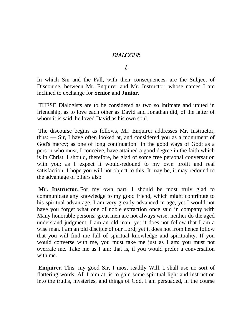## DIALOGUE

I.

In which Sin and the Fall, with their consequences, are the Subject of Discourse, between Mr. Enquirer and Mr. Instructor, whose names I am inclined to exchange for **Senior** and **Junior.**

THESE Dialogists are to be considered as two so intimate and united in friendship, as to love each other as David and Jonathan did, of the latter of whom it is said, he loved David as his own soul.

The discourse begins as follows, Mr. Enquirer addresses Mr. Instructor, thus: --- Sir, I have often looked at, and considered you as a monument of God's mercy; as one of long continuation "in the good ways of God; as a person who must, I conceive, have attained a good degree in the faith which is in Christ. I should, therefore, be glad of some free personal conversation with you; as I expect it would-redound to my own profit and real satisfaction. I hope you will not object to this. It may be, it may redound to the advantage of others also.

**Mr. Instructor.** For my own part, I should be most truly glad to communicate any knowledge to my good friend, which might contribute to his spiritual advantage. I am very greatly advanced in age, yet I would not have you forget what one of noble extraction once said in company with Many honorable persons: great men are not always wise; neither do the aged understand judgment. I am an old man; yet it does not follow that I am a wise man. I am an old disciple of our Lord; yet it does not from hence follow that you will find me full of spiritual knowledge and spirituality. If you would converse with me, you must take me just as I am: you must not overrate me. Take me as I am: that is, if you would prefer a conversation with me.

**Enquirer.** This, my good Sir, I most readily Will. I shall use no sort of flattering words. All I aim at, is to gain some spiritual light and instruction into the truths, mysteries, and things of God. I am persuaded, in the course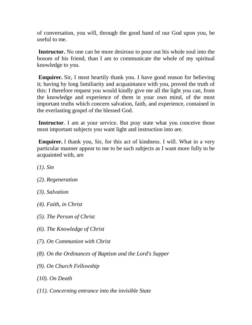of conversation, you will, through the good hand of our God upon you, be useful to me.

**Instructor.** No one can be more desirous to pour out his whole soul into the bosom of his friend, than I am to communicate the whole of my spiritual knowledge to you.

**Enquirer.** Sir, I most heartily thank you. I have good reason for believing it; having by long familiarity and acquaintance with you, proved the truth of this: I therefore request you would kindly give me all the light you can, from the knowledge and experience of them in your own mind, of the most important truths which concern salvation, faith, and experience, contained in the everlasting gospel of the blessed God.

**Instructor**. I am at your service. But pray state what you conceive those most important subjects you want light and instruction into are.

**Enquirer.** I thank you, Sir, for this act of kindness. I will. What in a very particular manner appear to me to be such subjects as I want more fully to be acquainted with, are

- *(1). Sin*
- *(2). Regeneration*
- *(3). Salvation*
- *(4). Faith, in Christ*
- *(5). The Person of Christ*
- *(6). The Knowledge of Christ*
- *(7). On Communion with Christ*
- *(8). On the Ordinances of Baptism and the Lord's Supper*
- *(9). On Church Fellowship*
- *(10). On Death*
- *(11). Concerning entrance into the invisible State*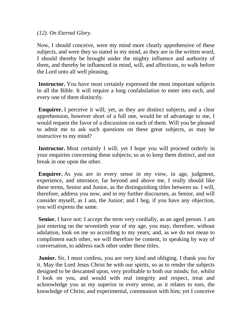### *(12). On Eternal Glory.*

Now, I should conceive, were my mind more clearly apprehensive of these subjects, and were they so stated in my mind, as they are in the written word, I should thereby be brought under the mighty influence and authority of them, and thereby be influenced in mind, will, and affections, to walk before the Lord unto all well pleasing.

**Instructor.** You have most certainly expressed the most important subjects in all the Bible. It will require a long confabulation to enter into each, and every one of them distinctly.

**Enquirer.** I perceive it will; yet, as they are distinct subjects, and a clear apprehension, however short of a full one, would be of advantage to me, I would request the favor of a discussion on each of them. Will you be pleased to admit me to ask such questions on these great subjects, as may be instructive to my mind?

**Instructor.** Most certainly I will; yet I hope you will proceed orderly in your enquiries concerning these subjects; so as to keep them distinct, and not break in one upon the other.

**Enquirer.** As you are in every sense in my view, in age, judgment, experience, and utterance, far beyond and above me, I really should like these terms, Senior and Junior, as the distinguishing titles between us. I will, therefore, address you now, and in my further discourses, as Senior, and will consider myself, as I am, the Junior; and I beg, if you have any objection, you will express the same.

**Senior.** I have not: I accept the term very cordially, as an aged person. I am just entering on the seventieth year of my age, you may, therefore, without adulation, look on me so according to my years; and, as we do not mean to compliment each other, we will therefore be content, in speaking by way of conversation, to address each other under these titles.

**Junior.** Sir, I must confess, you are very kind and obliging. I thank you for it. May the Lord Jesus Christ be with our spirits, so as to render the subjects designed to be descanted upon, very profitable to both our minds; for, whilst I look on you, and would with real integrity and respect, treat and acknowledge you as my superior in every sense, as it relates to ears, the knowledge of Christ, and experimental, communion with him; yet I conceive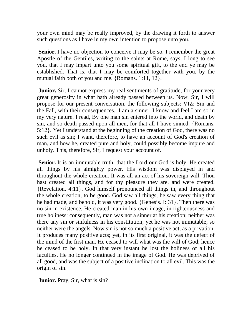your own mind may be really improved, by the drawing it forth to answer such questions as I have in my own intention to propose unto you.

**Senior.** I have no objection to conceive it may be so. I remember the great Apostle of the Gentiles, writing to the saints at Rome, says, I long to see you, that I may impart unto you some spiritual gift, to the end ye may be established. That is, that I may be comforted together with you, by the mutual faith both of you and me. {Romans. 1:11, 12}.

**Junior.** Sir, I cannot express my real sentiments of gratitude, for your very great generosity in what hath already passed between us. Now, Sir, I will propose for our present conversation, the following subjects: VIZ: Sin and the Fall, with their consequences. I am a sinner. I know and feel I am so in my very nature. I read, By one man sin entered into the world, and death by sin, and so death passed upon all men, for that all I have sinned. {Romans. 5:12}. Yet I understand at the beginning of the creation of God, there was no such evil as sin; I want, therefore, to have an account of God's creation of man, and how he, created pure and holy, could possibly become impure and unholy. This, therefore, Sir, I request your account of.

**Senior.** It is an immutable truth, that the Lord our God is holy. He created all things by his almighty power. His wisdom was displayed in and throughout the whole creation. It was all an act of his sovereign will. Thou hast created all things, and for thy pleasure they are, and were created. {Revelation. 4:11}. God himself pronounced all things in, and throughout the whole creation, to be good. God saw all things, he saw every thing that he had made, and behold, it was very good. {Genesis. I: 31}. Then there was no sin in existence. He created man in his own image, in righteousness and true holiness: consequently, man was not a sinner at his creation; neither was there any sin or sinfulness in his constitution; yet he was not immutable; so neither were the angels. Now sin is not so much a positive act, as a privation. It produces many positive acts; yet, in its first original, it was the defect of the mind of the first man. He ceased to will what was the will of God; hence he ceased to be holy. In that very instant he lost the holiness of all his faculties. He no longer continued in the image of God. He was deprived of all good, and was the subject of a positive inclination to all evil. This was the origin of sin.

**Junior.** Pray, Sir, what is sin?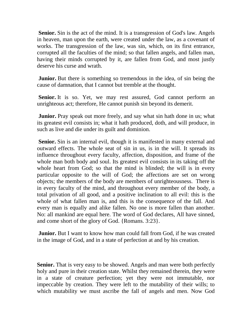**Senior.** Sin is the act of the mind. It is a transgression of God's law. Angels in heaven, man upon the earth, were created under the law, as a covenant of works. The transgression of the law, was sin, which, on its first entrance, corrupted all the faculties of the mind; so that fallen angels, and fallen man, having their minds corrupted by it, are fallen from God, and most justly deserve his curse and wrath.

**Junior.** But there is something so tremendous in the idea, of sin being the cause of damnation, that I cannot but tremble at the thought.

Senior. It is so. Yet, we may rest assured, God cannot perform an unrighteous act; therefore, He cannot punish sin beyond its demerit.

**Junior.** Pray speak out more freely, and say what sin hath done in us; what its greatest evil consists in; what it hath produced, doth, and will produce, in such as live and die under its guilt and dominion.

**Senior.** Sin is an internal evil, though it is manifested in many external and outward effects. The whole seat of sin in us, is in the will. It spreads its influence throughout every faculty, affection, disposition, and frame of the whole man both body and soul. Its greatest evil consists in its taking off the whole heart from God; so that the mind is blinded; the will is in every particular opposite to the will of God; the affections are set on wrong objects; the members of the body are members of unrighteousness. There is in every faculty of the mind, and throughout every member of the body, a total privation of all good, and a positive inclination to all evil: this is the whole of what fallen man is, and this is the consequence of the fall. And every man is equally and alike fallen. No one is more fallen than another. No: all mankind are equal here. The word of God declares, All have sinned, and come short of the glory of God. {Romans. 3:23}.

**Junior.** But I want to know how man could fall from God, if he was created in the image of God, and in a state of perfection at and by his creation.

**Senior.** That is very easy to be showed. Angels and man were both perfectly holy and pure in their creation state. Whilst they remained therein, they were in a state of creature perfection; yet they were not immutable, nor impeccable by creation. They were left to the mutability of their wills; to which mutability we must ascribe the fall of angels and men. Now God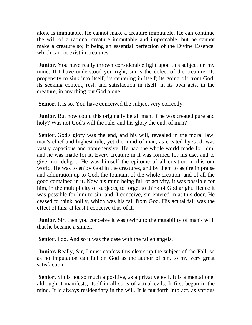alone is immutable. He cannot make a creature immutable. He can continue the will of a rational creature immutable and impeccable, but he cannot make a creature so; it being an essential perfection of the Divine Essence, which cannot exist in creatures.

**Junior.** You have really thrown considerable light upon this subject on my mind. If I have understood you right, sin is the defect of the creature. Its propensity to sink into itself; its centering in itself; its going off from God; its seeking content, rest, and satisfaction in itself, in its own acts, in the creature, in any thing but God alone.

**Senior.** It is so. You have conceived the subject very correctly.

**Junior.** But how could this originally befall man, if he was created pure and holy? Was not God's will the rule, and his glory the end, of man?

**Senior.** God's glory was the end, and his will, revealed in the moral law, man's chief and highest rule; yet the mind of man, as created by God, was vastly capacious and apprehensive. He had the whole world made for him, and he was made for it. Every creature in it was formed for his use, and to give him delight. He was himself the epitome of all creation in this our world. He was to enjoy God in the creatures, and by them to aspire in praise and admiration up to God, the fountain of the whole creation, and of all the good contained in it. Now his mind being full of activity, it was possible for him, in the multiplicity of subjects, to forget to think of God aright. Hence it was possible for him to sin; and, I conceive, sin entered in at this door. He ceased to think holily, which was his fall from God. His actual fall was the effect of this: at least I conceive thus of it.

**Junior.** Sir, then you conceive it was owing to the mutability of man's will, that he became a sinner.

**Senior.** I do. And so it was the case with the fallen angels.

**Junior.** Really, Sir, I must confess this clears up the subject of the Fall, so as no imputation can fall on God as the author of sin, to my very great satisfaction.

**Senior.** Sin is not so much a positive, as a privative evil. It is a mental one, although it manifests, itself in all sorts of actual evils. It first began in the mind. It is always residentiary in the will. It is put forth into act, as various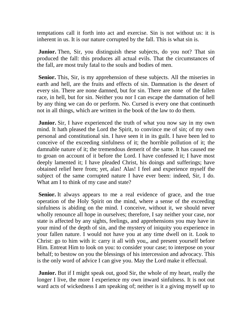temptations call it forth into act and exercise. Sin is not without us: it is inherent in us. It is our nature corrupted by the fall. This is what sin is.

**Junior.** Then, Sir, you distinguish these subjects, do you not? That sin produced the fall: this produces all actual evils. That the circumstances of the fall, are most truly fatal to the souls and bodies of men.

**Senior.** This, Sir, is my apprehension of these subjects. All the miseries in earth and hell, are the fruits and effects of sin. Damnation is the desert of every sin. There are none damned, but for sin. There are none of the fallen race, in hell, but for sin. Neither you nor I can escape the damnation of hell by any thing we can do or perform. No. Cursed is every one that continueth not in all things, which are written in the book of the law to do them.

**Junior.** Sir, I have experienced the truth of what you now say in my own mind. It hath pleased the Lord the Spirit, to convince me of sin; of my own personal and constitutional sin. I have seen it in its guilt. I have been led to conceive of the exceeding sinfulness of it; the horrible pollution of it; the damnable nature of it; the tremendous demerit of the same. It has caused me to groan on account of it before the Lord. I have confessed it; I have most deeply lamented it; I have pleaded Christ, his doings and sufferings; have obtained relief here from; yet, alas! Alas! I feel and experience myself the subject of the same corrupted nature I have ever been: indeed, Sir, I do. What am I to think of my case and state?

**Senior.** It always appears to me a real evidence of grace, and the true operation of the Holy Spirit on the mind, where a sense of the exceeding sinfulness is abiding on the mind. I conceive, without it, we should never wholly renounce all hope in ourselves; therefore, I say neither your case, nor state is affected by any sights, feelings, and apprehensions you may have in your mind of the depth of sin, and the mystery of iniquity you experience in your fallen nature. I would not have you at any time dwell on it. Look to Christ: go to him with it: carry it all with you,, and present yourself before Him. Entreat Him to look on you: to consider your case; to interpose on your behalf; to bestow on you the blessings of his intercession and advocacy. This is the only word of advice I can give you. May the Lord make it effectual.

**Junior.** But if I might speak out, good Sir, the whole of my heart, really the longer I live, the more I experience my own inward sinfulness. It is not out ward acts of wickedness I am speaking of; neither is it a giving myself up to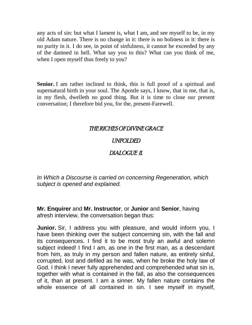any acts of sin: but what I lament is, what I am, and see myself to be, in my old Adam nature. There is no change in it: there is no holiness in it: there is no purity in it. I do see, in point of sinfulness, it cannot be exceeded by any of the damned in hell. What say you to this? What can you think of me, when I open myself thus freely to you?

**Senior.** I am rather inclined to think, this is full proof of a spiritual and supernatural birth in your soul. The Apostle says, I know, that in me, that is, in my flesh, dwelleth no good thing. But it is time to close our present conversation; I therefore bid you, for the, present-Farewell.

## THE RICHES OF DIVINE GRACE

### UNFOLDED

## DIALOGUE II.

*In Which a Discourse is carried on concerning Regeneration, which subject is opened and explained.*

**Mr. Enquirer** and **Mr. Instructor**, or **Junior** and **Senior**, having afresh interview, the conversation began thus:

**Junior.** Sir, I address you with pleasure, and would inform you, I have been thinking over the subject concerning sin, with the fall and its consequences. I find it to be most truly an awful and solemn subject indeed! I find I am, as one in the first man, as a descendant from him, as truly in my person and fallen nature, as entirely sinful, corrupted, lost and defiled as he was, when he broke the holy law of God. I think I never fully apprehended and comprehended what sin is, together with what is contained in the fall, as also the consequences of it, than at present. I am a sinner. My fallen nature contains the whole essence of all contained in sin. I see myself in myself,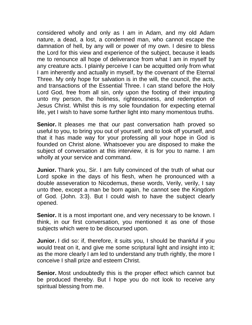considered wholly and only as I am in Adam, and my old Adam nature, a dead, a lost, a condemned man, who cannot escape the damnation of hell, by any will or power of my own. I desire to bless the Lord for this view and experience of the subject, because it leads me to renounce all hope of deliverance from what I am in myself by any creature acts. I plainly perceive I can be acquitted only from what I am inherently and actually in myself, by the covenant of the Eternal Three. My only hope for salvation is in the will, the council, the acts, and transactions of the Essential Three. I can stand before the Holy Lord God, free from all sin, only upon the footing of their imputing unto my person, the holiness, righteousness, and redemption of Jesus Christ. Whilst this is my sole foundation for expecting eternal life, yet I wish to have some further light into many momentous truths.

**Senior.** It pleases me that our past conversation hath proved so useful to you, to bring you out of yourself, and to look off yourself, and that it has made way for your professing all your hope in God is founded on Christ alone. Whatsoever you are disposed to make the subject of conversation at this interview, it is for you to name. I am wholly at your service and command.

**Junior.** Thank you, Sir. I am fully convinced of the truth of what our Lord spoke in the days of his flesh, when he pronounced with a double asseveration to Nicodemus, these words, Verily, verily, I say unto thee, except a man be born again, he cannot see the Kingdom of God. {John. 3:3}. But I could wish to have the subject clearly opened.

**Senior.** It is a most important one, and very necessary to be known. I think, in our first conversation, you mentioned it as one of those subjects which were to be discoursed upon.

**Junior.** I did so: if, therefore, it suits you, I should be thankful if you would treat on it, and give me some scriptural light and insight into it; as the more clearly I am led to understand any truth rightly, the more I conceive I shall prize and esteem Christ.

**Senior.** Most undoubtedly this is the proper effect which cannot but be produced thereby. But I hope you do not look to receive any spiritual blessing from me.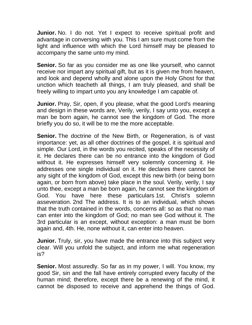**Junior.** No. I do not. Yet I expect to receive spiritual profit and advantage in conversing with you. This I am sure must come from the light and influence with which the Lord himself may be pleased to accompany the same unto my mind.

**Senior.** So far as you consider me as one like yourself, who cannot receive nor impart any spiritual gift, but as it is given me from heaven, and look and depend wholly and alone upon the Holy Ghost for that unction which teacheth all things, I am truly pleased, and shall be freely willing to impart unto you any knowledge I am capable of.

**Junior.** Pray, Sir, open, if you please, what the good Lord's meaning and design in these words are, Verily, verily, I say unto you, except a man be born again, he cannot see the kingdom of God. The more briefly you do so, it will be to me the more acceptable.

**Senior.** The doctrine of the New Birth, or Regeneration, is of vast importance: yet, as all other doctrines of the gospel, it is spiritual and simple. Our Lord, in the words you recited, speaks of the necessity of it. He declares there can be no entrance into the kingdom of God without it. He expresses himself very solemnly concerning it. He addresses one single individual on it. He declares there cannot be any sight of the kingdom of God, except this new birth (or being born again, or born from above) take place in the soul. Verily, verily, I say unto thee, except a man be born again, he cannot see the kingdom of God. You have here these particulars 1st. Christ's solemn asseveration. 2nd The address. It is to an individual, which shows that the truth contained in the words, concerns all: so as that no man can enter into the kingdom of God; no man see God without it. The 3rd particular is an except, without exception: a man must be born again and, 4th. He, none without it, can enter into heaven.

**Junior.** Truly, sir, you have made the entrance into this subject very clear. Will you unfold the subject, and inform me what regeneration is?

**Senior.** Most assuredly. So far as in my power, I will. You know, my good Sir, sin and the fall have entirely corrupted every faculty of the human mind; therefore, except there be a renewing of the mind, it cannot be disposed to receive and apprehend the things of God.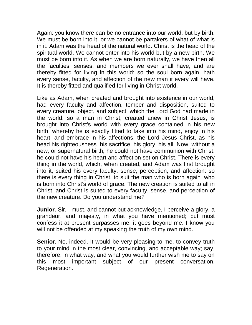Again: you know there can be no entrance into our world, but by birth. We must be born into it, or we cannot be partakers of what of what is in it. Adam was the head of the natural world. Christ is the head of the spiritual world. We cannot enter into his world but by a new birth. We must be born into it. As when we are born naturally, we have then all the faculties, senses, and members we ever shall have, and are thereby fitted for living in this world: so the soul born again, hath every sense, faculty, and affection of the new man it every will have. It is thereby fitted and qualified for living in Christ world.

Like as Adam, when created and brought into existence in our world, had every faculty and affection, temper and disposition, suited to every creature, object, and subject, which the Lord God had made in the world: so a man in Christ, created anew in Christ Jesus, is brought into Christ's world with every grace contained in his new birth, whereby he is exactly fitted to take into his mind, enjoy in his heart, and embrace in his affections, the Lord Jesus Christ, as his head his righteousness his sacrifice his glory his all. Now, without a new, or supernatural birth, he could not have communion with Christ: he could not have his heart and affection set on Christ. There is every thing in the world, which, when created, and Adam was first brought into it, suited his every faculty, sense, perception, and affection: so there is every thing in Christ, to suit the man who is born again who is born into Christ's world of grace. The new creation is suited to all in Christ, and Christ is suited to every faculty, sense, and perception of the new creature. Do you understand me?

**Junior.** Sir, I must, and cannot but acknowledge, I perceive a glory, a grandeur, and majesty, in what you have mentioned; but must confess it at present surpasses me: it goes beyond me. I know you will not be offended at my speaking the truth of my own mind.

**Senior.** No, indeed. It would be very pleasing to me, to convey truth to your mind in the most clear, convincing, and acceptable way; say, therefore, in what way, and what you would further wish me to say on this most important subject of our present conversation, Regeneration.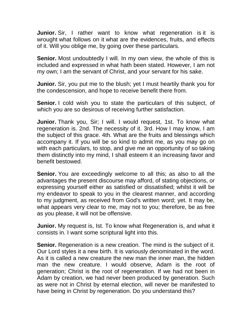**Junior.** Sir, I rather want to know what regeneration is it is wrought what follows on it what are the evidences, fruits, and effects of it. Will you oblige me, by going over these particulars.

**Senior.** Most undoubtedly I will. In my own view, the whole of this is included and expressed in what hath been stated. However, I am not my own; I am the servant of Christ, and your servant for his sake.

**Junior.** Sir, you put me to the blush; yet I must heartily thank you for the condescension, and hope to receive benefit there from.

**Senior.** I cold wish you to state the particulars of this subject, of which you are so desirous of receiving further satisfaction.

**Junior.** Thank you, Sir; I will. I would request, 1st. To know what regeneration is. 2nd. The necessity of it. 3rd. How I may know, I am the subject of this grace. 4th. What are the fruits and blessings which accompany it. If you will be so kind to admit me, as you may go on with each particulars, to stop, and give me an opportunity of so taking them distinctly into my mind, I shall esteem it an increasing favor and benefit bestowed.

**Senior.** You are exceedingly welcome to all this; as also to all the advantages the present discourse may afford, of stating objections, or expressing yourself either as satisfied or dissatisfied; whilst it will be my endeavor to speak to you in the clearest manner, and according to my judgment, as received from God's written word; yet. It may be, what appears very clear to me, may not to you; therefore, be as free as you please, it will not be offensive.

**Junior.** My request is, Ist. To know what Regeneration is, and what it consists in. I want some scriptural light into this.

**Senior.** Regeneration is a new creation. The mind is the subject of it. Our Lord styles it a new birth. It is variously denominated in the word. As it is called a new creature the new man the inner man, the hidden man the new creature. I would observe, Adam is the root of generation; Christ is the root of regeneration. If we had not been in Adam by creation, we had never been produced by generation. Such as were not in Christ by eternal election, will never be manifested to have being in Christ by regeneration. Do you understand this?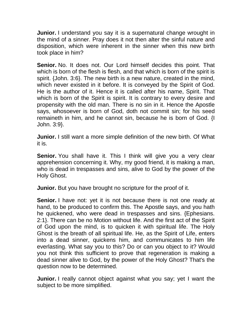**Junior.** I understand you say it is a supernatural change wrought in the mind of a sinner. Pray does it not then alter the sinful nature and disposition, which were inherent in the sinner when this new birth took place in him?

**Senior.** No. It does not. Our Lord himself decides this point. That which is born of the flesh is flesh, and that which is born of the spirit is spirit. {John. 3:6}. The new birth is a new nature, created in the mind, which never existed in it before. It is conveyed by the Spirit of God. He is the author of it. Hence it is called after his name, Spirit. That which is born of the Spirit is spirit. It is contrary to every desire and propensity with the old man. There is no sin in it. Hence the Apostle says, whosoever is born of God, doth not commit sin; for his seed remaineth in him, and he cannot sin, because he is born of God. {I John. 3:9}.

**Junior.** I still want a more simple definition of the new birth. Of What it is.

**Senior.** You shall have it. This I think will give you a very clear apprehension concerning it. Why, my good friend, it is making a man, who is dead in trespasses and sins, alive to God by the power of the Holy Ghost.

**Junior.** But you have brought no scripture for the proof of it.

**Senior.** I have not: yet it is not because there is not one ready at hand, to be produced to confirm this. The Apostle says, and you hath he quickened, who were dead in trespasses and sins. {Ephesians. 2:1}. There can be no Motion without life. And the first act of the Spirit of God upon the mind, is to quicken it with spiritual life. The Holy Ghost is the breath of all spiritual life. He, as the Spirit of Life, enters into a dead sinner, quickens him, and communicates to him life everlasting. What say you to this? Do or can you object to it? Would you not think this sufficient to prove that regeneration is making a dead sinner alive to God, by the power of the Holy Ghost? That's the question now to be determined.

**Junior.** I really cannot object against what you say; yet I want the subject to be more simplified.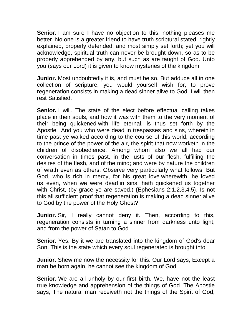**Senior.** I am sure I have no objection to this, nothing pleases me better. No one is a greater friend to have truth scriptural stated, rightly explained, properly defended, and most simply set forth; yet you will acknowledge, spiritual truth can never be brought down, so as to be properly apprehended by any, but such as are taught of God. Unto you (says our Lord) it is given to know mysteries of the kingdom.

**Junior.** Most undoubtedly it is, and must be so. But adduce all in one collection of scripture, you would yourself wish for, to prove regeneration consists in making a dead sinner alive to God. I will then rest Satisfied.

**Senior.** I will. The state of the elect before effectual calling takes place in their souls, and how it was with them to the very moment of their being quickened with life eternal, is thus set forth by the Apostle: And you who were dead in trespasses and sins, wherein in time past ye walked according to the course of this world, according to the prince of the power of the air, the spirit that now worketh in the children of disobedience. Among whom also we all had our conversation in times past, in the lusts of our flesh, fulfilling the desires of the flesh, and of the mind; and were by nature the children of wrath even as others. Observe very particularly what follows. But God, who is rich in mercy, for his great love wherewith, he loved us, even, when we were dead in sins, hath quickened us together with Christ, (by grace ye are saved.) {Ephesians 2:1,2,3,4,5}. Is not this all sufficient proof that regeneration is making a dead sinner alive to God by the power of the Holy Ghost?

**Junior.** Sir, I really cannot deny it. Then, according to this, regeneration consists in turning a sinner from darkness unto light, and from the power of Satan to God.

**Senior.** Yes. By it we are translated into the kingdom of God's dear Son. This is the state which every soul regenerated is brought into.

**Junior.** Shew me now the necessity for this. Our Lord says, Except a man be born again, he cannot see the kingdom of God.

**Senior.** We are all unholy by our first birth. We, have not the least true knowledge and apprehension of the things of God. The Apostle says, The natural man receiveth not the things of the Spirit of God,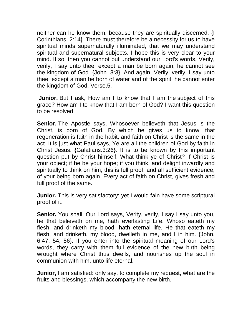neither can he know them, because they are spiritually discerned. {I Corinthians. 2:14}. There must therefore be a necessity for us to have spiritual minds supernaturally illuminated, that we may understand spiritual and supernatural subjects. I hope this is very clear to your mind. If so, then you cannot but understand our Lord's words, Verily, verily, I say unto thee, except a man be born again, he cannot see the kingdom of God. {John. 3:3}. And again, Verily, verily, I say unto thee, except a man be born of water and of the spirit, he cannot enter the kingdom of God. Verse,5.

**Junior.** But I ask, How am I to know that I am the subject of this grace? How am I to know that I am born of God? I want this question to be resolved.

**Senior.** The Apostle says, Whosoever believeth that Jesus is the Christ, is born of God. By which he gives us to know, that regeneration is faith in the habit, and faith on Christ is the same in the act. It is just what Paul says, Ye are all the children of God by faith in Christ Jesus. {Galatians.3:26}. It is to be known by this important question put by Christ himself: What think ye of Christ? If Christ is your object; if he be your hope; if you think, and delight inwardly and spiritually to think on him, this is full proof, and all sufficient evidence, of your being born again. Every act of faith on Christ, gives fresh and full proof of the same.

**Junior.** This is very satisfactory; yet I would fain have some scriptural proof of it.

**Senior,** You shall. Our Lord says, Verity, verily, I say I say unto you, he that believeth on me, hath everlasting Life. Whoso eateth my flesh, and drinketh my blood, hath eternal life. He that eateth my flesh, and drinketh, my blood, dwelleth in me, and I in him. {John. 6:47, 54, 56}. If you enter into the spiritual meaning of our Lord's words, they carry with them full evidence of the new birth being wrought where Christ thus dwells, and nourishes up the soul in communion with him, unto life eternal.

**Junior,** I am satisfied: only say, to complete my request, what are the fruits and blessings, which accompany the new birth.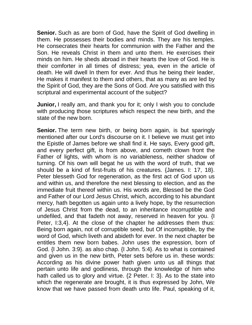**Senior.** Such as are born of God, have the Spirit of God dwelling in them. He possesses their bodies and minds. They are his temples. He consecrates their hearts for communion with the Father and the Son. He reveals Christ in them and unto them. He exercises their minds on him. He sheds abroad in their hearts the love of God. He is their comforter in all times of distress; yea, even in the article of death. He will dwell In them for ever. And thus he being their leader, He makes it manifest to them and others, that as many as are led by the Spirit of God, they are the Sons of God. Are you satisfied with this scriptural and experimental account of the subject?

**Junior,** I really am, and thank you for it; only I wish you to conclude with producing those scriptures which respect the new birth, and the state of the new born.

**Senior.** The term new birth, or being born again, is but sparingly mentioned after our Lord's discourse on it. I believe we must get into the Epistle of James before we shall find it. He says, Every good gift, and every perfect gift, is from above, and cometh clown front the Father of lights, with whom is no variableness, neither shadow of turning. Of his own will begat he us with the word of truth, that we should be a kind of first-fruits of his creatures. {James. I: 17, 18}. Peter blesseth God for regeneration, as the first act of God upon us and within us, and therefore the next blessing to election, and as the immediate fruit thereof within us. His words are, Blessed be the God and Father of our Lord Jesus Christ, which, according to his abundant mercy, hath begotten us again unto a lively hope, by the resurrection of Jesus Christ from the dead, to an inheritance incorruptible and undefiled, and that fadeth not away, reserved in heaven for you. {I Peter, I:3,4}. At the close of the chapter he addresses them thus: Being born again, not of corruptible seed, but Of incorruptible, by the word of God, which liveth and abideth for ever. In the next chapter be entitles them new born babes. John uses the expression, born of God. {I John. 3:9}. as also chap. {I John. 5:4}. As to what is contained and given us in the new birth, Peter sets before us in. these words: According as his divine power hath given unto us all things that pertain unto life and godliness, through the knowledge of him who hath called us to glory and virtue. {2 Peter. I: 3}. As to the state into which the regenerate are brought, it is thus expressed by John, We know that we have passed from death unto life. Paul, speaking of it,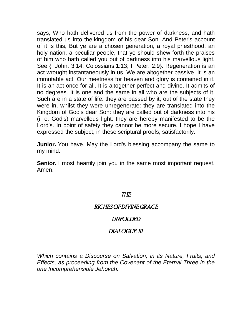says, Who hath delivered us from the power of darkness, and hath translated us into the kingdom of his dear Son. And Peter's account of it is this, But ye are a chosen generation, a royal priesthood, an holy nation, a peculiar people, that ye should shew forth the praises of him who hath called you out of darkness into his marvellous light. See {I John. 3:14; Colossians.1:13; I Peter. 2:9}. Regeneration is an act wrought instantaneously in us. We are altogether passive. It is an immutable act. Our meetness for heaven and glory is contained in it. It is an act once for all. It is altogether perfect and divine. It admits of no degrees. It is one and the same in all who are the subjects of it. Such are in a state of life: they are passed by it, out of the state they were in, whilst they were unregenerate: they are translated into the Kingdom of God's dear Son: they are called out of darkness into his (i. e. God's) marvellous light: they are hereby manifested to be the Lord's. In point of safety they cannot be more secure. I hope I have expressed the subject, in these scriptural proofs, satisfactorily.

**Junior.** You have. May the Lord's blessing accompany the same to my mind.

**Senior.** I most heartily join you in the same most important request. Amen.

### THE

### RICHES OF DIVINE GRACE

## UNFOLDED

## DIALOGUE III.

*Which contains a Discourse on Salvation, in its Nature, Fruits, and Effects, as proceeding from the Covenant of the Eternal Three in the one Incomprehensible Jehovah.*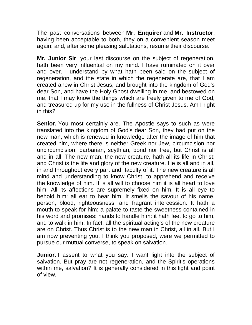The past conversations between **Mr. Enquirer** and **Mr. Instructor**, having been acceptable to both, they on a convenient season meet again; and, after some pleasing salutations, resume their discourse.

**Mr. Junior Sir**, your last discourse on the subject of regeneration, hath been very influential on my mind. I have ruminated on it over and over. I understand by what hath been said on the subject of regeneration, and the state in which the regenerate are, that I am created anew in Christ Jesus, and brought into the kingdom of God's dear Son, and have the Holy Ghost dwelling in me, and bestowed on me, that I may know the things which are freely given to me of God, and treasured up for my use in the fullness of Christ Jesus. Am I right in this?

**Senior.** You most certainly are. The Apostle says to such as were translated into the kingdom of God's dear Son, they had put on the new man, which is renewed in knowledge after the image of him that created him, where there is neither Greek nor Jew, circumcision nor uncircumcision, barbarian, scythian, bond nor free, but Christ is all and in all. The new man, the new creature, hath all its life in Christ; and Christ is the life and glory of the new creature. He is all and in all, in and throughout every part and, faculty of it. The new creature is all mind and understanding to know Christ, to apprehend and receive the knowledge of him. It is all will to choose him it is all heart to love him. All its affections are supremely fixed on him. It is all eye to behold him: all ear to hear him. It smells the savour of his name, person, blood, righteousness, and fragrant intercession. It hath a mouth to speak for him: a palate to taste the sweetness contained in his word and promises: hands to handle him: it hath feet to go to him, and to walk in him. In fact, all the spiritual acting's of the new creature are on Christ. Thus Christ is to the new man in Christ, all in all. But I am now preventing you. I think you proposed, were we permitted to pursue our mutual converse, to speak on salvation.

**Junior.** I assent to what you say. I want light into the subject of salvation. But pray are not regeneration, and the Spirit's operations within me, salvation? It is generally considered in this light and point of view.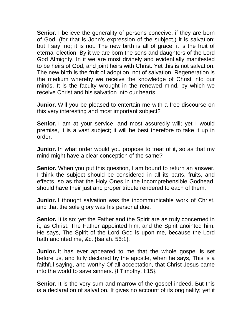**Senior.** I believe the generality of persons conceive, if they are born of God, (for that is John's expression of the subject,) it is salvation: but I say, no; it is not. The new birth is all of grace: it is the fruit of eternal election. By it we are born the sons and daughters of the Lord God Almighty. In it we are most divinely and evidentially manifested to be heirs of God, and joint heirs with Christ. Yet this is not salvation. The new birth is the fruit of adoption, not of salvation. Regeneration is the medium whereby we receive the knowledge of Christ into our minds. It is the faculty wrought in the renewed mind, by which we receive Christ and his salvation into our hearts.

**Junior.** Will you be pleased to entertain me with a free discourse on this very interesting and most important subject?

**Senior.** I am at your service, and most assuredly will; yet I would premise, it is a vast subject; it will be best therefore to take it up in order.

**Junior.** In what order would you propose to treat of it, so as that my mind might have a clear conception of the same?

**Senior.** When you put this question, I am bound to return an answer. I think the subject should be considered in all its parts, fruits, and effects, so as that the Holy Ones in the Incomprehensible Godhead, should have their just and proper tribute rendered to each of them.

**Junior.** I thought salvation was the incommunicable work of Christ, and that the sole glory was his personal due.

**Senior.** It is so; yet the Father and the Spirit are as truly concerned in it, as Christ. The Father appointed him, and the Spirit anointed him. He says, The Spirit of the Lord God is upon me, because the Lord hath anointed me, &c. {Isaiah. 56:1}.

**Junior.** It has ever appeared to me that the whole gospel is set before us, and fully declared by the apostle, when he says, This is a faithful saying, and worthy Of all acceptation, that Christ Jesus came into the world to save sinners. {I Timothy. I:15}.

**Senior.** It is the very sum and marrow of the gospel indeed. But this is a declaration of salvation. It gives no account of its originality; yet it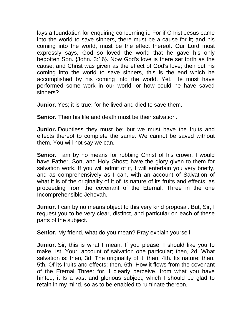lays a foundation for enquiring concerning it. For if Christ Jesus came into the world to save sinners, there must be a cause for it; and his coming into the world, must be the effect thereof. Our Lord most expressly says, God so loved the world that he gave his only begotten Son. {John. 3:16}. Now God's love is there set forth as the cause; and Christ was given as the effect of God's love; then put his coming into the world to save sinners, this is the end which he accomplished by his coming into the world. Yet, He must have performed some work in our world, or how could he have saved sinners?

**Junior.** Yes; it is true: for he lived and died to save them.

**Senior.** Then his life and death must be their salvation.

**Junior.** Doubtless they must be; but we must have the fruits and effects thereof to complete the same. We cannot be saved without them. You will not say we can.

**Senior.** I am by no means for robbing Christ of his crown. I would have Father, Son, and Holy Ghost; have the glory given to them for salvation work. If you will admit of it, I will entertain you very briefly, and as comprehensively as I can, with an account of Salvation of what it is of the originality of it of its nature of its fruits and effects, as proceeding from the covenant of the Eternal, Three in the one Incomprehensible Jehovah.

**Junior.** I can by no means object to this very kind proposal. But, Sir, I request you to be very clear, distinct, and particular on each of these parts of the subject.

**Senior.** My friend, what do you mean? Pray explain yourself.

**Junior.** Sir, this is what I mean. If you please, I should like you to make, Ist. Your account of salvation one particular; then, 2d. What salvation is; then, 3d. The originality of it; then, 4th. Its nature; then, 5th. Of its fruits and effects; then, 6th. How it flows from the covenant of the Eternal Three: for, I clearly perceive, from what you have hinted, it Is a vast and glorious subject, which I should be glad to retain in my mind, so as to be enabled to ruminate thereon.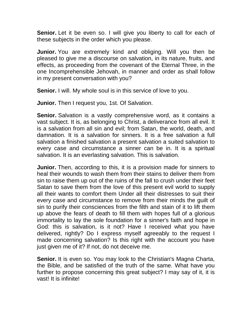**Senior.** Let it be even so. I will give you liberty to call for each of these subjects in the order which you please.

**Junior.** You are extremely kind and obliging. Will you then be pleased to give me a discourse on salvation, in its nature, fruits, and effects, as proceeding from the covenant of the Eternal Three, in the one Incomprehensible Jehovah, in manner and order as shall follow in my present conversation with you?

**Senior.** I will. My whole soul is in this service of love to you.

**Junior.** Then I request you, 1st. Of Salvation.

**Senior.** Salvation is a vastly comprehensive word, as it contains a vast subject. It is, as belonging to Christ, a deliverance from all evil. It is a salvation from all sin and evil; from Satan, the world, death, and damnation. It is a salvation for sinners. It is a free salvation a full salvation a finished salvation a present salvation a suited salvation to every case and circumstance a sinner can be in. It is a spiritual salvation. It is an everlasting salvation. This is salvation.

**Junior.** Then, according to this, it is a provision made for sinners to heal their wounds to wash them from their stains to deliver them from sin to raise them up out of the ruins of the fall to crush under their feet Satan to save them from the love of this present evil world to supply all their wants to comfort them Under all their distresses to suit their every case and circumstance to remove from their minds the guilt of sin to purify their consciences from the filth and stain of it to lift them up above the fears of death to fill them with hopes full of a glorious immortality to lay the sole foundation for a sinner's faith and hope in God: this is salvation, is it not? Have I received what you have delivered, rightly? Do I express myself agreeably to the request I made concerning salvation? Is this right with the account you have just given me of it? If not, do not deceive me.

**Senior.** It is even so. You may look to the Christian's Magna Charta, the Bible, and be satisfied of the truth of the same. What have you further to propose concerning this great subject? I may say of it, it is vast! It is infinite!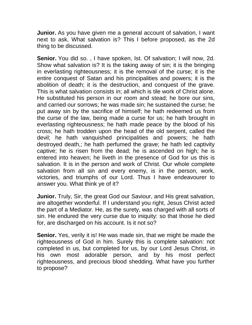**Junior.** As you have given me a general account of salvation, I want next to ask, What salvation is? This I before proposed, as the 2d thing to be discussed.

Senior. You did so., I have spoken, Ist. Of salvation; I will now, 2d. Show what salvation is? It is the taking away of sin; it is the bringing in everlasting righteousness; it is the removal of the curse; it is the entire conquest of Satan and his principalities and powers; it is the abolition of death; it is the destruction, and conquest of the grave. This is what salvation consists in; all which is tile work of Christ alone. He substituted his person in our room and stead; he bore our sins, and carried our sorrows; he was made sin; he sustained the curse; he put away sin by the sacrifice of himself; he hath redeemed us from the curse of the law, being made a curse for us; he hath brought in everlasting righteousness; he hath made peace by the blood of his cross; he hath trodden upon the head of the old serpent, called the devil; he hath vanquished principalities and powers; he hath destroyed death,; he hath perfumed the grave; he hath led captivity captive; he is risen from the dead; he is ascended on high; he is entered into heaven; he liveth in the presence of God for us this is salvation. It is in the person and work of Christ. Our whole complete salvation from all sin and every enemy, is in the person, work, victories, and triumphs of our Lord. Thus I have endeavourer to answer you. What think ye of it?

**Junior.** Truly, Sir, the great God our Saviour, and His great salvation, are altogether wonderful. If I understand you right, Jesus Christ acted the part of a Mediator. He, as the surety, was charged with all sorts of sin. He endured the very curse due to iniquity: so that those he died for, are discharged on his account. Is it not so?

**Senior.** Yes, verily it is! He was made sin, that we might be made the righteousness of God in him. Surely this is complete salvation: not completed in us, but completed for us, by our Lord Jesus Christ, in his own most adorable person, and by his most perfect righteousness, and precious blood shedding. What have you further to propose?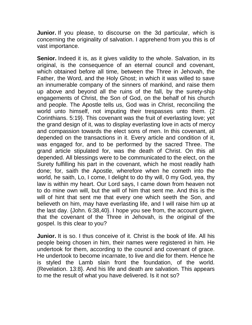**Junior.** If you please, to discourse on the 3d particular, which is concerning the originality of salvation. I apprehend from you this is of vast importance.

**Senior.** Indeed it is, as it gives validity to the whole. Salvation, in its original, is the consequence of an eternal council and covenant, which obtained before all time, between the Three in Jehovah, the Father, the Word, and the Holy Ghost; in which it was willed to save an innumerable company of the sinners of mankind, and raise them up above and beyond all the ruins of the fall, by the surety-ship engagements of Christ, the Son of God, on the behalf of his church and people. The Apostle tells us, God was in Christ, reconciling the world unto himself, not imputing their trespasses unto them. {2 Corinthians. 5:19}. This covenant was the fruit of everlasting love; yet the grand design of it, was to display everlasting love in acts of mercy and compassion towards the elect sons of men. In this covenant, all depended on the transactions in it. Every article and condition of it, was engaged for, and to be performed by the sacred Three. The grand article stipulated for, was the death of Christ. On this all depended. All blessings were to be communicated to the elect, on the Surety fulfilling his part in the covenant, which he most readily hath done; for, saith the Apostle, wherefore when he cometh into the world, he saith, Lo, I come, I delight to do thy will, 0 my God, yea, thy law is within my heart. Our Lord says, I came down from heaven not to do mine own will, but the will of him that sent me. And this is the will of hint that sent me that every one which seeth the Son, and believeth on him, may have everlasting life, and I will raise him up at the last day. {John. 6:38,40}. I hope you see from, the account given, that the covenant of the Three in Jehovah, is the original of the gospel. Is this clear to you?

**Junior.** It is so. I thus conceive of it. Christ is the book of life. All his people being chosen in him, their names were registered in him. He undertook for them, according to the council and covenant of grace. He undertook to become incarnate, to live and die for them. Hence he is styled the Lamb slain front the foundation, of the world. {Revelation. 13:8}. And his life and death are salvation. This appears to me the result of what you have delivered. Is it not so?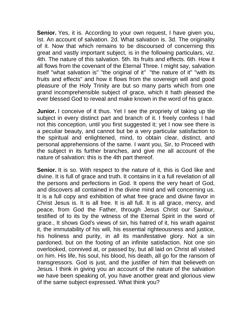**Senior.** Yes, it is. According to your own request, I have given you, Ist. An account of salvation. 2d. What salvation is. 3d. The originality of it. Now that which remains to be discoursed of concerning this great and vastly important subject, is in the following particulars, viz. 4th. The nature of this salvation. 5th. Its fruits and effects. 6th. How it all flows from the covenant of the Eternal Three. I might say, salvation itself "what salvation is" "the original of it" "the nature of it" "with its fruits and effects" and how it flows from the sovereign will and good pleasure of the Holy Trinity are but so many parts which from one grand incomprehensible subject of grace, which it hath pleased the ever blessed God to reveal and make known in the word of his grace.

**Junior.** I conceive of it thus. Yet I see the propriety of taking up tile subject in every distinct part and branch of it. I freely confess I had not this conception, until you first suggested it; yet I now see there is a peculiar beauty, and cannot but be a very particular satisfaction to the spiritual and enlightened, mind, to obtain clear, distinct, and personal apprehensions of the same. I want you, Sir, to Proceed with the subject in its further branches, and give me all account of the nature of salvation: this is the 4th part thereof.

**Senior.** It is so. With respect to the nature of it, this is God like and divine. It is full of grace and truth. It contains in it a full revelation of all the persons and perfections in God. It opens the very heart of God, and discovers all contained in the divine mind and will concerning us. It is a full copy and exhibition of what free grace and divine favor in Christ Jesus is. It is all free. It is all full. It is all grace, mercy, and peace, from God the Father, through Jesus Christ our Saviour, testified of to its by the witness of the Eternal Spirit in the word of grace., It shows God's views of sin, his hatred of it, his wrath against it, the immutability of his will, his essential righteousness and justice, his holiness and purity, in all its manifestative glory. Not a sin pardoned, but on the footing of an infinite satisfaction. Not one sin overlooked, connived at, or passed by, but all laid on Christ all visited on him. His life, his soul, his blood, his death, all go for the ransom of transgressors. God is just, and the justifier of him that believeth on Jesus. I think in giving you an account of the nature of the salvation we have been speaking of, you have another great and glorious view of the same subject expressed. What think you?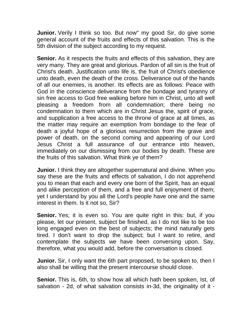**Junior.** Verily I think so too. But now" my good Sir, do give some general account of the fruits and effects of this salvation. This is the 5th division of the subject according to my request.

**Senior.** As it respects the fruits and effects of this salvation, they are very many. They are great and glorious. Pardon of all sin is the fruit of Christ's death. Justification unto life is, the fruit of Christ's obedience unto death, even the death of the cross. Deliverance out of the hands of all our enemies, is another. Its effects are as follows: Peace with God in the conscience deliverance from the bondage and tyranny of sin free access to God free walking before him in Christ, unto all well pleasing a freedom from all condemnation; there being no condemnation to them which are in Christ Jesus the, spirit of grace, and supplication a free access to the throne of grace at all times, as the matter may require an exemption from bondage to the fear of death a joyful hope of a glorious resurrection from the grave and power of death, on the second coming and appearing of our Lord Jesus Christ a full assurance of our entrance into heaven, immediately on our dismissing from our bodies by death. These are the fruits of this salvation. What think ye of them?

**Junior.** I think they are altogether supernatural and divine. When you say these are the fruits and effects of salvation, I do not apprehend you to mean that each and every one born of the Spirit, has an equal and alike perception of them, and a free and full enjoyment of them; yet I understand by you all the Lord's people have one and the same interest in them. Is it not so, Sir?

**Senior.** Yes; it is even so. You are quite right in this: but, if you please, let our present, subject be finished, as I do not like to be too long engaged even on the best of subjects; the mind naturally gets tired. I don't want to drop the subject; but I want to retire, and contemplate the subjects we have been conversing upon. Say, therefore, what you would add, before the conversation is closed.

**Junior.** Sir, I only want the 6th part proposed, to be spoken to, then I also shall be willing that the present intercourse should close.

**Senior.** This is, 6th, to show how all which hath been spoken, Ist, of salvation - 2d, of what salvation consists in-3d, the originality of it -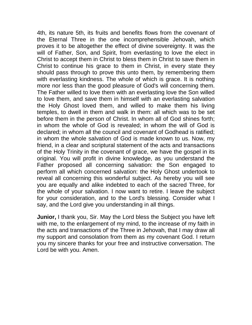4th, its nature 5th, its fruits and benefits flows from the covenant of the Eternal Three in the one incomprehensible Jehovah, which proves it to be altogether the effect of divine sovereignty. It was the will of Father, Son, and Spirit, from everlasting to love the elect in Christ to accept them in Christ to bless them in Christ to save them in Christ to continue his grace to them in Christ, in every state they should pass through to prove this unto them, by remembering them with everlasting kindness. The whole of which is grace. It is nothing more nor less than the good pleasure of God's will concerning them. The Father willed to love them with an everlasting love the Son willed to love them, and save them in himself with an everlasting salvation the Holy Ghost loved them, and willed to make them his living temples, to dwell in them and walk in them: all which was to be set before them in the person of Christ. In whom all of God shines forth; in whom the whole of God is revealed; in whom the will of God is declared; in whom all the council and covenant of Godhead is ratified; in whom the whole salvation of God is made known to us. Now, my friend, in a clear and scriptural statement of the acts and transactions of the Holy Trinity in the covenant of grace, we have the gospel in its original. You will profit in divine knowledge, as you understand the Father proposed all concerning salvation: the Son engaged to perform all which concerned salvation: the Holy Ghost undertook to reveal all concerning this wonderful subject. As hereby you will see you are equally and alike indebted to each of the sacred Three, for the whole of your salvation. I now want to retire. I leave the subject for your consideration, and to the Lord's blessing. Consider what I say, and the Lord give you understanding in all things.

**Junior,** I thank you, Sir. May the Lord bless the Subject you have left with me, to the enlargement of my mind, to the increase of my faith in the acts and transactions of' the Three in Jehovah, that I may draw all my support and consolation from them as my covenant God. I return you my sincere thanks for your free and instructive conversation. The Lord be with you. Amen.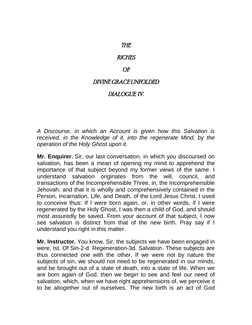## THE

### **RICHES**

### OF

## DIVINE GRACE UNFOLDED

# DIALOGUE IV.

*A Discourse, in which an Account is given how this Salvation is received, in the Knowledge of it, into the regenerate Mind, by the operation of the Holy Ghost upon it.*

**Mr. Enquirer.** Sir, our last conversation, in which you discoursed on salvation, has been a mean of opening my mind to apprehend the importance of that subject beyond my former views of the same. I understand salvation originates from the will, council, and transactions of the Incomprehensible Three, in, the Incomprehensible Jehovah, and that it is wholly and comprehensively contained in the Person, Incarnation, Life, and Death, of the Lord Jesus Christ. I used to conceive thus: If I were born again, or, in other words, if I were regenerated by the Holy Ghost, I was then a child of God, and should most assuredly be saved. From your account of that subject, I now see salvation is distinct from that of the new birth. Pray say if I understand you right in this matter.

**Mr. Instructor.** You know, Sir, the subjects we have been engaged in were, Ist. Of Sin-2-d. Regeneration-3d. Salvation. These subjects are thus connected one with the other. If we were not by nature the subjects of sin, we should not need to be regenerated in our minds, and be brought out of a state of death, into a state of life. When we are born again of God, then we begin to see and feel our need of salvation, which, when we have right apprehensions of, we perceive it to be altogether out of ourselves. The new birth is an act of God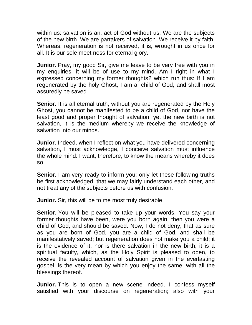within us: salvation is an, act of God without us. We are the subjects of the new birth. We are partakers of salvation. We receive it by faith. Whereas, regeneration is not received, it is, wrought in us once for all. It is our sole meet ness for eternal glory.

**Junior.** Pray, my good Sir, give me leave to be very free with you in my enquiries; it will be of use to my mind. Am I right in what I expressed concerning my former thoughts? which run thus: If I am regenerated by the holy Ghost, I am a, child of God, and shall most assuredly be saved.

**Senior.** It is all eternal truth, without you are regenerated by the Holy Ghost, you cannot be manifested to be a child of God, nor have the least good and proper thought of salvation; yet the new birth is not salvation, it is the medium whereby we receive the knowledge of salvation into our minds.

**Junior.** Indeed, when I reflect on what you have delivered concerning salvation, I must acknowledge, I conceive salvation must influence the whole mind: I want, therefore, to know the means whereby it does so.

**Senior.** I am very ready to inform you; only let these following truths be first acknowledged, that we may fairly understand each other, and not treat any of the subjects before us with confusion.

**Junior.** Sir, this will be to me most truly desirable.

**Senior.** You will be pleased to take up your words. You say your former thoughts have been, were you born again, then you were a child of God, and should be saved. Now, I do not deny, that as sure as you are born of God, you are a child of God, and shall be manifestatively saved; but regeneration does not make you a child; it is the evidence of it: nor is there salvation in the new birth; it is a spiritual faculty, which, as the Holy Spirit is pleased to open, to receive the revealed account of salvation given in the everlasting gospel, is the very mean by which you enjoy the same, with all the blessings thereof.

**Junior.** This is to open a new scene indeed. I confess myself satisfied with your discourse on regeneration; also with your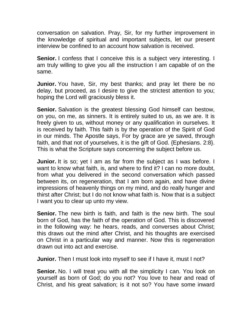conversation on salvation. Pray, Sir, for my further improvement in the knowledge of spiritual and important subjects, let our present interview be confined to an account how salvation is received.

**Senior.** I confess that I conceive this is a subject very interesting. I am truly willing to give you all the instruction I am capable of on the same.

**Junior.** You have, Sir, my best thanks; and pray let there be no delay, but proceed, as I desire to give the strictest attention to you; hoping the Lord will graciously bless it.

**Senior.** Salvation is the greatest blessing God himself can bestow, on you, on me, as sinners. It is entirely suited to us, as we are. It is freely given to us, without money or any qualification in ourselves. It is received by faith. This faith is by the operation of the Spirit of God in our minds. The Apostle says, For by grace are ye saved, through faith, and that not of yourselves, it is the gift of God. {Ephesians. 2:8}. This is what the Scripture says concerning the subject before us.

**Junior.** It is so; yet I am as far from the subject as I was before. I want to know what faith, is, and where to find it? I can no more doubt, from what you delivered in the second conversation which passed between its, on regeneration, that I am born again, and have divine impressions of heavenly things on my mind, and do really hunger and thirst after Christ; but I do not know what faith is. Now that is a subject I want you to clear up unto my view.

**Senior.** The new birth is faith, and faith is the new birth. The soul born of God, has the faith of the operation of God. This is discovered in the following way: he hears, reads, and converses about Christ; this draws out the mind after Christ, and his thoughts are exercised on Christ in a particular way and manner. Now this is regeneration drawn out into act and exercise.

**Junior.** Then I must look into myself to see if I have it, must I not?

**Senior.** No. I will treat you with all the simplicity I can. You look on yourself as born of God; do you not? You love to hear and read of Christ, and his great salvation; is it not so? You have some inward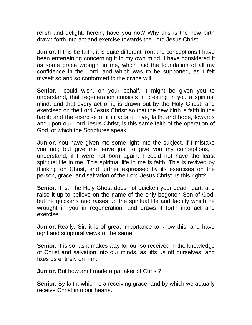relish and delight, herein; have you not? Why this is the new birth drawn forth into act and exercise towards the Lord Jesus Christ.

**Junior.** If this be faith, it is quite different front the conceptions I have been entertaining concerning it in my own mind. I have considered it as some grace wrought in me, which laid the foundation of all my confidence in the Lord, and which was to be supported, as I felt myself so and so conformed to the divine will.

**Senior.** I could wish, on your behalf, it might be given you to understand, that regeneration consists in creating in you a spiritual mind; and that every act of it, is drawn out by the Holy Ghost, and exercised on the Lord Jesus Christ: so that the new birth is faith in the habit; and the exercise of it in acts of love, faith, and hope, towards and upon our Lord Jesus Christ, is this same faith of the operation of God, of which the Scriptures speak.

**Junior.** You have given me some light into the subject, if I mistake you not; but give me leave just to give you my conceptions, I understand, if I were not born again, I could not have the least spiritual life in me. This spiritual life in me is faith. This is revived by thinking on Christ, and further expressed by its exercises on the person, grace, and salvation of the Lord Jesus Christ. Is this right?

**Senior.** It is. The Holy Ghost does not quicken your dead heart, and raise it up to believe on the name of the only begotten Son of God; but he quickens and raises up the spiritual life and faculty which he wrought in you in regeneration, and draws it forth into act and exercise.

**Junior.** Really, Sir, it is of great importance to know this, and have right and scriptural views of the same.

**Senior.** It is so; as it makes way for our so received in the knowledge of Christ and salvation into our minds, as lifts us off ourselves, and fixes us entirely on him.

**Junior.** But how am I made a partaker of Christ?

**Senior.** By faith; which is a receiving grace, and by which we actually receive Christ into our hearts.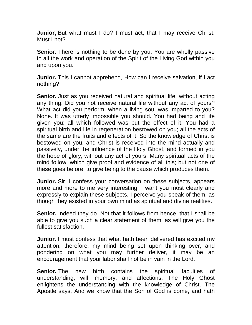**Junior,** But what must I do? I must act, that I may receive Christ. Must I not?

**Senior.** There is nothing to be done by you, You are wholly passive in all the work and operation of the Spirit of the Living God within you and upon you.

**Junior.** This I cannot apprehend, How can I receive salvation, if I act nothing?

**Senior.** Just as you received natural and spiritual life, without acting any thing, Did you not receive natural life without any act of yours? What act did you perform, when a living soul was imparted to you? None. It was utterly impossible you should. You had being and life given you; all which followed was but the effect of it. You had a spiritual birth and life in regeneration bestowed on you; all the acts of the same are the fruits and effects of it. So the knowledge of Christ is bestowed on you, and Christ is received into the mind actually and passively, under the influence of the Holy Ghost, and formed in you the hope of glory, without any act of yours. Many spiritual acts of the mind follow, which give proof and evidence of all this; but not one of these goes before, to give being to the cause which produces them.

**Junior.** Sir, I confess your conversation on these subjects, appears more and more to me very interesting. I want you most clearly and expressly to explain these subjects. I perceive you speak of them, as though they existed in your own mind as spiritual and divine realities.

**Senior.** Indeed they do. Not that it follows from hence, that I shall be able to give you such a clear statement of them, as will give you the fullest satisfaction.

**Junior.** I must confess that what hath been delivered has excited my attention; therefore, my mind being set upon thinking over, and pondering on what you may further deliver, it may be an encouragement that your labor shall not be in vain in the Lord.

**Senior.** The new birth contains the spiritual faculties of understanding, will, memory, and affections. The Holy Ghost enlightens the understanding with the knowledge of Christ. The Apostle says, And we know that the Son of God is come, and hath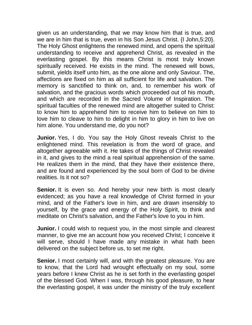given us an understanding, that we may know him that is true, and we are in him that is true, even in his Son Jesus Christ. {I John,5:20}. The Holy Ghost enlightens the renewed mind, and opens the spiritual understanding to receive and apprehend Christ, as revealed in the everlasting gospel. By this means Christ is most truly known spiritually received. He exists in the mind. The renewed will bows, submit, yields itself unto him, as the one alone and only Saviour. The, affections are fixed on him as all sufficient for life and salvation. The memory is sanctified to think on, and, to remember his work of salvation, and the gracious words which proceeded out of his mouth, and which are recorded in the Sacred Volume of Inspiration. The spiritual faculties of the renewed mind are altogether suited to Christ: to know him to apprehend him to receive him to believe on him to love him to cleave to him to delight in him to glory in him to live on him alone. You understand me, do you not?

**Junior.** Yes, I do. You say the Holy Ghost reveals Christ to the enlightened mind. This revelation is from the word of grace, and altogether agreeable with it. He takes of the things of Christ revealed in it, and gives to the mind a real spiritual apprehension of the same. He realizes them in the mind, that they have their existence there, and are found and experienced by the soul born of God to be divine realities. Is it not so?

**Senior.** It is even so. And hereby your new birth is most clearly evidenced; as you have a real knowledge of Christ formed in your mind, and of the Father's love in him, and are drawn insensibly to yourself, by the grace and energy of the Holy Spirit, to think and meditate on Christ's salvation, and the Father's love to you in him.

**Junior.** I could wish to request you, in the most simple and clearest manner, to give me an account how you received Christ; I conceive it will serve, should I have made any mistake in what hath been delivered on the subject before us, to set me right.

**Senior.** I most certainly will, and with the greatest pleasure. You are to know, that the Lord had wrought effectually on my soul, some years before I knew Christ as he is set forth in the everlasting gospel of the blessed God. When I was, through his good pleasure, to hear the everlasting gospel, it was under the ministry of the truly excellent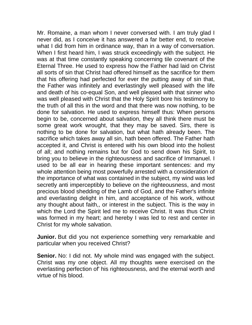Mr. Romaine, a man whom I never conversed with. I am truly glad I never did, as I conceive it has answered a far better end, to receive what I did from him in ordinance way, than in a way of conversation. When I first heard him, I was struck exceedingly with the subject. He was at that time constantly speaking concerning tile covenant of the Eternal Three. He used to express how the Father had laid on Christ all sorts of sin that Christ had offered himself as the sacrifice for them that his offering had perfected for ever the putting away of sin that, the Father was infinitely and everlastingly well pleased with the life and death of his co-equal Son, and well pleased with that sinner who was well pleased with Christ that the Holy Spirit bore his testimony to the truth of all this in the word and that there was now nothing, to be done for salvation. He used to express himself thus: When persons begin to be, concerned about salvation, they all think there must be some great work wrought, that they may be saved. Sirs, there is nothing to be done for salvation, but what hath already been. The sacrifice which takes away all sin, hath been offered. The Father hath accepted it, and Christ is entered with his own blood into the holiest of all; and nothing remains but for God to send down his Spirit, to bring you to believe in the righteousness and sacrifice of Immanuel. I used to be all ear in hearing these important sentences: and my whole attention being most powerfully arrested with a consideration of the importance of what was contained in the subject, my wind was led secretly anti imperceptibly to believe on the righteousness, and most precious blood shedding of the Lamb of God, and the Father's infinite and everlasting delight in him, and acceptance of his work, without any thought about faith,, or interest in the subject. This is the way in which the Lord the Spirit led me to receive Christ. It was thus Christ was formed in my heart; and hereby I was led to rest and center in Christ for my whole salvation.

**Junior.** But did you not experience something very remarkable and particular when you received Christ?

**Senior.** No: I did not. My whole mind was engaged with the subject. Christ was my one object. All my thoughts were exercised on the everlasting perfection of' his righteousness, and the eternal worth and virtue of his blood.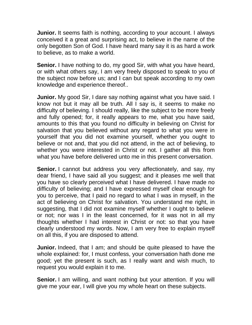**Junior.** It seems faith is nothing, according to your account. I always conceived it a great and surprising act, to believe in the name of the only begotten Son of God. I have heard many say it is as hard a work to believe, as to make a world.

**Senior.** I have nothing to do, my good Sir, with what you have heard, or with what others say, I am very freely disposed to speak to you of the subject now before us; and I can but speak according to my own knowledge and experience thereof..

**Junior.** My good Sir, I dare say nothing against what you have said. I know not but it may all be truth. All I say is, it seems to make no difficulty of believing. I should really, like the subject to be more freely and fully opened; for, it really appears to me, what you have said, amounts to this that you found no difficulty in believing on Christ for salvation that you believed without any regard to what you were in yourself that you did not examine yourself, whether you ought to believe or not and, that you did not attend, in the act of believing, to whether you were interested in Christ or not. I gather all this from what you have before delivered unto me in this present conversation.

**Senior.** I cannot but address you very affectionately, and say, my dear friend, I have said all you suggest; and it pleases me well that you have so clearly perceived what I have delivered. I have made no difficulty of believing; and I have expressed myself clear enough for you to perceive, that I paid no regard to what I was in myself, in the act of believing on Christ for salvation. You understand me right, in suggesting, that I did not examine myself whether I ought to believe or not; nor was I in the least concerned, for it was not in all my thoughts whether I had interest in Christ or not: so that you have clearly understood my words. Now, I am very free to explain myself on all this, if you are disposed to attend.

**Junior.** Indeed, that I am; and should be quite pleased to have the whole explained: for, I must confess, your conversation hath done me good; yet the present is such, as I really want and wish much, to request you would explain it to me.

**Senior.** I am willing, and want nothing but your attention. If you will give me your ear, I will give you my whole heart on these subjects.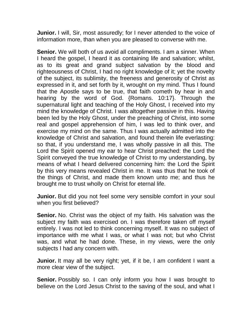**Junior.** I will, Sir, most assuredly; for I never attended to the voice of information more, than when you are pleased to converse with me.

**Senior.** We will both of us avoid all compliments. I am a sinner. When I heard the gospel, I heard it as containing life and salvation; whilst, as to its great and grand subject salvation by the blood and righteousness of Christ, I had no right knowledge of it; yet the novelty of the subject, its sublimity, the freeness and generosity of Christ as expressed in it, and set forth by it, wrought on my mind. Thus I found that the Apostle says to be true, that faith cometh by hear in and hearing by the word of God. {Romans. 10:17}. Through the supernatural light and teaching of the Holy Ghost, I received into my mind the knowledge of Christ. I was altogether passive in this. Having been led by the Holy Ghost, under the preaching of Christ, into some real and gospel apprehension of him, I was led to think over, and exercise my mind on the same. Thus I was actually admitted into the knowledge of Christ and salvation, and found therein life everlasting: so that, if you understand me, I was wholly passive in all this. The Lord the Spirit opened my ear to hear Christ preached: the Lord the Spirit conveyed the true knowledge of Christ to my understanding, by means of what I heard delivered concerning him: the Lord the Spirit by this very means revealed Christ in me. It was thus that he took of the things of Christ, and made them known unto me; and thus he brought me to trust wholly on Christ for eternal life.

**Junior.** But did you not feel some very sensible comfort in your soul when you first believed?

**Senior.** No. Christ was the object of my faith. His salvation was the subject my faith was exercised on. I was therefore taken off myself entirely. I was not led to think concerning myself. It was no subject of importance with me what I was, or what I was not; but who Christ was, and what he had done. These, in my views, were the only subjects I had any concern with.

**Junior.** It may all be very right; yet, if it be, I am confident I want a more clear view of the subject.

**Senior.** Possibly so. I can only inform you how I was brought to believe on the Lord Jesus Christ to the saving of the soul, and what I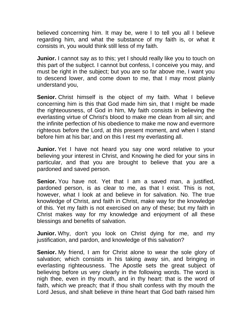believed concerning him. It may be, were I to tell you all I believe regarding him, and what the substance of my faith is, or what it consists in, you would think still less of my faith.

**Junior.** I cannot say as to this; yet I should really like you to touch on this part of the subject. I cannot but confess, I conceive you may, and must be right in the subject; but you are so far above me, I want you to descend lower, and come down to me, that I may most plainly understand you,

**Senior.** Christ himself is the object of my faith. What I believe concerning him is this that God made him sin, that I might be made the righteousness, of God in him, My faith consists in believing the everlasting virtue of Christ's blood to make me clean from all sin; and the infinite perfection of his obedience to make me now and evermore righteous before the Lord, at this present moment, and when I stand before him at his bar; and on this I rest my everlasting all.

**Junior.** Yet I have not heard you say one word relative to your believing your interest in Christ, and Knowing he died for your sins in particular, and that you are brought to believe that you are a pardoned and saved person.

**Senior.** You have not. Yet that I am a saved man, a justified, pardoned person, is as clear to me, as that I exist. This is not, however, what I look at and believe in for salvation. No. The true knowledge of Christ, and faith in Christ, make way for the knowledge of this. Yet my faith is not exercised on any of these; but my faith in Christ makes way for my knowledge and enjoyment of all these blessings and benefits of salvation.

**Junior.** Why, don't you look on Christ dying for me, and my justification, and pardon, and knowledge of this salvation?

**Senior.** My friend, I am for Christ alone to wear the sole glory of salvation; which consists in his taking away sin, and bringing in everlasting righteousness. The Apostle sets the great subject of believing before us very clearly in the following words. The word is nigh thee, even in thy mouth, and in thy heart: that is the word of faith, which we preach; that if thou shalt confess with thy mouth the Lord Jesus, and shalt believe in thine heart that God bath raised him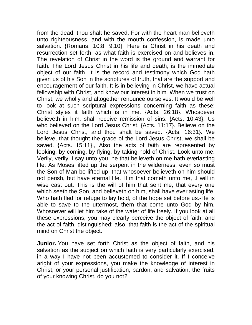from the dead, thou shalt he saved. For with the heart man believeth unto righteousness, and with the mouth confession, is made unto salvation. {Romans. 10:8, 9,10}. Here is Christ in his death and resurrection set forth, as what faith is exercised on and believes in. The revelation of Christ in the word is the ground and warrant for faith. The Lord Jesus Christ in his life and death, is the immediate object of our faith. It is the record and testimony which God hath given us of his Son in the scriptures of truth, that are the support and encouragement of our faith. It is in believing in Christ, we have actual fellowship with Christ, and know our interest in him. When we trust on Christ, we wholly and altogether renounce ourselves. It would be well to look at such scriptural expressions concerning faith as these: Christ styles it faith which is in me. {Acts. 26:18}. Whosoever believeth in him, shall receive remission of sins. {Acts. 10:43}. Us who believed on the Lord Jesus Christ. {Acts. 11:17}. Believe on the Lord Jesus Christ, and thou shalt be saved. {Acts. 16:31}. We believe, that thought the grace of the Lord Jesus Christ, we shall be saved. {Acts. 15:11}., Also the acts of faith are represented by looking, by coming, by flying, by taking hold of Christ. Look unto me. Verily, verily, I say unto you, he that believeth on me hath everlasting life. As Moses lifted up the serpent in the wilderness, even so must the Son of Man be lifted up; that whosoever believeth on him should not perish, but have eternal life. Him that cometh unto me, .I will in wise cast out. This is the will of him that sent me, that every one which seeth the Son, and believeth on him, shall have everlasting life. Who hath fled for refuge to lay hold, of the hope set before us.-He is able to save to the uttermost, them that come unto God by him. Whosoever will let him take of the water of life freely. If you look at all these expressions, you may clearly perceive the object of faith, and the act of faith, distinguished; also, that faith is the act of the spiritual mind on Christ the object.

**Junior.** You have set forth Christ as the object of faith, and his salvation as the subject on which faith is very particularly exercised, in a way I have not been accustomed to consider it. If I conceive aright of your expressions, you make the knowledge of interest in Christ, or your personal justification, pardon, and salvation, the fruits of your knowing Christ, do you not?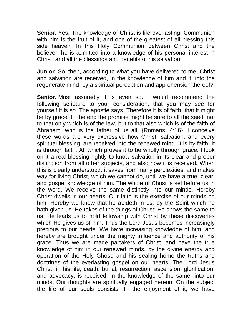**Senior.** Yes, The knowledge of Christ is life everlasting. Communion with him is the fruit of it, and one of the greatest of all blessing this side heaven. In this Holy Communion between Christ and the believer, he is admitted into a knowledge of his personal interest in Christ, and all the blessings and benefits of his salvation.

**Junior.** So, then, according to what you have delivered to me, Christ and salvation are received, in the knowledge of him and it, into the regenerate mind, by a spiritual perception and apprehension thereof?

**Senior.** Most assuredly it is even so. I would recommend the following scripture to your consideration, that you may see for yourself it is so. The apostle says, Therefore it is of faith, that it might be by grace; to the end the promise might be sure to all the seed; not to that only which is of the law, but to that also which is of the faith of Abraham; who is the father of us all. {Romans. 4:16}. I conceive these words are very expressive how Christ, salvation, and every spiritual blessing, are received into the renewed mind. It is by faith. It is through faith. All which proves it to be wholly through grace. I look on it a real blessing rightly to know salvation in its clear and proper distinction from all other subjects, and also how it is received. When this is clearly understood, it saves from many perplexities, and makes way for living Christ, which we cannot do, until we have a true, clear, and gospel knowledge of him. The whole of Christ is set before us in the word. We receive the same distinctly into our minds. Hereby Christ dwells in our hearts. Our faith is the exercise of our minds on him. Hereby we know that he abideth in us, by the Spirit which he hath given us. He takes of the things of Christ; He shows the same to us; He leads us to hold fellowship with Christ by these discoveries which He gives us of him. Thus the Lord Jesus becomes increasingly precious to our hearts. We have increasing knowledge of him, and hereby are brought under the mighty influence and authority of his grace. Thus we are made partakers of Christ, and have the true knowledge of him in our renewed minds, by the divine energy and operation of the Holy Ghost, and his sealing home the truths and doctrines of the everlasting gospel on our hearts. The Lord Jesus Christ, in his life, death, burial, resurrection, ascension, glorification, and advocacy, is received, in the knowledge of the same, into our minds. Our thoughts are spiritually engaged hereon. On the subject the life of our souls consists. In the enjoyment of it, we have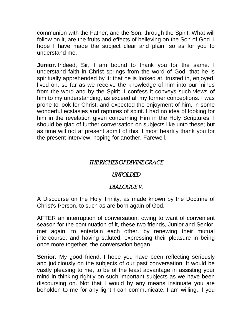communion with the Father, and the Son, through the Spirit. What will follow on it, are the fruits and effects of believing on the Son of God. I hope I have made the subject clear and plain, so as for you to understand me.

**Junior.** Indeed, Sir, I am bound to thank you for the same. I understand faith in Christ springs from the word of God: that he is spiritually apprehended by it: that he is looked at, trusted in, enjoyed, lived on, so far as we receive the knowledge of him into our minds from the word and by the Spirit. I confess it conveys such views of him to my understanding, as exceed all my former conceptions. I was prone to look for Christ, and expected the enjoyment of him, in some wonderful ecstasies and raptures of spirit. I had no idea of looking for him in the revelation given concerning Him in the Holy Scriptures. I should be glad of further conversation on subjects like unto these; but as time will not at present admit of this, I most heartily thank you for the present interview, hoping for another. Farewell.

## THE RICHES OF DIVINE GRACE

### UNFOLDED

# DIALOGUE V.

A Discourse on the Holy Trinity, as made known by the Doctrine of Christ's Person, to such as are born again of God.

AFTER an interruption of conversation, owing to want of convenient season for the continuation of it, these two friends, Junior and Senior, met again, to entertain each other, by renewing their mutual intercourse; and having saluted, expressing their pleasure in being once more together, the conversation began.

**Senior.** My good friend, I hope you have been reflecting seriously and judiciously on the subjects of our past conversation. It would be vastly pleasing to me, to be of the least advantage in assisting your mind in thinking rightly on such important subjects as we have been discoursing on. Not that I would by any means insinuate you are beholden to me for any light I can communicate. I am willing, if you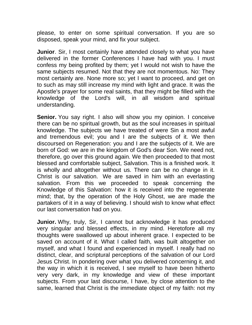please, to enter on some spiritual conversation. If you are so disposed, speak your mind, and fix your subject.

**Junior**. Sir, I most certainly have attended closely to what you have delivered in the former Conferences I have had with you. I must confess my being profited by them; yet I would not wish to have the same subjects resumed. Not that they are not momentous. No: They most certainly are. None more so; yet I want to proceed, and get on to such as may still increase my mind with light and grace. It was the Apostle's prayer for some real saints, that they might be filled with the knowledge of the Lord's will, in all wisdom and spiritual understanding.

**Senior.** You say right. I also will show you my opinion. I conceive there can be no spiritual growth, but as the soul increases in spiritual knowledge. The subjects we have treated of were Sin a most awful and tremendous evil; you and I are the subjects of it. We then discoursed on Regeneration: you and I are the subjects of it. We are born of God: we are in the kingdom of God's dear Son. We need not, therefore, go over this ground again. We then proceeded to that most blessed and comfortable subject, Salvation. This is a finished work. It is wholly and altogether without us. There can be no change in it. Christ is our salvation. We are saved in him with an everlasting salvation. From this we proceeded to speak concerning the Knowledge of this Salvation: how it is received into the regenerate mind; that, by the operation of the Holy Ghost, we are made the partakers of it in a way of believing. I should wish to know what effect our last conversation had on you.

**Junior.** Why, truly, Sir, I cannot but acknowledge it has produced very singular and blessed effects, in my mind. Heretofore all my thoughts were swallowed up about inherent grace. I expected to be saved on account of it. What I called faith, was built altogether on myself, and what I found and experienced in myself. I really had no distinct, clear, and scriptural perceptions of the salvation of our Lord Jesus Christ. In pondering over what you delivered concerning it, and the way in which it is received, I see myself to have been hitherto very very dark, in my knowledge and view of these important subjects. From your last discourse, I have, by close attention to the same, learned that Christ is the immediate object of my faith: not my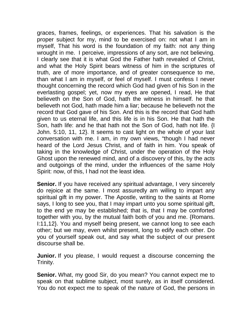graces, frames, feelings, or experiences. That his salvation is the proper subject for my, mind to be exercised on: not what I am in myself, That his word is the foundation of my faith: not any thing wrought in me. I perceive, impressions of any sort, are not believing. I clearly see that it is what God the Father hath revealed of Christ, and what the Holy Spirit bears witness of him in the scriptures of truth, are of more importance, and of greater consequence to me, than what I am in myself, or feel of myself. I must confess I never thought concerning the record which God had given of his Son in the everlasting gospel; yet, now my eyes are opened, I read, He that believeth on the Son of God, hath the witness in himself. he that believeth not God, hath made him a liar; because he believeth not the record that God gave of his Son. And this is the record that God hath given to us eternal life, and this life is in his Son. He that hath the Son, hath life: and he that hath not the Son of God, hath not life. {I John. 5:10, 11, 12}. It seems to cast light on the whole of your last conversation with me. I am, in my own views, "though I had never heard of the Lord Jesus Christ, and of faith in him. You speak of taking in the knowledge of Christ, under the operation of the Holy Ghost upon the renewed mind, and of a discovery of this, by the acts and outgoings of the mind, under the influences of the same Holy Spirit: now, of this, I had not the least idea.

**Senior.** If you have received any spiritual advantage, I very sincerely do rejoice at the same. I most assuredly am willing to impart any spiritual gift in my power. The Apostle, writing to the saints at Rome says, I long to see you, that I may impart unto you some spiritual gift, to the end ye may be established; that is, that I may be comforted together with you, by the mutual faith both of you and me. {Romans. I:11,12}. You and myself being present, we cannot long to see each other; but we may, even whilst present, long to edify each other. Do you of yourself speak out, and say what the subject of our present discourse shall be.

**Junior.** If you please, I would request a discourse concerning the Trinity.

**Senior.** What, my good Sir, do you mean? You cannot expect me to speak on that sublime subject, most surely, as in itself considered. You do not expect me to speak of the nature of God, the persons in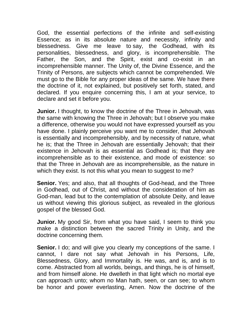God, the essential perfections of the infinite and self-existing Essence; as in its absolute nature and necessity, infinity and blessedness. Give me leave to say, the Godhead, with its personalities, blessedness, and glory, is incomprehensible. The Father, the Son, and the Spirit, exist and co-exist in an incomprehensible manner. The Unity of, the Divine Essence, and the Trinity of Persons, are subjects which cannot be comprehended. We must go to the Bible for any proper ideas of the same. We have there the doctrine of it, not explained, but positively set forth, stated, and declared. If you enquire concerning this, I am at your service, to declare and set it before you.

**Junior.** I thought, to know the doctrine of the Three in Jehovah, was the same with knowing the Three in Jehovah; but I observe you make a difference, otherwise you would not have expressed yourself as you have done. I plainly perceive you want me to consider, that Jehovah is essentially and incomprehensibly, and by necessity of nature, what he is; that the Three in Jehovah are essentially Jehovah; that their existence in Jehovah is as essential as Godhead is; that they are incomprehensible as to their existence, and mode of existence: so that the Three in Jehovah are as incomprehensible, as the nature in which they exist. Is not this what you mean to suggest to me?

**Senior.** Yes; and also, that all thoughts of God-head, and the Three in Godhead, out of Christ, and without the consideration of him as God-man, lead but to the contemplation of absolute Deity, and leave us without viewing this glorious subject, as revealed in the glorious gospel of the blessed God.

**Junior.** My good Sir, from what you have said, I seem to think you make a distinction between the sacred Trinity in Unity, and the doctrine concerning them.

**Senior.** I do; and will give you clearly my conceptions of the same. I cannot, I dare not say what Jehovah in his Persons, Life, Blessedness, Glory, and Immortality is. He was, and is, and is to come. Abstracted from all worlds, beings, and things, he is of himself, and from himself alone. He dwelleth in that light which no mortal eye can approach unto; whom no Man hath, seen, or can see; to whom be honor and power everlasting, Amen. Now the doctrine of the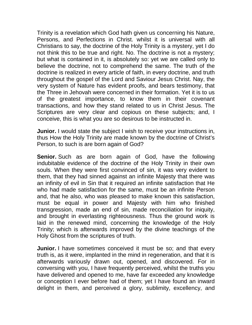Trinity is a revelation which God hath given us concerning his Nature, Persons, and Perfections in Christ. whilst it is universal with all Christians to say, the doctrine of the Holy Trinity is a mystery, yet I do not think this to be true and right. No. The doctrine is not a mystery; but what is contained in it, is absolutely so: yet we are called only to believe the doctrine, not to comprehend the same. The truth of the doctrine is realized in every article of faith, in every doctrine, and truth throughout the gospel of the Lord and Saviour Jesus Christ. Nay, the very system of Nature has evident proofs, and bears testimony, that the Three in Jehovah were concerned in their formation. Yet it is to us of the greatest importance, to know them in their covenant transactions, and how they stand related to us in Christ Jesus. The Scriptures are very clear and copious on these subjects; and, I conceive, this is what you are so desirous to be instructed in.

**Junior.** I would state the subject I wish to receive your instructions in, thus How the Holy Trinity are made known by the doctrine of Christ's Person, to such is are born again of God?

**Senior.** Such as are born again of God, have the following indubitable evidence of the doctrine of the Holy Trinity in their own souls. When they were first convinced of sin, it was very evident to them, that they had sinned against an infinite Majesty that there was an infinity of evil in Sin that it required an infinite satisfaction that He who had made satisfaction for the same, must be an infinite Person and, that he also, who was pleased to make known this satisfaction, must be equal in power and Majesty with him who finished transgression, made an end of sin, made reconciliation for iniquity, and brought in everlasting righteousness. Thus the ground work is laid in the renewed mind, concerning the knowledge of the Holy Trinity; which is afterwards improved by the divine teachings of the Holy Ghost from the scriptures of truth.

**Junior.** I have sometimes conceived it must be so; and that every truth is, as it were, implanted in the mind in regeneration, and that it is afterwards variously drawn out, opened, and discovered. For in conversing with you, I have frequently perceived, whilst the truths you have delivered and opened to me, have far exceeded any knowledge or conception I ever before had of them; yet I have found an inward delight in them, and perceived a glory, sublimity, excellency, and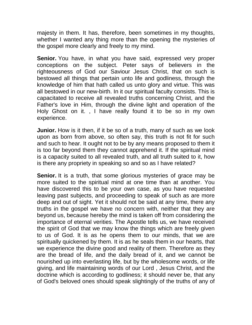majesty in them. It has, therefore, been sometimes in my thoughts, whether I wanted any thing more than the opening the mysteries of the gospel more clearly and freely to my mind.

**Senior.** You have, in what you have said, expressed very proper conceptions on the subject. Peter says of believers in the righteousness of God our Saviour Jesus Christ, that on such is bestowed all things that pertain unto life and godliness, through the knowledge of him that hath called us unto glory and virtue. This was all bestowed in our new-birth. In it our spiritual faculty consists. This is capacitated to receive all revealed truths concerning Christ, and the Father's love in Him, through the divine light and operation of the Holy Ghost on it. , I have really found it to be so in my own experience.

**Junior.** How is it then, if it be so of a truth, many of such as we look upon as born from above, so often say, this truth is not fit for such and such to hear. It ought not to be by any means proposed to them it is too far beyond them they cannot apprehend it. If the spiritual mind is a capacity suited to all revealed truth, and all truth suited to it, how is there any propriety in speaking so and so as I have related?

**Senior.** It is a truth, that some glorious mysteries of grace may be more suited to the spiritual mind at one time than at another. You have discovered this to be your own case, as you have requested leaving past subjects, and proceeding to speak of such as are more deep and out of sight. Yet it should not be said at any time, there any truths in the gospel we have no concern with, neither that they are beyond us, because hereby the mind is taken off from considering the importance of eternal verities. The Apostle tells us, we have received the spirit of God that we may know the things which are freely given to us of God. It is as he opens them to our minds, that we are spiritually quickened by them. It is as he seals them in our hearts, that we experience the divine good and reality of them. Therefore as they are the bread of life, and the daily bread of it, and we cannot be nourished up into everlasting life, but by the wholesome words, or life giving, and life maintaining words of our Lord , Jesus Christ, and the doctrine which is according to godliness; it should never be, that any of God's beloved ones should speak slightingly of the truths of any of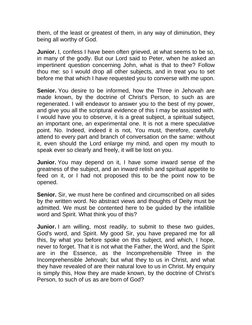them, of the least or greatest of them, in any way of diminution, they being all worthy of God.

**Junior.** I, confess I have been often grieved, at what seems to be so, in many of the godly. But our Lord said to Peter, when he asked an impertinent question concerning John, what is that to thee? Follow thou me: so I would drop all other subjects, and in treat you to set before me that which I have requested you to converse with me upon.

**Senior.** You desire to be informed, how the Three in Jehovah are made known, by the doctrine of Christ's Person, to such as are regenerated. I will endeavor to answer you to the best of my power, and give you all the scriptural evidence of this I may be assisted with. I would have you to observe, it is a great subject, a spiritual subject, an important one, an experimental one. It is not a mere speculative point. No. Indeed, indeed it is not, You must, therefore, carefully attend to every part and branch of conversation on the same: without it, even should the Lord enlarge my mind, and open my mouth to speak ever so clearly and freely, it will be lost on you.

**Junior.** You may depend on it, I have some inward sense of the greatness of the subject, and an inward relish and spiritual appetite to feed on it, or I had not proposed this to be the point now to be opened.

**Senior.** Sir, we must here be confined and circumscribed on all sides by the written word. No abstract views and thoughts of Deity must be admitted. We must be contented here to be guided by the infallible word and Spirit. What think you of this?

**Junior.** I am willing, most readily, to submit to these two guides, God's word, and Spirit. My good Sir, you have prepared me for all this, by what you before spoke on this subject, and which, I hope, never to forget. That it is not what the Father, the Word, and the Spirit are in the Essence, as the Incomprehensible Three in the Incomprehensible Jehovah; but what they to us in Christ, and what they have revealed of are their natural love to us in Christ. My enquiry is simply this, How they are made known, by the doctrine of Christ's Person, to such of us as are born of God?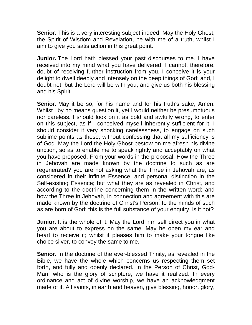**Senior.** This is a very interesting subject indeed. May the Holy Ghost, the Spirit of Wisdom and Revelation, be with me of a truth, whilst I aim to give you satisfaction in this great point.

**Junior.** The Lord hath blessed your past discourses to me. I have received into my mind what you have delivered; I cannot, therefore, doubt of receiving further instruction from you. I conceive it is your delight to dwell deeply and intensely on the deep things of God; and, I doubt not, but the Lord will be with you, and give us both his blessing and his Spirit.

**Senior.** May it be so, for his name and for his truth's sake, Amen. Whilst I by no means question it, yet I would neither be presumptuous nor careless. I should look on it as bold and awfully wrong, to enter on this subject, as if I conceived myself inherently sufficient for it. I should consider it very shocking carelessness, to engage on such sublime points as these, without confessing that all my sufficiency is of God. May the Lord the Holy Ghost bestow on me afresh his divine unction, so as to enable me to speak rightly and acceptably on what you have proposed. From your words in the proposal, How the Three in Jehovah are made known by the doctrine to such as are regenerated? you are not asking what the Three in Jehovah are, as considered in their infinite Essence, and personal distinction in the Self-existing Essence; but what they are as revealed in Christ, and according to the doctrine concerning them in the written word; and how the Three in Jehovah, in connection and agreement with this are made known by the doctrine of Christ's Person, to the minds of such as are born of God: this is the full substance of your enquiry, is it not?

**Junior.** It is the whole of it. May the Lord him self direct you in what you are about to express on the same. May he open my ear and heart to receive it; whilst it pleases him to make your tongue like choice silver, to convey the same to me.

**Senior.** In the doctrine of the ever-blessed Trinity, as revealed in the Bible, we have the whole which concerns us respecting them set forth, and fully and openly declared. In the Person of Christ, God-Man, who is the glory of scripture, we have it realized. In every ordinance and act of divine worship, we have an acknowledgment made of it. All saints, in earth and heaven, give blessing, honor, glory,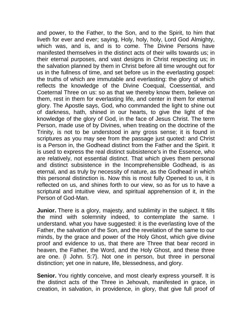and power, to the Father, to the Son, and to the Spirit, to him that liveth for ever and ever; saying, Holy, holy, holy, Lord God Almighty, which was, and is, and is to come. The Divine Persons have manifested themselves in the distinct acts of their wills towards us; in their eternal purposes, and vast designs in Christ respecting us; in the salvation planned by them in Christ before all time wrought out for us in the fullness of time, and set before us in the everlasting gospel: the truths of which are immutable and everlasting: the glory of which reflects the knowledge of the Divine Coequal, Coessential, and Coeternal Three on us: so as that we thereby know them, believe on them, rest in them for everlasting life, and center in them for eternal glory. The Apostle says, God, who commanded the light to shine out of darkness, hath, shined in our hearts, to give the light of the knowledge of the glory of God, in the face of Jesus Christ. The term Person, made use of by Divines, when treating on the doctrine of the Trinity, is not to be understood in any gross sense; it is found in scriptures as you may see from the passage just quoted: and Christ is a Person in, the Godhead distinct from the Father and the Spirit. It is used to express the real distinct subsistence's in the Essence, who are relatively, not essential distinct. That which gives them personal and distinct subsistence in the Incomprehensible Godhead, is as eternal, and as truly by necessity of nature, as the Godhead in which this personal distinction is. Now this is most fully Opened to us, it is reflected on us, and shines forth to our view, so as for us to have a scriptural and intuitive view, and spiritual apprehension of it, in the Person of God-Man.

**Junior.** There is a glory, majesty, and sublimity in the subject. It fills the mind with solemnity indeed, to contemplate the same. I understand. what you have suggested: it is the everlasting love of the Father, the salvation of the Son, and the revelation of the same to our minds, by the grace and power of the Holy Ghost, which give divine proof and evidence to us, that there are Three that bear record in heaven, the Father, the Word, and the Holy Ghost, and these three are one. {I John. 5:7}. Not one in person, but three in personal distinction; yet one in nature, life, blessedness, and glory.

**Senior.** You rightly conceive, and most clearly express yourself. It is the distinct acts of the Three in Jehovah, manifested in grace, in creation, in salvation, in providence, in glory, that give full proof of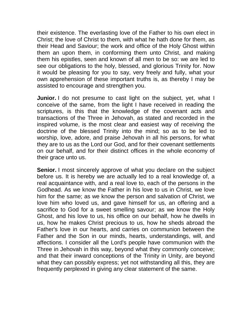their existence. The everlasting love of the Father to his own elect in Christ; the love of Christ to them, with what he hath done for them, as their Head and Saviour; the work and office of the Holy Ghost within them an upon them, in conforming them unto Christ, and making them his epistles, seen and known of all men to be so: we are led to see our obligations to the holy, blessed, and glorious Trinity for. Now it would be pleasing for you to say, very freely and fully, what your own apprehension of these important truths is, as thereby I may be assisted to encourage and strengthen you.

**Junior.** I do not presume to cast light on the subject, yet, what I conceive of the same, from the light I have received in reading the scriptures, is this that the knowledge of the covenant acts and transactions of the Three in Jehovah, as stated and recorded in the inspired volume, is the most clear and easiest way of receiving the doctrine of the blessed Trinity into the mind; so as to be led to worship, love, adore, and praise Jehovah in all his persons, for what they are to us as the Lord our God, and for their covenant settlements on our behalf, and for their distinct offices in the whole economy of their grace unto us.

**Senior.** I most sincerely approve of what you declare on the subject before us. It is hereby we are actually led to a real knowledge of, a real acquaintance with, and a real love to, each of the persons in the Godhead. As we know the Father in his love to us in Christ, we love him for the same; as we know the person and salvation of Christ, we love him who loved us, and gave himself for us, an offering and a sacrifice to God for a sweet smelling savour; as we know the Holy Ghost, and his love to us, his office on our behalf, how he dwells in us, how he makes Christ precious to us, how he sheds abroad the Father's love in our hearts, and carries on communion between the Father and the Son in our minds, hearts, understandings, will, and affections. I consider all the Lord's people have communion with the Three in Jehovah in this way, beyond what they commonly conceive; and that their inward conceptions of the Trinity in Unity, are beyond what they can possibly express; yet not withstanding all this, they are frequently perplexed in giving any clear statement of the same.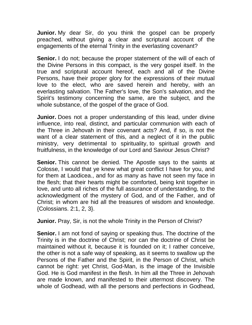**Junior.** My dear Sir, do you think the gospel can be properly preached, without giving a clear and scriptural account of the engagements of the eternal Trinity in the everlasting covenant?

**Senior.** I do not; because the proper statement of the will of each of the Divine Persons in this compact, is the very gospel itself. In the true and scriptural account hereof, each and all of the Divine Persons, have their proper glory for the expressions of their mutual love to the elect, who are saved herein and hereby, with an everlasting salvation. The Father's love, the Son's salvation, and the Spirit's testimony concerning the same, are the subject, and the whole substance, of the gospel of the grace of God.

**Junior.** Does not a proper understanding of this lead, under divine influence, into real, distinct, and particular communion with each of the Three in Jehovah in their covenant acts? And, if so, is not the want of a clear statement of this, and a neglect of it in the public ministry, very detrimental to spirituality, to spiritual growth and fruitfulness, in the knowledge of our Lord and Saviour Jesus Christ?

**Senior.** This cannot be denied. The Apostle says to the saints at Colosse, I would that ye knew what great conflict I have for you, and for them at Laodicea., and for as many as have not seen my face in the flesh; that their hearts might be comforted, being knit together in love, and unto all riches of the full assurance of understanding, to the acknowledgment of the mystery of God, and of the Father, and of Christ; in whom are hid all the treasures of wisdom and knowledge. {Colossians. 2:1, 2, 3}.

**Junior.** Pray, Sir, is not the whole Trinity in the Person of Christ?

**Senior.** I am not fond of saying or speaking thus. The doctrine of the Trinity is in the doctrine of Christ; nor can the doctrine of Christ be maintained without it, because it is founded on it; I rather conceive, the other is not a safe way of speaking, as it seems to swallow up the Persons of the Father and the Spirit, in the Person of Christ, which cannot be right: yet Christ, God-Man, is the image of the Invisible God. He is God manifest in the flesh. In him all the Three in Jehovah are made known, and manifested to their uttermost discovery. The whole of Godhead, with all the persons and perfections in Godhead,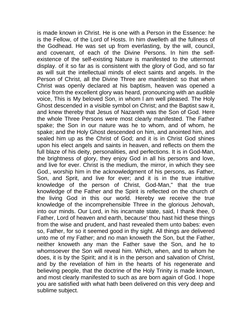is made known in Christ. He is one with a Person in the Essence: he is the Fellow, of the Lord of Hosts. In him dwelleth all the fullness of the Godhead. He was set up from everlasting, by the will, council, and covenant, of each of the Divine Persons. In him the selfexistence of the self-existing Nature is manifested to the uttermost display. of it so far as is consistent with the glory of God, and so far as will suit the intellectual minds of elect saints and angels. In the Person of Christ, all the Divine Three are manifested: so that when Christ was openly declared at his baptism, heaven was opened a voice from the excellent glory was heard, pronouncing with an audible voice, This is My beloved Son, in whom l am well pleased. The Holy Ghost descended in a visible symbol on Christ; and the Baptist saw it, and knew thereby that Jesus of Nazareth was the Son of God. Here the whole Three Persons were most clearly manifested. The Father spake; the Son in our nature was he to whom, and of whom, he spake; and the Holy Ghost descended on him, and anointed him, and sealed him up as the Christ of God; and it is in Christ God shines upon his elect angels and saints in heaven, and reflects on them the full blaze of his deity, personalities, and perfections. It is in God-Man, the brightness of glory, they enjoy God in all his persons and love, and live for ever. Christ is the medium, the mirror, in which they see God., worship him in the acknowledgment of his persons, as Father, Son, and Sprit, and live for ever; and it is in the true intuitive knowledge of the person of Christ, God-Man," that the true knowledge of the Father and the Spirit is reflected on the church of the living God in this our world. Hereby we receive the true knowledge of the incomprehensible Three in the glorious Jehovah, into our minds. Our Lord, in his incarnate state, said, I thank thee, 0 Father, Lord of heaven and earth, because' thou hast hid these things from the wise and prudent, and hast revealed them unto babes: even so, Father, for so it seemed good in thy sight. All things are delivered unto me of my Father; and no man knoweth the Son, but the Father, neither knoweth any man the Father save the Son, and he to whomsoever the Son will reveal him. Which, when, and to whom he does, it is by the Spirit; and it is in the person and salvation of Christ, and by the revelation of him in the hearts of his regenerate and believing people, that the doctrine of the Holy Trinity is made known, and most clearly manifested to such as are born again of God. I hope you are satisfied with what hath been delivered on this very deep and sublime subject.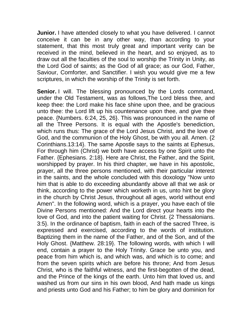**Junior.** I have attended closely to what you have delivered. I cannot conceive it can be in any other way, than according to your statement, that this most truly great and important verity can be received in the mind, believed in the heart, and so enjoyed, as to draw out all the faculties of the soul to worship the Trinity in Unity, as the Lord God of saints; as the God of all grace; as our God, Father, Saviour, Comforter, and Sanctifier. I wish you would give me a few scriptures, in which the worship of the Trinity is set forth.

**Senior.** I will. The blessing pronounced by the Lords command, under the Old Testament, was as follows,The Lord bless thee, and keep thee: the Lord make his face shine upon thee, and be gracious unto thee: the Lord lift up his countenance upon thee, and give thee peace. {Numbers. 6:24, 25, 26}. This was pronounced in the name of all the Three Persons. It is equal with the Apostle's benediction, which runs thus: The grace of the Lord Jesus Christ, and the love of God, and the communion of the Holy Ghost, be with you all. Amen. {2 Corinthians.13:14}. The same Apostle says to the saints at Ephesus, For through him (Christ) we both have access by one Spirit unto the Father. {Ephesians. 2:18}. Here are Christ, the Father, and the Spirit, worshipped by prayer. In his third chapter, we have in his apostolic, prayer, all the three persons mentioned, with their particular interest in the saints, and the whole concluded with this doxology "Now unto him that is able to do exceeding abundantly above all that we ask or think, according to the power which worketh in us, unto hint be glory in the church by Christ Jesus, throughout all ages, world without end Amen". In the following word, which is a prayer, you have each of tile Divine Persons mentioned: And the Lord direct your hearts into the love of God, and into the patient waiting for Christ. {2 Thessalonians. 3:5}. In the ordinance of baptism, faith in each of the sacred Three, is expressed and exercised, according to the words of institution. Baptizing them in the name of the Father, and of the Son, and of the Holy Ghost. {Matthew. 28:19}. The following words, with which I will end, contain a prayer to the Holy Trinity. Grace be unto you, and peace from him which is, and which was, and which is to come; and from the seven spirits which are before his throne; And from Jesus Christ, who is the faithful witness, and the first-begotten of the dead, and the Prince of the kings of the earth. Unto him that loved us, and washed us from our sins in his own blood, And hath made us kings and priests unto God and his Father; to him be glory and dominion for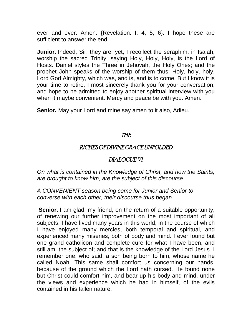ever and ever. Amen. {Revelation. I: 4, 5, 6}. I hope these are sufficient to answer the end.

**Junior.** Indeed, Sir, they are; yet, I recollect the seraphim, in Isaiah, worship the sacred Trinity, saying Holy, Holy, Holy, is the Lord of Hosts. Daniel styles the Three in Jehovah, the Holy Ones; and the prophet John speaks of the worship of them thus: Holy, holy, holy, Lord God Almighty, which was, and is, and is to come. But I know it is your time to retire, I most sincerely thank you for your conversation, and hope to be admitted to enjoy another spiritual interview with you when it maybe convenient. Mercy and peace be with you. Amen.

**Senior.** May your Lord and mine say amen to it also, Adieu.

#### THE

### RICHES OF DIVINE GRACE UNFOLDED

## DIALOGUE VI.

*On what is contained in the Knowledge of Christ, and how the Saints, are brought to know him, are the subject of this discourse.*

*A CONVENIENT season being come for Junior and Senior to converse with each other, their discourse thus began.*

**Senior.** I am glad, my friend, on the return of a suitable opportunity, of renewing our further improvement on the most important of all subjects. I have lived many years in this world, in the course of which I have enjoyed many mercies, both temporal and spiritual, and experienced many miseries, both of body and mind. I ever found but one grand catholicon and complete cure for what I have been, and still am, the subject of; and that is the knowledge of the Lord Jesus. I remember one, who said, a son being born to him, whose name he called Noah, This same shall comfort us concerning our hands, because of the ground which the Lord hath cursed. He found none but Christ could comfort him, and bear up his body and mind, under the views and experience which he had in himself, of the evils contained in his fallen nature.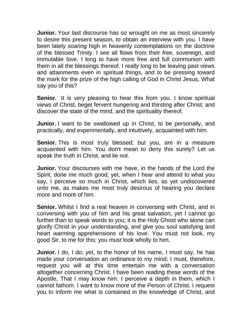**Junior.** Your last discourse has so wrought on me as most sincerely to desire this present season, to obtain an interview with you. I have been lately soaring high in heavenly contemplations on the doctrine of the blessed Trinity. I see all flows from their free, sovereign, and immutable love. I long to have more free and full communion with them in all the blessings thereof. I really long to be leaving past views and attainments even in spiritual things, and to be pressing toward the mark for the prize of the high calling of God in Christ Jesus, What say you of this?

**Senior.** It is very pleasing to hear this from you. I know spiritual views of Christ, beget fervent hungering and thirsting after Christ; and discover the state of the mind, and the spirituality thereof.

**Junior.** I want to be swallowed up in Christ, to be personally, and practically, and experimentally, and intuitively, acquainted with him.

**Senior.** This is most truly blessed; but you, are in a measure acquainted with him. You don't mean to deny this surely? Let us speak the truth in Christ, and lie not.

**Junior.** Your discourses with me have, in the hands of the Lord the Spirit, done me much good; yet, when I hear and attend to what you say, I perceive so much in Christ, which lies, as yet undiscovered unto me, as makes me most truly desirous of hearing you declare more and more of him.

**Senior.** Whilst I find a real heaven in conversing with Christ, and in conversing with you of him and his great salvation, yet I cannot go further than to speak words to you; it is the Holy Ghost who alone can glorify Christ in your understanding, and give you soul satisfying and heart warming apprehensions of his love. You must not look, my good Sir, to me for this; you must look wholly to him.

**Junior.** I do, I do; yet, to the honor of his name, I must say, he has made your conversation an ordinance to my mind; I must, therefore, request you will at this time entertain me with a conversation altogether concerning Christ. I have been reading these words of the Apostle, That I may know him. I perceive a depth in them, which I cannot fathom. I want to know more of the Person of Christ. I request you to inform me what is contained in the knowledge of Christ, and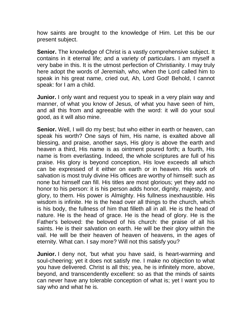how saints are brought to the knowledge of Him. Let this be our present subject.

**Senior.** The knowledge of Christ is a vastly comprehensive subject. It contains in it eternal life; and a variety of particulars. I am myself a very babe in this. It is the utmost perfection of Christianity. I may truly here adopt the words of Jeremiah, who, when the Lord called him to speak in his great name, cried out, Ah, Lord God! Behold, I cannot speak: for I am a child.

**Junior.** I only want and request you to speak in a very plain way and manner, of what you know of Jesus, of what you have seen of him, and all this from and agreeable with the word: it will do your soul good, as it will also mine.

**Senior.** Well, I will do my best; but who either in earth or heaven, can speak his worth? One says of him, His name, is exalted above all blessing, and praise, another says, His glory is above the earth and heaven a third, His name is as ointment poured forth; a fourth, His name is from everlasting. Indeed, the whole scriptures are full of his praise. His glory is beyond conception, His love exceeds all which can be expressed of it either on earth or in heaven. His work of salvation is most truly divine His offices are worthy of himself: such as none but himself can fill. His titles are most glorious; yet they add no honor to his person: it is his person adds honor, dignity, majesty, and glory, to them. His power is Almighty. His fullness inexhaustible. His wisdom is infinite. He is the head over all things to the church, which is his body, the fullness of him that filleth all in all. He is the head of nature. He is the head of grace. He is the head of glory. He is the Father's beloved: the beloved of his church: the praise of all his saints. He is their salvation on earth. He will be their glory within the vail. He will be their heaven of heaven of heavens, in the ages of eternity. What can. I say more? Will not this satisfy you?

**Junior.** I deny not, 'but what you have said, is heart-warming and soul-cheering; yet it does not satisfy me. I make no objection to what you have delivered. Christ is all this; yea, he is infinitely more, above, beyond, and transcendently excellent: so as that the minds of saints can never have any tolerable conception of what is; yet I want you to say who and what he is.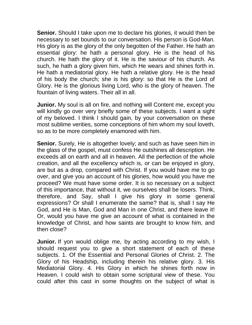**Senior.** Should I take upon me to declare his glories, it would then be necessary to set bounds to our conversation. His person is God-Man. His glory is as the glory of the only begotten of the Father. He hath an essential glory: he hath a personal glory. He is the head of his church. He hath the glory of it. He is the saviour of his church. As such, he hath a glory given him, which He wears and shines forth in. He hath a mediatorial glory. He hath a relative glory. He is the head of his body the church; she is his glory: so that He is the Lord of Glory. He is the glorious living Lord, who is the glory of heaven. The fountain of living waters. Their all in all.

**Junior.** My soul is all on fire, and nothing will Content me, except you will kindly go over very briefly some of these subjects. I want a sight of my beloved. I think I should gain, by your conversation on these most sublime verities, some conceptions of him whom my soul loveth, so as to be more completely enamored with him.

**Senior.** Surely, He is altogether lovely; and such as have seen him in the glass of the gospel, must confess He outshines all description. He exceeds all on earth and all in heaven. All the perfection of the whole creation, and all the excellency which is, or can be enjoyed in glory, are but as a drop, compared with Christ. If you would have me to go over, and give you an account of his glories, how would you have me proceed? We must have some order. It is so necessary on a subject of this importance, that without it, we ourselves shall be losers. Think, therefore, and Say, shall I give his glory in some general expressions? Or shall I enumerate the same? that is, shall I say He God, and He is Man, God and Man in one Christ, and there leave it! Or, would you have me give an account of what is contained in the knowledge of Christ, and how saints are brought to know him, and then close?

**Junior.** If yon would oblige me, by acting according to my wish, I should request you to give a short statement of each of these subjects. 1. Of the Essential and Personal Glories of Christ. 2. The Glory of his Headship, including therein his relative glory. 3. His Mediatorial Glory. 4. His Glory in which he shines forth now in Heaven. I could wish to obtain some scriptural view of these. You could after this cast in some thoughts on the subject of what is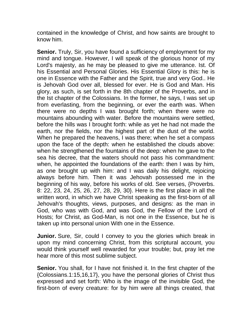contained in the knowledge of Christ, and how saints are brought to know him.

**Senior.** Truly, Sir, you have found a sufficiency of employment for my mind and tongue. However, I will speak of the glorious honor of my Lord's majesty, as he may be pleased to give me utterance. Ist. Of his Essential and Personal Glories. His Essential Glory is this: he is one in Essence with the Father and the Spirit, true and very God.. He is Jehovah God over all, blessed for ever. He is God and Man. His glory, as such, is set forth in the 8th chapter of the Proverbs, and in the Ist chapter of the Colossians. In the former, he says, I was set up from everlasting, from the beginning, or ever the earth was. When there were no depths I was brought forth; when there were no mountains abounding with water. Before the mountains were settled, before the hills was I brought forth: while as yet he had not made the earth, nor the fields, nor the highest part of the dust of the world. When he prepared the heavens, I was there; when he set a compass upon the face of the depth: when he established the clouds above: when he strengthened the fountains of the deep: when he gave to the sea his decree, that the waters should not pass his commandment: when, he appointed the foundations of the earth: then I was by him, as one brought up with him: and I was daily his delight, rejoicing always before him. Then it was Jehovah possessed me in the beginning of his way, before his works of old. See verses, {Proverbs. 8: 22, 23, 24, 25, 26, 27, 28, 29, 30}. Here is the first place in all the written word, in which we have Christ speaking as the first-born of all Jehovah's thoughts, views, purposes, and designs: as the man in God, who was with God, and was God, the Fellow of the Lord of Hosts; for Christ, as God-Man, is not one in the Essence, but he is taken up into personal union With one in the Essence.

**Junior.** Sure, Sir, could I convey to you the glories which break in upon my mind concerning Christ, from this scriptural account, you would think yourself well rewarded for your trouble; but, pray let me hear more of this most sublime subject.

**Senior.** You shall, for I have not finished it. In the first chapter of the {Colossians.1:15,16,17}, you have the personal glories of Christ thus expressed and set forth: Who is the image of the invisible God, the first-born of every creature: for by him were all things created, that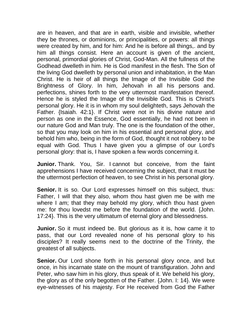are in heaven, and that are in earth, visible and invisible, whether they be thrones, or dominions, or principalities, or powers: all things were created by him, and for him: And he is before all things,. and by him all things consist. Here an account is given of the ancient, personal, primordial glories of Christ, God-Man. All the fullness of the Godhead dwelleth in him. He is God manifest in the flesh. The Son of the living God dwelleth by personal union and inhabitation, in the Man Christ. He is heir of all things the Image of the Invisible God the Brightness of Glory. In him, Jehovah in all his persons and. perfections, shines forth to the very uttermost manifestation thereof. Hence he is styled the Image of the Invisible God. This is Christ's personal glory. He it is in whom my soul delighteth, says Jehovah the Father. {Isaiah. 42:1}. If Christ were not in his divine nature and person as one in the Essence, God essentially, he had not been in our nature God and Man truly. The one is the foundation of the other, so that you may look on him in his essential and personal glory, and behold him who, being in the form of God, thought it not robbery to be equal with God. Thus I have given you a glimpse of our Lord's personal glory: that is, I have spoken a few words concerning it.

**Junior.** Thank. You, Sir. I cannot but conceive, from the faint apprehensions I have received concerning the subject, that it must be the uttermost perfection of heaven, to see Christ in his personal glory.

**Senior.** It is so. Our Lord expresses himself on this subject, thus: Father, I will that they also, whom thou hast given me be with me where I am; that they may behold my glory, which thou hast given me: for thou lovedst me before the foundation of the world. {John. 17:24}. This is the very ultimatum of eternal glory and blessedness.

**Junior.** So it must indeed be. But glorious as it is, how came it to pass, that our Lord revealed none of his personal glory to his disciples? It really seems next to the doctrine of the Trinity, the greatest of all subjects.

**Senior.** Our Lord shone forth in his personal glory once, and but once, in his incarnate state on the mount of transfiguration. John and Peter, who saw him in his glory, thus speak of it. We beheld his glory, the glory as of the only begotten of the Father. {John. I: 14}. We were eye-witnesses of his majesty. For He received from God the Father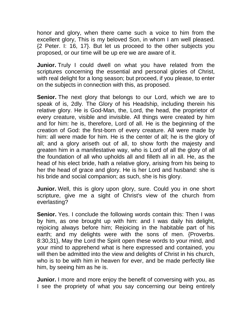honor and glory, when there came such a voice to him from the excellent glory, This is my beloved Son, in whom I am well pleased. {2 Peter. I: 16, 17}. But let us proceed to the other subjects you proposed, or our time will be up ere we are aware of it.

**Junior.** Truly I could dwell on what you have related from the scriptures concerning the essential and personal glories of Christ, with real delight for a long season; but proceed, if you please, to enter on the subjects in connection with this, as proposed.

**Senior.** The next glory that belongs to our Lord, which we are to speak of is, 2dly. The Glory of his Headship, including therein his relative glory. He is God-Man, the, Lord, the head, the proprietor of every creature, visible and invisible. All things were created by him and for him: he is, therefore, Lord of all. He is the beginning of the creation of God: the first-born of every creature. All were made by him: all were made for him. He is the center of all; he is the glory of all; and a glory ariseth out of all, to show forth the majesty and greaten him in a manifestative way, who is Lord of all the glory of all the foundation of all who upholds all and filleth all in all. He, as the head of his elect bride, hath a relative glory, arising from his being to her the head of grace and glory. He is her Lord and husband: she is his bride and social companion; as such, she is his glory.

**Junior.** Well, this is glory upon glory, sure. Could you in one short scripture, give me a sight of Christ's view of the church from everlasting?

**Senior.** Yes. I conclude the following words contain this: Then I was by him, as one brought up with him: and I was daily his delight, rejoicing always before him; Rejoicing in the habitable part of his earth; and my delights were with the sons of men. {Proverbs. 8:30,31}, May the Lord the Spirit open these words to your mind, and your mind to apprehend what is here expressed and contained, you will then be admitted into the view and delights of Christ in his church, who is to be with him in heaven for ever, and be made perfectly like him, by seeing him as he is.

**Junior.** I more and more enjoy the benefit of conversing with you, as I see the propriety of what you say concerning our being entirely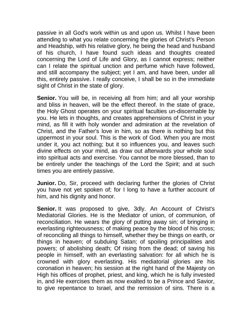passive in all God's work within us and upon us. Whilst I have been attending to what you relate concerning the glories of Christ's Person and Headship, with his relative glory, he being the head and husband of his church, I have found such ideas and thoughts created concerning the Lord of Life and Glory, as I cannot express; neither can I relate the spiritual unction and perfume which have followed, and still accompany the subject; yet I am, and have been, under all this, entirely passive. I really conceive, I shall be so in the immediate sight of Christ in the state of glory.

**Senior.** You will be, in receiving all from him; and all your worship and bliss in heaven, will be the effect thereof. In the state of grace, the Holy Ghost operates on your spiritual faculties un-discernable by you. He lets in thoughts, and creates apprehensions of Christ in your mind, as fill it with holy wonder and admiration at the revelation of Christ, and the Father's love in him, so as there is nothing but this uppermost in your soul. This is the work of God. When you are most under it, you act nothing; but it so influences you, and leaves such divine effects on your mind, as draw out afterwards your whole soul into spiritual acts and exercise. You cannot be more blessed, than to be entirely under the teachings of the Lord the Spirit; and at such times you are entirely passive.

**Junior.** Do, Sir, proceed with declaring further the glories of Christ you have not yet spoken of; for I long to have a further account of him, and his dignity and honor.

**Senior.** It was proposed to give, 3dly. An Account of Christ's Mediatorial Glories. He is the Mediator of union, of communion, of reconciliation. He wears the glory of putting away sin; of bringing in everlasting righteousness; of making peace by the blood of his cross; of reconciling all things to himself, whether they be things on earth, or things in heaven; of subduing Satan; of spoiling principalities and powers; of abolishing death; Of rising from the dead; of saving his people in himself, with an everlasting salvation: for all which he is crowned with glory everlasting. His mediatorial glories are his coronation in heaven; his session at the right hand of the Majesty on High his offices of prophet, priest, and king, which he is fully invested in, and He exercises them as now exalted to be a Prince and Savior, to give repentance to Israel, and the remission of sins. There is a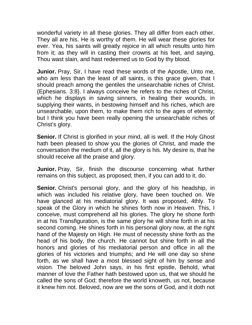wonderful variety in all these glories. They all differ from each other. They all are his. He is worthy of them. He will wear these glories for ever. Yea, his saints will greatly rejoice in all which results unto him from it; as they will in casting their crowns at his feet, and saying, Thou wast slain, and hast redeemed us to God by thy blood.

**Junior.** Pray, Sir, I have read these words of the Apostle, Unto me, who am less than the least of all saints, is this grace given, that I should preach among the gentiles the unsearchable riches of Christ. {Ephesians. 3:8}. I always conceive he refers to the riches of Christ, which he displays in saving sinners, in healing their wounds, in supplying their wants, in bestowing himself and his riches, which are unsearchable, upon them, to make them rich to the ages of eternity; but I think you have been really opening the unsearchable riches of Christ's glory.

**Senior.** If Christ is glorified in your mind, all is well. If the Holy Ghost hath been pleased to show you the glories of Christ, and made the conversation the medium of it, all the glory is his. My desire is, that he should receive all the praise and glory.

**Junior.** Pray, Sir, finish the discourse concerning what further remains on this subject, as proposed; then, if you can add to it, do.

**Senior.** Christ's personal glory, and the glory of his headship, in which was included his relative glory, have been touched on. We have glanced at his mediatorial glory. It was proposed, 4thly. To speak of the Glory in which he shines forth now in Heaven. This, I conceive, must comprehend all his glories. The glory he shone forth in at his Transfiguration, is the same glory he will shine forth in at his second coming. He shines forth in his personal glory now, at the right hand of the Majesty on High. He must of necessity shine forth as the head of his body, the church. He cannot but shine forth in all the honors and glories of his mediatorial person and office in all the glories of his victories and triumphs; and He will one day so shine forth, as we shall have a most blessed sight of him by sense and vision. The beloved John says, in his first epistle, Behold, what manner of love the Father hath bestowed upon us, that we should he called the sons of God; therefore the world knoweth, us not, because it knew him not. Beloved, now are we the sons of God, and it doth not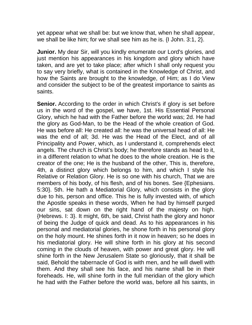yet appear what we shall be: but we know that, when he shall appear, we shall be like him; for we shall see him as he is. {I John. 3:1, 2}.

**Junior.** My dear Sir, will you kindly enumerate our Lord's glories, and just mention his appearances in his kingdom and glory which have taken, and are yet to take place; after which I shall only request you to say very briefly, what is contained in the Knowledge of Christ, and how the Saints are brought to the knowledge, of Him; as I do View and consider the subject to be of the greatest importance to saints as saints.

**Senior.** According to the order in which Christ's if glory is set before us in the word of the gospel, we have, 1st. His Essential Personal Glory, which he had with the Father before the world was; 2d. He had the glory as God-Man, to be the Head of the whole creation of God. He was before all: He created all: he was the universal head of all: He was the end of all; 3d. He was the Head of the Elect, and of all Principality and Power, which, as I understand it, comprehends elect angels. The church is Christ's body; he therefore stands as head to it, in a different relation to what he does to the whole creation. He is the creator of the one; He is the husband of the other, This is, therefore, 4th, a distinct glory which belongs to him, and which I style his Relative or Relation Glory. He is so one with his church, That we are members of his body, of his flesh, and of his bones. See {Ephesians. 5:30}. 5th. He hath a Mediatorial Glory, which consists in the glory due to his, person and office. This he is fully invested with, of which the Apostle speaks in these words, When he had by himself purged our sins, sat down on the right hand of the majesty on high. {Hebrews. I: 3}. It might, 6th, be said, Christ hath the glory and honor of being the Judge of quick and dead. As to his appearances in his personal and mediatorial glories, he shone forth in his personal glory on the holy mount. He shines forth in it now in heaven; so he does in his mediatorial glory. He will shine forth in his glory at his second coming in the clouds of heaven, with power and great glory. He will shine forth in the New Jerusalem State so gloriously, that it shall be said, Behold the tabernacle of God is with men, and he will dwell with them. And they shall see his face, and his name shall be in their foreheads. He, will shine forth in the full meridian of the glory which he had with the Father before the world was, before all his saints, in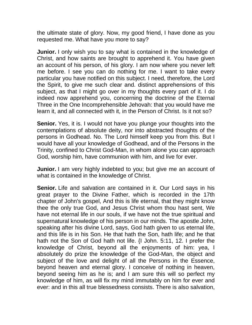the ultimate state of glory. Now, my good friend, I have done as you requested me. What have you more to say?

**Junior.** I only wish you to say what is contained in the knowledge of Christ, and how saints are brought to apprehend it. You have given an account of his person, of his glory. I am now where you never left me before. I see you can do nothing for me. I want to take every particular you have notified on this subject. I need, therefore, the Lord the Spirit, to give me such clear and. distinct apprehensions of this subject, as that I might go over in my thoughts every part of it. I do indeed now apprehend you, concerning the doctrine of the Eternal Three in the One Incomprehensible Jehovah: that you would have me learn it, and all connected with it, in the Person of Christ. Is it not so?

**Senior.** Yes, it is. I would not have you plunge your thoughts into the contemplations of absolute deity, nor into abstracted thoughts of the persons in Godhead. No. The Lord himself keep you from this. But I would have all your knowledge of Godhead, and of the Persons in the Trinity, confined to Christ God-Man, in whom alone you can approach God, worship him, have communion with him, and live for ever.

**Junior.** I am very highly indebted to you; but give me an account of what is contained in the knowledge of Christ.

**Senior.** Life and salvation are contained in it. Our Lord says in his great prayer to the Divine Father, which is recorded in the 17th chapter of John's gospel, And this is life eternal, that they might know thee the only true God, and Jesus Christ whom thou hast sent, We have not eternal life in our souls, if we have not the true spiritual and supernatural knowledge of his person in our minds. The apostle John, speaking after his divine Lord, says, God hath given to us eternal life, and this life is in his Son. He that hath the Son, hath life; and he that hath not the Son of God hath not life. {I John. 5:11, 12. I prefer the knowledge of Christ, beyond all the enjoyments of him: yea, I absolutely do prize the knowledge of the God-Man, the object and subject of the love and delight of all the Persons in the Essence, beyond heaven and eternal glory. I conceive of nothing in heaven, beyond seeing him as he is; and I am sure this will so perfect my knowledge of him, as will fix my mind immutably on him for ever and ever: and in this all true blessedness consists. There is also salvation,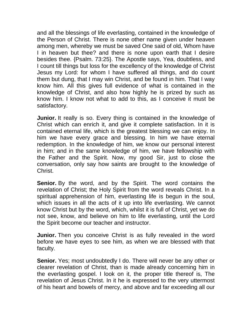and all the blessings of life everlasting, contained in the knowledge of the Person of Christ. There is none other name given under heaven among men, whereby we must be saved One said of old, Whom have I in heaven but thee? and there is none upon earth that I desire besides thee. {Psalm. 73:25}. The Apostle says, Yea, doubtless, and I count till things but loss for the excellency of the knowledge of Christ Jesus my Lord: for whom I have suffered all things, and do count them but dung, that I may win Christ, and be found in him. That I way know him. All this gives full evidence of what is contained in the knowledge of Christ, and also how highly he is prized by such as know him. I know not what to add to this, as I conceive it must be satisfactory.

**Junior.** It really is so. Every thing is contained in the knowledge of Christ which can enrich it, and give it complete satisfaction. In it is contained eternal life, which is the greatest blessing we can enjoy. In him we have every grace and blessing. In him we have eternal redemption. In the knowledge of him, we know our personal interest in him; and in the same knowledge of him, we have fellowship with the Father and the Spirit. Now, my good Sir, just to close the conversation, only say how saints are brought to the knowledge of Christ.

**Senior.** By the word, and by the Spirit. The word contains the revelation of Christ; the Holy Spirit from the word reveals Christ. In a spiritual apprehension of him, everlasting life is begun in the soul, which issues in all the acts of it up into life everlasting. We cannot know Christ but by the word, which, whilst it is full of Christ, yet we do not see, know, and believe on him to life everlasting, until the Lord the Spirit become our teacher and instructor.

**Junior.** Then you conceive Christ is as fully revealed in the word before we have eyes to see him, as when we are blessed with that faculty.

**Senior.** Yes; most undoubtedly I do. There will never be any other or clearer revelation of Christ, than is made already concerning him in the everlasting gospel. I look on it, the proper title thereof is, The revelation of Jesus Christ. In it he is expressed to the very uttermost of his heart and bowels of mercy, and above and far exceeding all our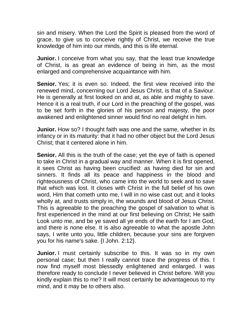sin and misery. When the Lord the Spirit is pleased from the word of grace, to give us to conceive rightly of Christ, we receive the true knowledge of him into our minds, and this is life eternal.

**Junior.** I conceive from what you say, that the least true knowledge of Christ, is as great an evidence of being in him, as the most enlarged and comprehensive acquaintance with him.

**Senior.** Yes; it is even so. Indeed, the first view received into the renewed mind, concerning our Lord Jesus Christ, is that of a Saviour. He is generally at first looked on and at, as able and mighty to save. Hence it is a real truth, if our Lord in the preaching of the gospel, was to be set forth in the glories of his person and majesty, the poor awakened and enlightened sinner would find no real delight in him.

**Junior.** How so? I thought faith was one and the same, whether in its infancy or in its maturity: that it had no other object but the Lord Jesus Christ; that it centered alone in him.

**Senior.** All this is the truth of the case; yet the eye of faith is opened to take in Christ in a gradual way and manner. When it is first opened, it sees Christ as having been crucified: as having died for sin and sinners. It finds all its peace and happiness in the blood and righteousness of Christ, who came into the world to seek and to save that which was lost. It closes with Christ in the full belief of his own word, Him that cometh unto me, I will in no wise cast out; and it looks wholly at, and trusts simply in, the wounds and blood of Jesus Christ. This is agreeable to the preaching the gospel of salvation to what is first experienced in the mind at our first believing on Christ; He saith Look unto me, and be ye saved all ye ends of the earth for I am God, and there is none else. It is also agreeable to what the apostle John says, I write unto you, little children, because your sins are forgiven you for his name's sake. {I John. 2:12}.

**Junior.** I must certainly subscribe to this. It was so in my own personal case; but then I really cannot trace the progress of this. I now find myself most blessedly enlightened and enlarged. I was therefore ready to conclude I never believed in Christ before. Will you kindly explain this to me? It will most certainly be advantageous to my mind, and it may be to others also.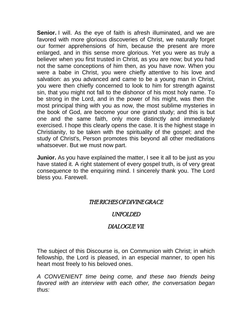**Senior.** I will. As the eye of faith is afresh illuminated, and we are favored with more glorious discoveries of Christ, we naturally forget our former apprehensions of him, because the present are more enlarged, and in this sense more glorious. Yet you were as truly a believer when you first trusted in Christ, as you are now; but you had not the same conceptions of him then, as you have now. When you were a babe in Christ, you were chiefly attentive to his love and salvation: as you advanced and came to be a young man in Christ, you were then chiefly concerned to look to him for strength against sin, that you might not fall to the dishonor of his most holy name. To be strong in the Lord, and in the power of his might, was then the most principal thing with you as now, the most sublime mysteries in the book of God, are become your one grand study; and this is but one and the same faith, only more distinctly and immediately exercised. I hope this clearly opens the case. It is the highest stage in Christianity, to be taken with the spirituality of the gospel; and the study of Christ's, Person promotes this beyond all other meditations whatsoever. But we must now part.

**Junior.** As you have explained the matter, I see it all to be just as you have stated it. A right statement of every gospel truth, is of very great consequence to the enquiring mind. I sincerely thank you. The Lord bless you. Farewell.

### THE RICHES OF DIVINE GRACE

#### UNFOLDED

### DIALOGUE VII.

The subject of this Discourse is, on Communion with Christ; in which fellowship, the Lord is pleased, in an especial manner, to open his heart most freely to his beloved ones.

*A CONVENIENT time being come, and these two friends being favored with an interview with each other, the conversation began thus:*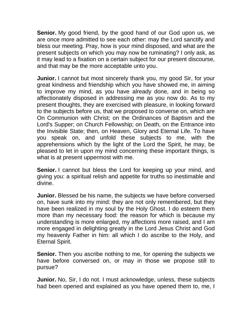**Senior.** My good friend, by the good hand of our God upon us, we are once more admitted to see each other: may the Lord sanctify and bless our meeting. Pray, how is your mind disposed, and what are the present subjects on which you may now be ruminating? I only ask, as it may lead to a fixation on a certain subject for our present discourse, and that may be the more acceptable unto you.

**Junior.** I cannot but most sincerely thank you, my good Sir, for your great kindness and friendship which you have showed me, in aiming to improve my mind, as you have already done, and in being so affectionately disposed in addressing me as you now do. As to my present thoughts, they are exercised with pleasure, in looking forward to the subjects before us, that we proposed to converse on, which are On Communion with Christ; on the Ordinances of Baptism and the Lord's Supper; on Church Fellowship; on Death, on the Entrance into the Invisible State; then, on Heaven, Glory and Eternal Life. To have you speak on, and unfold these subjects to me, with the apprehensions which by the light of the Lord the Spirit, he may, be pleased to let in upon my mind concerning these important things, is what is at present uppermost with me.

**Senior.** I cannot but bless the Lord for keeping up your mind, and giving you: a spiritual relish and appetite for truths so inestimable and divine.

**Junior.** Blessed be his name, the subjects we have before conversed on, have sunk into my mind: they are not only remembered, but they have been realized in my soul by the Holy Ghost. I do esteem them more than my necessary food: the reason for which is because my understanding is more enlarged, my affections more raised, and I am more engaged in delighting greatly in the Lord Jesus Christ and God my heavenly Father in him: all which I do ascribe to the Holy, and Eternal Spirit.

**Senior.** Then you ascribe nothing to me, for opening the subjects we have before conversed on, or may in those we propose still to pursue?

**Junior.** No, Sir, I do not. I must acknowledge, unless, these subjects had been opened and explained as you have opened them to, me, I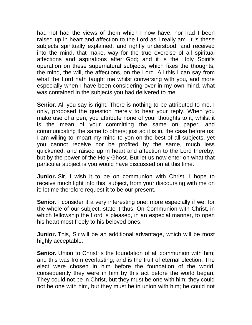had not had the views of them which I now have, nor had I been raised up in heart and affection to the Lord as I really am. It is these subjects spiritually explained, and rightly understood, and received into the mind, that make, way for the true exercise of all spiritual affections and aspirations after God; and it is the Holy Spirit's operation on these supernatural subjects, which fixes the thoughts, the mind, the will, the affections, on the Lord. All this I can say from what the Lord hath taught me whilst conversing with you, and more especially when I have been considering over in my own mind, what was contained in the subjects you had delivered to me.

**Senior.** All you say is right. There is nothing to be attributed to me. I only, proposed the question merely to hear your reply. When you make use of a pen, you attribute none of your thoughts to it, whilst it is the mean of your committing the same on paper, and communicating the same to others; just so it is in, the case before us: I am willing to impart my mind to yon on the best of all subjects, yet you cannot receive nor be profited by the same, much less quickened, and raised up in heart and affection to the Lord thereby, but by the power of the Holy Ghost. But let us now enter on what that particular subject is you would have discussed on at this time.

**Junior.** Sir, I wish it to be on communion with Christ. I hope to receive much light into this, subject, from your discoursing with me on it; lot me therefore request it to be our present.

**Senior.** I consider it a very interesting one; more especially if we, for the whole of our subject, state it thus: On Communion with Christ, in which fellowship the Lord is pleased, in an especial manner, to open his heart most freely to his beloved ones.

**Junior.** This, Sir will be an additional advantage, which will be most highly acceptable.

**Senior.** Union to Christ is the foundation of all communion with him; and this was from everlasting, and is the fruit of eternal election. The elect were chosen in him before the foundation of the world, consequently they were in him by this act before the world began. They could not be in Christ, but they must be one with him; they could not be one with him, but they must be in union with him; he could not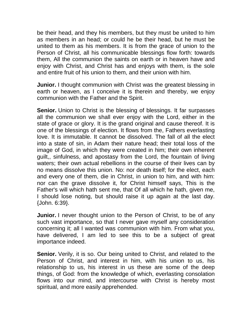be their head, and they his members, but they must be united to him as members in an head; or could he be their head, but he must be united to them as his members. It is from the grace of union to the Person of Christ, all his communicable blessings flow forth: towards them, All the communion the saints on earth or in heaven have and enjoy with Christ, and Christ has and enjoys with them, is the sole and entire fruit of his union to them, and their union with him.

**Junior.** I thought communion with Christ was the greatest blessing in earth or heaven, as I conceive it is therein and thereby, we enjoy communion with the Father and the Spirit.

**Senior.** Union to Christ is the blessing of blessings. It far surpasses all the communion we shall ever enjoy with the Lord, either in the state of grace or glory. It is the grand original and cause thereof. It is one of the blessings of election. It flows from the, Fathers everlasting love. It is immutable. It cannot be dissolved. The fall of all the elect into a state of sin, in Adam their nature head; their total loss of the image of God, in which they were created in him; their own inherent guilt,, sinfulness, and apostasy from the Lord, the fountain of living waters; their own actual rebellions in the course of their lives can by no means dissolve this union. No: nor death itself; for the elect, each and every one of them, die in Christ, in union to him, and with him: nor can the grave dissolve it, for Christ himself says, This is the Father's will which hath sent me, that Of all which he hath, given me, I should lose noting, but should raise it up again at the last day. {John. 6:39}.

**Junior.** I never thought union to the Person of Christ, to be of any such vast importance, so that I never gave myself any consideration concerning it; all I wanted was communion with him. From what you, have delivered, I am led to see this to be a subject of great importance indeed.

**Senior.** Verily, it is so. Our being united to Christ, and related to the Person of Christ, and interest in him, with his union to us, his relationship to us, his interest in us these are some of the deep things, of God: from the knowledge of which, everlasting consolation flows into our mind, and intercourse with Christ is hereby most spiritual, and more easily apprehended.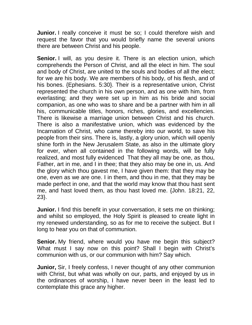**Junior.** I really conceive it must be so; I could therefore wish and request the favor that you would briefly name the several unions there are between Christ and his people.

**Senior.** I will, as you desire it. There is an election union, which comprehends the Person of Christ, and all the elect in him. The soul and body of Christ, are united to the souls and bodies of all the elect; for we are his body. We are members of his body, of his flesh, and of his bones. {Ephesians. 5:30}. Their is a representative union, Christ represented the church in his own person, and as one with him, from everlasting; and they were set up in him as his bride and social companion, as one who was to share and be a partner with him in all his, communicable titles, honors, riches, glories, and excellencies. There is likewise a marriage union between Christ and his church. There is also a manifestative union, which was evidenced by the Incarnation of Christ, who came thereby into our world, to save his people from their sins. There is, lastly, a glory union, which will openly shine forth in the New Jerusalem State, as also in the ultimate glory for ever, when all contained in the following words, will be fully realized, and most fully evidenced That they all may be one, as thou, Father, art in me, and I in thee; that they also may be one in, us. And the glory which thou gavest me, I have given them: that they may be one, even as we are one. I in them, and thou in me, that they may be made perfect in one, and that the world may know that thou hast sent me, and hast loved them, as thou hast loved me. {John. 18:21, 22, 23}.

**Junior.** I find this benefit in your conversation, it sets me on thinking; and whilst so employed, the Holy Spirit is pleased to create light in my renewed understanding, so as for me to receive the subject. But I long to hear you on that of communion.

**Senior.** My friend, where would you have me begin this subject? What must I say now on this point? Shall I begin with Christ's communion with us, or our communion with him? Say which.

**Junior,** Sir, I freely confess, I never thought of any other communion with Christ, but what was wholly on our, parts, and enjoyed by us in the ordinances of worship, I have never been in the least led to contemplate this grace any higher.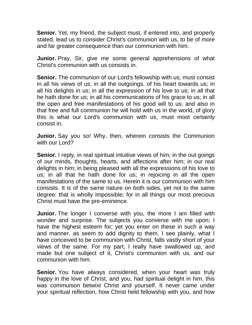**Senior.** Yet, my friend, the subject must, if entered into, and properly stated, lead us to consider Christ's communion with us, to be of more and far greater consequence than our communion with him.

**Junior.** Pray, Sir, give me some general apprehensions of what Christ's communion with us consists in.

**Senior.** The communion of our Lord's fellowship with us, must consist in all his views of us; in all the outgoings. of his heart towards us; in all his delights in us; in all the expression of his love to us; in all that he hath done for us; in all his communications of his grace to us; in all the open and free manifestations of his good will to us; and also in that free and full communion he will hold with us in the world, of glory this is what our Lord's communion with us, must most certainly consist in.

**Junior.** Say you so! Why, then, wherein consists the Communion with our Lord?

**Senior.** I reply, in real spiritual intuitive views of him; in the out goings of our minds, thoughts, hearts, and affections after him; in our real delights in him; in being pleased with all the expressions of his love to us; in all that he hath done for us; in rejoicing in all the open manifestations of the same to us. Herein it is our communion with him consists. It is of the same nature on both sides, yet not to the same degree: that is wholly impossible; for in all things our most precious Christ must have the pre-eminence.

**Junior.** The longer I converse with you, the more I am filled with wonder and surprise. The subjects you converse with me upon; I have the highest esteem for; yet you enter on these in such a way and manner, as seem to add dignity to them. I see plainly, what I have conceived to be communion with Christ, falls vastly short of your views of the same. For my part, I really have swallowed up, and made but one subject of it, Christ's communion with us, and our communion with him.

**Senior.** You have always considered, when your heart was truly happy in the love of Christ, and you, had spiritual delight in him, this was communion betwixt Christ and yourself. It never came under your spiritual reflection, how Christ held fellowship with you, and how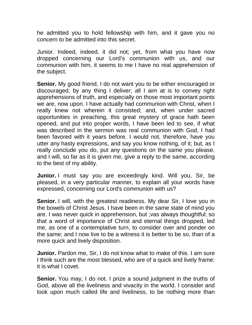he admitted you to hold fellowship with him, and it gave you no concern to be admitted into this secret.

Junior. Indeed, indeed, it did not; yet, from what you have now dropped concerning our Lord's communion with us, and our communion with him, it seems to me I have no real apprehension of the subject.

**Senior.** My good friend, I do not want you to be either encouraged or discouraged, by any thing I deliver; all I aim at is to convey right apprehensions of truth, and especially on those most important points we are, now upon. I have actually had communion with Christ, when I really knew not wherein it consisted; and, when under sacred opportunities in preaching, this great mystery of grace hath been opened, and put into proper words, I have been led to see, if what was described in the sermon was real communion with God, I had been favored with it years before. I would not, therefore, have you utter any hasty expressions, and say you know nothing, of it; but, as I really conclude you do, put any questions on the same you please, and I will, so far as it is given me, give a reply to the same, according to the best of my ability.

**Junior.** I must say you are exceedingly kind. Will you, Sir, be pleased, in a very particular manner, to explain all your words have expressed, concerning our Lord's communion with us?

**Senior.** I will, with the greatest readiness. My dear Sir, I love you in the bowels of Christ Jesus. I have been in the same state of mind you are. I was never quick in apprehension, but ;vas always thoughtful; so that a word of importance of Christ and eternal things dropped, led me, as one of a contemplative turn, to consider over and ponder on the same; and I now live to be a witness it is better to be so, than of a more quick and lively disposition.

**Junior.** Pardon me, Sir, I do not know what to make of this. I am sure I think such are the most blessed, who are of a quick and lively frame: it is what I covet.

**Senior.** You may, I do not. I prize a sound judgment in the truths of God, above all the liveliness and vivacity in the world. I consider and look upon much called life and liveliness, to be nothing more than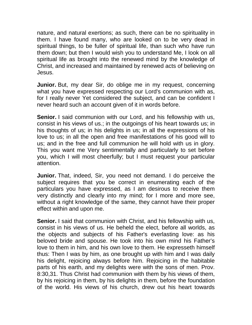nature, and natural exertions; as such, there can be no spirituality in them. I have found many, who are looked on to be very dead in spiritual things, to be fuller of spiritual life, than such who have run them down; but then I would wish you to understand Me, I look on all spiritual life as brought into the renewed mind by the knowledge of Christ, and increased and maintained by renewed acts of believing on Jesus.

**Junior.** But, my dear Sir, do oblige me in my request, concerning what you have expressed respecting our Lord's communion with as, for I really never Yet considered the subject, and can be confident I never heard such an account given of it in words before.

**Senior.** I said communion with our Lord, and his fellowship with us, consist in his views of us.; in the outgoings of his heart towards us; in his thoughts of us; in his delights in us; in all the expressions of his love to us; in all the open and free manifestations of his good will to us; and in the free and full communion he will hold with us in glory. This you want me Very sentimentally and particularly to set before you, which I will most cheerfully; but I must request your particular attention.

**Junior.** That, indeed, Sir, you need not demand. I do perceive the subject requires that you be correct in enumerating each of the particulars you have expressed, as I am desirous to receive them very distinctly and clearly into my mind; for I more and more see, without a right knowledge of the same, they cannot have their proper effect within and upon me.

**Senior.** I said that communion with Christ, and his fellowship with us, consist in his views of us. He beheld the elect, before all worlds, as the objects and subjects of his Father's everlasting love: as his beloved bride and spouse. He took into his own mind his Father's love to them in him, and his own love to them. He expresseth himself thus: Then I was by him, as one brought up with him and I was daily his delight, rejoicing always before him. Rejoicing in the habitable parts of his earth, and my delights were with the sons of men. Prov. 8:30,31. Thus Christ had communion with them by his views of them, by his rejoicing in them, by his delights in them, before the foundation of the world. His views of his church, drew out his heart towards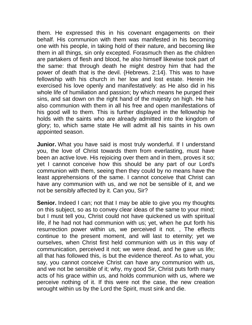them. He expressed this in his covenant engagements on their behalf. His communion with them was manifested in his becoming one with his people, in taking hold of their nature, and becoming like them in all things, sin only excepted. Forasmuch then as the children are partakers of flesh and blood, he also himself likewise took part of the same: that through death he might destroy him that had the power of death that is the devil. {Hebrews. 2:14}. This was to have fellowship with his church in her low and lost estate. Herein He exercised his love openly and manifestatively: as He also did in his whole life of humiliation and passion; by which means he purged their sins, and sat down on the right hand of the majesty on high. He has also communion with them in all his free and open manifestations of his good will to them. This is further displayed in the fellowship he holds with the saints who are already admitted into the kingdom of glory; to, which same state He will admit all his saints in his own appointed season.

**Junior.** What you have said is most truly wonderful. If I understand you, the love of Christ towards them from everlasting, must have been an active love. His rejoicing over them and in them, proves it so; yet I cannot conceive how this should be any part of our Lord's communion with them, seeing then they could by no means have the least apprehensions of the same. I cannot conceive that Christ can have any communion with us, and we not be sensible of it, and we not be sensibly affected by it. Can you, Sir?

**Senior.** Indeed I can; not that I may be able to give you my thoughts on this subject, so as to convey clear ideas of the same to your mind; but I must tell you, Christ could not have quickened us with spiritual life, if he had not had communion with us; yet, when he put forth his resurrection power within us, we perceived it not. , The effects continue to the present moment, and will last to eternity; yet we ourselves, when Christ first held communion with us in this way of communication, perceived it not; we were dead, and he gave us life; all that has followed this, is but the evidence thereof. As to what, you say, you cannot conceive Christ can have any communion with us, and we not be sensible of it; why, my good Sir, Christ puts forth many acts of his grace within us, and holds communion with us, where we perceive nothing of it. If this were not the case, the new creation wrought within us by the Lord the Spirit, must sink and die.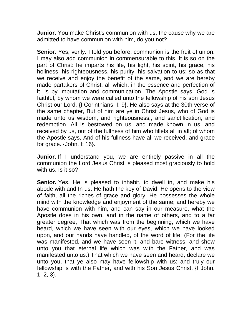**Junior.** You make Christ's communion with us, the cause why we are admitted to have communion with him, do you not?

**Senior.** Yes, verily. I told you before, communion is the fruit of union. I may also add communion in commensurable to this. It is so on the part of Christ: he imparts his life, his light, his spirit, his grace, his holiness, his righteousness, his purity, his salvation to us; so as that we receive and enjoy the benefit of the same, and we are hereby made partakers of Christ: all which, in the essence and perfection of it, is by imputation and communication. The Apostle says, God is faithful, by whom we were called unto the fellowship of his son Jesus Christ our Lord. {I Corinthians. I: 9}. He also says at the 30th verse of the same chapter, But of him are ye in Christ Jesus, who of God is made unto us wisdom, and righteousness,, and sanctification, and redemption. All is bestowed on us, and made known in us, and received by us, out of the fullness of him who fillets all in all; of whom the Apostle says, And of his fullness have all we received, and grace for grace. {John. I: 16}.

**Junior.** If I understand you, we are entirely passive in all the communion the Lord Jesus Christ is pleased most graciously to hold with us. Is it so?

**Senior.** Yes. He is pleased to inhabit, to dwell in, and make his abode with and In us. He hath the key of David. He opens to the view of faith, all the riches of grace and glory. He possesses the whole mind with the knowledge and enjoyment of the same; and hereby we have communion with him, and can say in our measure, what the Apostle does in his own, and in the name of others, and to a far greater degree, That which was from the beginning, which we have heard, which we have seen with our eyes, which we have looked upon, and our hands have handled, of the word of life; (For the life was manifested, and we have seen it, and bare witness, and show unto you that eternal life which was with the Father, and was manifested unto us:) That which we have seen and heard, declare we unto you, that ye also may have fellowship with us: and truly our fellowship is with the Father, and with his Son Jesus Christ. {I John. 1: 2, 3}.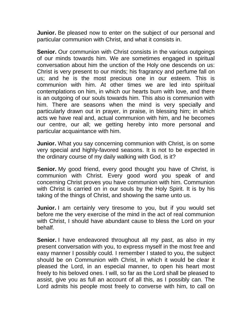**Junior.** Be pleased now to enter on the subject of our personal and particular communion with Christ, and what it consists in.

**Senior.** Our communion with Christ consists in the various outgoings of our minds towards him. We are sometimes engaged in spiritual conversation about him the unction of the Holy one descends on us: Christ is very present to our minds; his fragrancy and perfume fall on us; and he is the most precious one in our esteem. This is communion with him. At other times we are led into spiritual contemplations on him, in which our hearts burn with love, and there is an outgoing of our souls towards him. This also is communion with him. There are seasons when the mind is very specially and particularly drawn out in prayer, in praise, in blessing him; in which acts we have real and, actual communion with him, and he becomes our centre, our all; we getting hereby into more personal and particular acquaintance with him.

**Junior.** What you say concerning communion with Christ, is on some very special and highly-favored seasons. It is not to be expected in the ordinary course of my daily walking with God, is it?

**Senior.** My good friend, every good thought you have of Christ, is communion with Christ. Every good word you speak of and concerning Christ proves you have communion with him. Communion with Christ is carried on in our souls by the Holy Spirit. It is by his taking of the things of Christ, and showing the same unto us.

**Junior.** I am certainly very tiresome to you, but if you would set before me the very exercise of the mind in the act of real communion with Christ, I should have abundant cause to bless the Lord on your behalf.

**Senior.** I have endeavored throughout all my past, as also in my present conversation with you, to express myself in the most free and easy manner I possibly could. I remember I stated to you, the subject should be on Communion with Christ, in which it would be clear it pleased the Lord, in an especial manner, to open his heart most freely to his beloved ones. I will, so far as the Lord shall be pleased to assist, give you as full an account of all this, as I possibly can. The Lord admits his people most freely to converse with him, to call on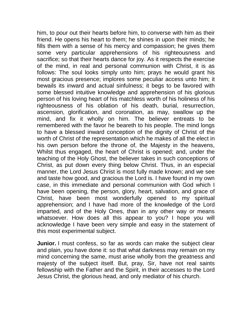him, to pour out their hearts before him, to converse with him as their friend. He opens his heart to them; he shines in upon their minds; he fills them with a sense of his mercy and compassion; he gives them some very particular apprehensions of his righteousness and sacrifice; so that their hearts dance for joy. As it respects the exercise of the mind, in real and personal communion with Christ, it is as follows: The soul looks simply unto him; prays he would grant his most gracious presence; implores some peculiar access unto him; it bewails its inward and actual sinfulness; it begs to be favored with some blessed intuitive knowledge and apprehension of his glorious person of his loving heart of his matchless worth of his holiness of his righteousness of his oblation of his death, burial, resurrection, ascension, glorification, and coronation, as may, swallow up the mind, and fix it wholly on him. The believer entreats to be remembered with the favor he beareth to his people. The mind longs to have a blessed inward conception of the dignity of Christ of the worth of Christ of the representation which he makes of all the elect in his own person before the throne of, the Majesty in the heavens, Whilst thus engaged, the heart of Christ is opened; and, under the teaching of the Holy Ghost, the believer takes in such conceptions of Christ, as put down every thing below Christ. Thus, in an especial manner, the Lord Jesus Christ is most fully made known; and we see and taste how good, and gracious the Lord is. I have found in my own case, in this immediate and personal communion with God which I have been opening, the person, glory, heart, salvation, and grace of Christ, have been most wonderfully opened to my spiritual apprehension; and I have had more of the knowledge of the Lord imparted, and of the Holy Ones, than in any other way or means whatsoever. How does all this appear to you? I hope you will acknowledge I have been very simple and easy in the statement of this most experimental subject.

**Junior.** I must confess, so far as words can make the subject clear and plain, you have done it: so that what darkness may remain on my mind concerning the same, must arise wholly from the greatness and majesty of the subject itself. But, pray, Sir, have not real saints fellowship with the Father and the Spirit, in their accesses to the Lord Jesus Christ, the glorious head, and only mediator of his church.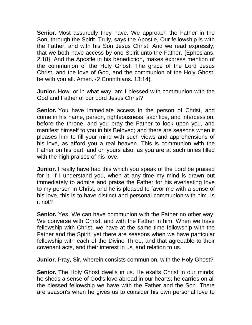**Senior.** Most assuredly they have. We approach the Father in the Son, through the Spirit. Truly, says the Apostle, Our fellowship is with the Father, and with his Son Jesus Christ. And we read expressly, that we both have access by one Spirit unto the Father. {Ephesians. 2:18}. And the Apostle in his benediction, makes express mention of the communion of the Holy Ghost: The grace of the Lord Jesus Christ, and the love of God, and the communion of the Holy Ghost, be with you all. Amen. {2 Corinthians. 13:14}.

**Junior.** How, or in what way, am I blessed with communion with the God and Father of our Lord Jesus Christ?

**Senior.** You have immediate access in the person of Christ, and come in his name, person, righteousness, sacrifice, and intercession, before the throne, and you pray the Father to look upon you, and manifest himself to you in his Beloved; and there are seasons when it pleases him to fill your mind with such views and apprehensions of his love, as afford you a real heaven. This is communion with the Father on his part, and on yours also, as you are at such times filled with the high praises of his love.

**Junior.** I really have had this which you speak of the Lord be praised for it. If I understand you, when at any time my mind is drawn out immediately to admire and praise the Father for his everlasting love to my person in Christ, and he is pleased to favor me with a sense of his love, this is to have distinct and personal communion with him. Is it not?

**Senior.** Yes. We can have communion with the Father no other way. We converse with Christ, and with the Father in him. When we have fellowship with Christ, we have at the same time fellowship with the Father and the Spirit; yet there are seasons when we have particular fellowship with each of the Divine Three, and that agreeable to their covenant acts, and their interest in us, and relation to us.

**Junior.** Pray, Sir, wherein consists communion, with the Holy Ghost?

**Senior.** The Holy Ghost dwells in us. He exalts Christ in our minds; he sheds a sense of God's love abroad in our hearts; he carries on all the blessed fellowship we have with the Father and the Son. There are season's when he gives us to consider his own personal love to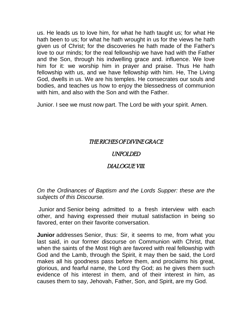us. He leads us to love him, for what he hath taught us; for what He hath been to us; for what he hath wrought in us for the views he hath given us of Christ; for the discoveries he hath made of the Father's love to our minds; for the real fellowship we have had with the Father and the Son, through his indwelling grace and. influence. We love him for it: we worship him in prayer and praise. Thus He hath fellowship with us, and we have fellowship with him. He, The Living God, dwells in us. We are his temples. He consecrates our souls and bodies, and teaches us how to enjoy the blessedness of communion with him, and also with the Son and with the Father.

Junior. I see we must now part. The Lord be with your spirit. Amen.

# THE RICHES OF DIVINE GRACE

## UNFOLDED

# DIALOGUE VIII.

*On the Ordinances of Baptism and the Lords Supper: these are the subjects of this Discourse.*

Junior and Senior being admitted to a fresh interview with each other, and having expressed their mutual satisfaction in being so favored, enter on their favorite conversation.

**Junior** addresses Senior, thus: Sir, it seems to me, from what you last said, in our former discourse on Communion with Christ, that when the saints of the Most High are favored with real fellowship with God and the Lamb, through the Spirit, it may then be said, the Lord makes all his goodness pass before them, and proclaims his great, glorious, and fearful name, the Lord thy God; as he gives them such evidence of his interest in them, and of their interest in him, as causes them to say, Jehovah, Father, Son, and Spirit, are my God.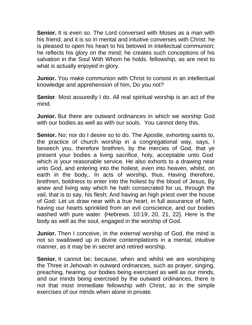**Senior.** It is even so. The Lord conversed with Moses as a man with his friend; and it is so in mental and intuitive converses with Christ: he is pleased to open his heart to his beloved in intellectual communion; he reflects his glory on the mind; he creates such conceptions of his salvation in the Soul With Whom he holds. fellowship, as are next to what is actually enjoyed in glory.

**Junior.** You make communion with Christ to consist in an intellectual knowledge and apprehension of him, Do you not?

**Senior**. Most assuredly I do. All real spiritual worship is an act of the mind.

**Junior.** But there are outward ordinances in which we worship God with our bodies as well as with our souls. You cannot deny this.

**Senior.** No; nor do I desire so to do. The Apostle, exhorting saints to, the practice of church worship in a congregational way, says, I beseech you, therefore brethren, by the mercies of God, that ye present your bodies a living sacrifice, holy, acceptable unto God which is your reasonable service. He also exhorts to a drawing near unto God, and entering into the holiest, even into heaven, whilst, on earth in the body,. In acts of worship, thus, Having therefore, brethren, boldness to enter into the holiest by the blood of Jesus, By anew and living way which he hath consecrated for us, through the vail, that is to say, his flesh; And having an high priest over the house of God: Let us draw near with a true heart, in full assurance of faith, having our hearts sprinkled from an evil conscience, and our bodies washed with pure water. {Hebrews. 10:19, 20, 21, 22}. Here is the body as well as the soul, engaged in the worship of God.

**Junior.** Then I conceive, in the external worship of God, the mind is not so swallowed up in divine contemplations in a mental, intuitive manner, as it may be in secret and retired worship.

**Senior.** It cannot be; because, when and whilst we are worshiping the Three in Jehovah in outward ordinances, such as prayer, singing, preaching, hearing, our bodies being exercised as well as our minds, and our minds being exercised by the outward ordinances, there is not that most immediate fellowship with Christ, as in the simple exercises of our minds when alone in private.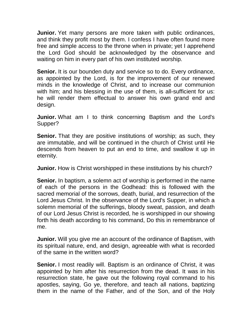**Junior.** Yet many persons are more taken with public ordinances, and think they profit most by them. I confess I have often found more free and simple access to the throne when in private; yet I apprehend the Lord God should be acknowledged by the observance and waiting on him in every part of his own instituted worship.

**Senior.** It is our bounden duty and service so to do. Every ordinance, as appointed by the Lord, is for the improvement of our renewed minds in the knowledge of Christ, and to increase our communion with him; and his blessing in the use of them, is all-sufficient for us: he will render them effectual to answer his own grand end and design.

**Junior.** What am I to think concerning Baptism and the Lord's Supper?

**Senior.** That they are positive institutions of worship; as such, they are immutable, and will be continued in the church of Christ until He descends from heaven to put an end to time, and swallow it up in eternity.

**Junior.** How is Christ worshipped in these institutions by his church?

**Senior.** In baptism, a solemn act of worship is performed in the name of each of the persons in the Godhead: this is followed with the sacred memorial of the sorrows, death, burial, and resurrection of the Lord Jesus Christ. In the observance of the Lord's Supper, in which a solemn memorial of the sufferings, bloody sweat, passion, and death of our Lord Jesus Christ is recorded, he is worshipped in our showing forth his death according to his command, Do this in remembrance of me.

**Junior.** Will you give me an account of the ordinance of Baptism, with its spiritual nature, end, and design, agreeable with what is recorded of the same in the written word?

**Senior.** I most readily will. Baptism is an ordinance of Christ, it was appointed by him after his resurrection from the dead. It was in his resurrection state, he gave out the following royal command to his apostles, saying, Go ye, therefore, and teach all nations, baptizing them in the name of the Father, and of the Son, and of the Holy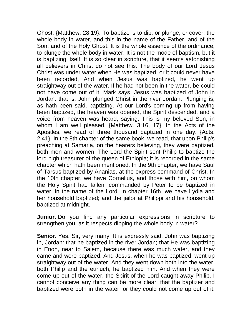Ghost. {Matthew. 28:19}. To baptize is to dip, or plunge, or cover, the whole body in water, and this in the name of the Father, and of the Son, and of the Holy Ghost. It is the whole essence of the ordinance, to plunge the whole body in water. It is not the mode of baptism, but it is baptizing itself. It is so clear in scripture, that it seems astonishing all believers in Christ do not see this. The body of our Lord Jesus Christ was under water when He was baptized, or it could never have been recorded, And when Jesus was baptized, he went up straightway out of the water. If he had not been in the water, be could not have come out of it. Mark says, Jesus was baptized of John in Jordan: that is, John plunged Christ in the river Jordan. Plunging is, as hath been said, baptizing. At our Lord's coming up from having been baptized, the heaven was opened, the Spirit descended, and a voice from heaven was heard, saying, This is my beloved Son, in whom I am well pleased. {Matthew. 3:16, 17}. In the Acts of the Apostles, we read of three thousand baptized in one day. {Acts. 2:41}. In the 8th chapter of the same book, we read, that upon Philip's preaching at Samaria, on the hearers believing, they were baptized, both men and women. The Lord the Spirit sent Philip to baptize the lord high treasurer of the queen of Ethiopia; it is recorded in the same chapter which hath been mentioned. In the 9th chapter, we have Saul of Tarsus baptized by Ananias, at the express command of Christ. In the 10th chapter, we have Cornelius, and those with him, on whom the Holy Spirit had fallen, commanded by Peter to be baptized in water, in the name of the Lord. In chapter 16th, we have Lydia and her household baptized; and the jailor at Philippi and his household, baptized at midnight.

**Junior.** Do you find any particular expressions in scripture to strengthen you, as it respects dipping the whole body in water?

**Senior.** Yes, Sir, very many. It is expressly said, John was baptizing in, Jordan: that he baptized in the river Jordan; that He was baptizing in Enon, near to Salem, because there was much water, and they came and were baptized. And Jesus, when he was baptized, went up straightway out of the water. And they went down both into the water, both Philip and the eunuch, he baptized him. And when they were come up out of the water, the Spirit of the Lord caught away Philip. I cannot conceive any thing can be more clear, that the baptizer and baptized were both in the water, or they could not come up out of it.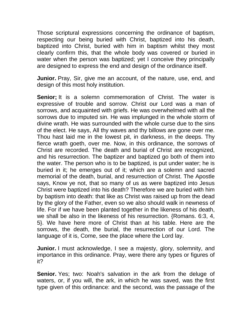Those scriptural expressions concerning the ordinance of baptism, respecting our being buried with Christ, baptized into his death, baptized into Christ, buried with him in baptism whilst they most clearly confirm this, that the whole body was covered or buried in water when the person was baptized; yet I conceive they principally are designed to express the end and design of the ordinance itself.

**Junior.** Pray, Sir, give me an account, of the nature, use, end, and design of this most holy institution.

**Senior**; It is a solemn commemoration of Christ. The water is expressive of trouble and sorrow. Christ our Lord was a man of sorrows, and acquainted with griefs. He was overwhelmed with all the sorrows due to imputed sin. He was implunged in the whole storm of divine wrath. He was surrounded with the whole curse due to the sins of the elect. He says, All thy waves and thy billows are gone over me. Thou hast laid me in the lowest pit, in darkness, in the deeps. Thy fierce wrath goeth, over me. Now, in this ordinance, the sorrows of Christ are recorded. The death and burial of Christ are recognized, and his resurrection. The baptizer and baptized go both of them into the water. The person who is to be baptized, is put under water; he is buried in it; he emerges out of it; which are a solemn and sacred memorial of the death, burial, and resurrection of Christ. The Apostle says, Know ye not, that so many of us as were baptized into Jesus Christ were baptized into his death? Therefore we are buried with him by baptism into death: that like as Christ was raised up from the dead by the glory of the Father, even so we also should walk in newness of life. For if we have been planted together in the likeness of his death, we shall be also in the likeness of his resurrection. {Romans. 6:3, 4, 5}. We have here more of Christ than at his table. Here are the sorrows, the death, the burial, the resurrection of our Lord. The language of it is, Come, see the place where the Lord lay.

**Junior.** I must acknowledge, I see a majesty, glory, solemnity, and importance in this ordinance. Pray, were there any types or figures of it?

**Senior.** Yes; two: Noah's salvation in the ark from the deluge of waters, or, if you will, the ark, in which he was saved, was the first type given of this ordinance: and the second, was the passage of the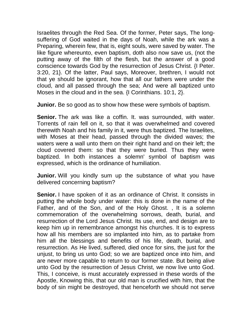Israelites through the Red Sea. Of the former, Peter says, The longsuffering of God waited in the days of Noah, while the ark was a Preparing, wherein few, that is, eight souls, were saved by water. The like figure whereunto, even baptism, doth also now save us, (not the putting away of the filth of the flesh, but the answer of a good conscience towards God by the resurrection of Jesus Christ. {I Peter. 3:20, 21}. Of the latter, Paul says, Moreover, brethren, I would not that ye should be ignorant, how that all our fathers were under the cloud, and all passed through the sea; And were all baptized unto Moses in the cloud and in the sea. {I Corinthians. 10:1, 2}.

**Junior.** Be so good as to show how these were symbols of baptism.

**Senior.** The ark was like a coffin. It. was surrounded, with water. Torrents of rain fell on it, so that it was overwhelmed and covered therewith Noah and his family in it, were thus baptized. The Israelites, with Moses at their head, passed through the divided waves; the waters were a wall unto them on their right hand and on their left; the cloud covered them: so that they were buried. Thus they were baptized. In both instances a solemn' symbol of baptism was expressed, which is the ordinance of humiliation.

**Junior.** Will you kindly sum up the substance of what you have delivered concerning baptism?

**Senior.** I have spoken of it as an ordinance of Christ. It consists in putting the whole body under water: this is done in the name of the Father, and of the Son, and of the Holy Ghost. , It is a solemn commemoration of the overwhelming sorrows, death, burial, and resurrection of the Lord Jesus Christ. Its use, end, and design are to keep him up in remembrance amongst his churches. It is to express how all his members are so implanted into him, as to partake from him all the blessings and benefits of his life, death, burial, and resurrection. As He lived, suffered, died once for sins, the just for the unjust, to bring us unto God; so we are baptized once into him, and are never more capable to return to our former state. But being alive unto God by the resurrection of Jesus Christ, we now live unto God. This, I conceive, is must accurately expressed in these words of the Apostle, Knowing this, that our old man is crucified with him, that the body of sin might be destroyed, that henceforth we should not serve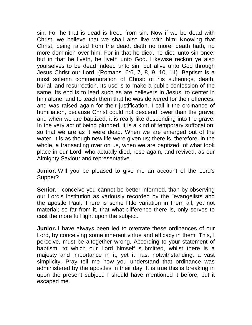sin. For he that is dead is freed from sin. Now if we be dead with Christ, we believe that we shall also live with him: Knowing that Christ, being raised from the dead, dieth no more; death hath, no more dominion over him. For in that he died, he died unto sin once: but in that he liveth, he liveth unto God. Likewise reckon ye also yourselves to be dead indeed unto sin, but alive unto God through Jesus Christ our Lord. {Romans. 6:6, 7, 8, 9, 10, 11}. Baptism is a most solemn commemoration of Christ: of his sufferings, death, burial, and resurrection. Its use is to make a public confession of the same. Its end is to lead such as are believers in Jesus, to center in him alone; and to teach them that he was delivered for their offences, and was raised again for their justification. I call it the ordinance of humiliation, because Christ could not descend lower than the grave; and when we are baptized, it is really like descending into the grave. In the very act of being plunged, it is a kind of temporary suffocation; so that we are as it were dead. When we are emerged out of the water, it is as though new life were given us; there is, therefore, in the whole, a transacting over on us, when we are baptized; of what took place in our Lord, who actually died, rose again, and revived, as our Almighty Saviour and representative.

**Junior.** Will you be pleased to give me an account of the Lord's Supper?

**Senior.** I conceive you cannot be better informed, than by observing our Lord's institution as variously recorded by the "evangelists and the apostle Paul. There is some little variation in them all, yet not material; so far from it, that what difference there is, only serves to cast the more full light upon the subject.

**Junior.** I have always been led to overrate these ordinances of our Lord, by conceiving some inherent virtue and efficacy in them. This, I perceive, must be altogether wrong. According to your statement of baptism, to which our Lord himself submitted, whilst there is a majesty and importance in it, yet it has, notwithstanding, a vast simplicity. Pray tell me how you understand that ordinance was administered by the apostles in their day. It is true this is breaking in upon the present subject. I should have mentioned it before, but it escaped me.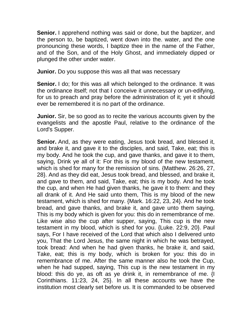**Senior.** I apprehend nothing was said or done, but the baptizer, and the person to, be baptized, went down into the. water, and the one pronouncing these words, I baptize thee in the name of the Father, and of the Son, and of the Holy Ghost, and immediately dipped or plunged the other under water.

**Junior.** Do you suppose this was all that was necessary

**Senior.** I do; for this was all which belonged to the ordinance. It was the ordinance itself; not that I conceive it unnecessary or un-edifying, for us to preach and pray before the administration of it; yet it should ever be remembered it is no part of the ordinance.

**Junior.** Sir, be so good as to recite the various accounts given by the evangelists and the apostle Paul, relative to the ordinance of the Lord's Supper.

**Senior.** And, as they were eating, Jesus took bread, and blessed it, and brake it, and gave it to the disciples, and said, Take, eat; this is my body. And he took the cup, and gave thanks, and gave it to them, saying, Drink ye all of it: For this is my blood of the new testament, which is shed for many for the remission of sins. {Matthew. 26:26, 27, 28}. And as they did eat, Jesus took bread, and blessed, and brake it, and gave to them, and said, Take, eat; this is my body. And he took the cup, and when He had given thanks, he gave it to them: and they all drank of it. And He said unto them, This is my blood of the new testament, which is shed for many. {Mark. 16:22, 23, 24}. And he took bread, and gave thanks, and brake it, and gave unto them saying, This is my body which is given for you: this do in remembrance of me. Like wise also the cup after supper, saying, This cup is the new testament in my blood, which is shed for you. {Luke. 22:9, 20}. Paul says, For I have received of the Lord that which also I delivered unto you, That the Lord Jesus, the same night in which he was betrayed, took bread: And when he had given thanks, he brake it, and said, Take, eat; this is my body, which is broken for you: this do in remembrance of me. After the same manner also he took the Cup, when he had supped, saying, This cup is the new testament in my blood: this do ye, as oft as ye drink it, in remembrance of me. {I Corinthians. 11:23, 24, 25}. In all these accounts we have the institution most clearly set before us. It is commanded to be observed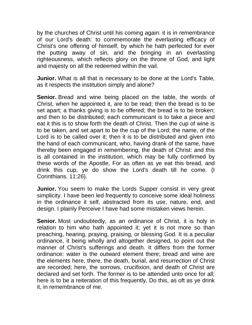by the churches of Christ until his coming again: it is in remembrance of our Lord's death: to commemorate the everlasting efficacy of Christ's one offering of himself, by which he hath perfected for ever the putting away of sin, and the bringing in an everlasting righteousness, which reflects glory on the throne of God, and light and majesty on all the redeemed within the vail.

**Junior.** What is all that is necessary to be done at the Lord's Table, as it respects the institution simply and alone?

**Senior.** Bread and wine being placed on the table, the words of Christ, when he appointed it, are to be read; then the bread is to be set apart; a thanks giving is to be offered; the bread is to be broken; and then to be distributed; each communicant is to take a piece and eat it this is to show forth the death of Christ. Then the cup of wine is to be taken, and set apart to be the cup of the Lord; the name, of the Lord is to be called over it; then it is to be distributed and given into the hand of each communicant, who, having drank of the same, have thereby been engaged in remembering, the death of Christ: and this is all contained in the institution, which may be fully confirmed by these words of the Apostle, For as often as ye eat this bread, and drink this cup, ye do show the Lord's death till he come. {I Corinthians. 11:26}.

**Junior.** You seem to make the Lords Supper consist in very great simplicity. I have been led frequently to conceive some ideal holiness in the ordinance it self, abstracted from its use, nature, end, and design. I plainly Perceive I have had some mistaken views herein.

**Senior.** Most undoubtedly, as an ordinance of Christ, it is holy in relation to him who hath appointed it; yet it is not more so than preaching, hearing, praying, praising, or blessing God. It is a peculiar ordinance, it being wholly and altogether designed, to point out the manner of Christ's sufferings and death. It differs from the former ordinance: water is the outward element there; bread and wine are the elements here, there, the death, burial, and resurrection of Christ are recorded; here, the sorrows, crucifixion, and death of Christ are declared and set forth. The former is to be attended unto once for all; here is to be a reiteration of this frequently, Do this, as oft as ye drink it, in remembrance of me.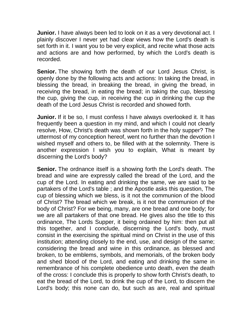**Junior.** I have always been led to look on it as a very devotional act. I plainly discover I never yet had clear views how the Lord's death is set forth in it. I want you to be very explicit, and recite what those acts and actions are and how performed, by which the Lord's death is recorded.

**Senior.** The showing forth the death of our Lord Jesus Christ, is openly done by the following acts and actions: In taking the bread, in blessing the bread, in breaking the bread, in giving the bread, in receiving the bread, in eating the bread; in taking the cup, blessing the cup, giving the cup, in receiving the cup in drinking the cup the death of the Lord Jesus Christ is recorded and showed forth.

**Junior.** If it be so, I must confess I have always overlooked it. It has frequently been a question in my mind, and which I could not clearly resolve, How, Christ's death was shown forth in the holy supper? The uttermost of my conception hereof, went no further than the devotion I wished myself and others to, be filled with at the solemnity. There is another expression I wish you to explain, What is meant by discerning the Lord's body?

**Senior.** The ordnance itself is a showing forth the Lord's death. The bread and wine are expressly called the bread of the Lord, and the cup of the Lord. In eating and drinking the same, we are said to be partakers of the Lord's table ; and the Apostle asks this question, The cup of blessing which we bless, is it not the communion of the blood of Christ? The bread which we break, is it not the communion of the body of Christ? For we being, many, are one bread and one body; for we are all partakers of that one bread. He gives also the title to this ordinance, The Lords Supper, it being ordained by him: then put all this together, and I conclude, discerning the Lord's body, must consist in the exercising the spiritual mind on Christ in the use of this institution; attending closely to the end, use, and design of the same; considering the bread and wine in this ordinance, as blessed and broken, to be emblems, symbols, and memorials, of the broken body and shed blood of the Lord, and eating and drinking the same in remembrance of his complete obedience unto death, even the death of the cross: I conclude this is properly to show forth Christ's death, to eat the bread of the Lord, to drink the cup of the Lord, to discern the Lord's body; this none can do, but such as are, real and spiritual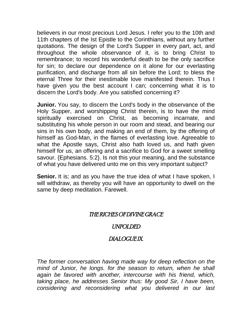believers in our most precious Lord Jesus. I refer you to the 10th and 11th chapters of the Ist Epistle to the Corinthians, without any further quotations. The design of the Lord's Supper in every part, act, and throughout the whole observance of it, is to bring Christ to remembrance; to record his wonderful death to be the only sacrifice for sin; to declare our dependence on it alone for our everlasting purification, and discharge from all sin before the Lord; to bless the eternal Three for their inestimable love manifested therein. Thus I have given you the best account I can; concerning what it is to discern the Lord's body. Are you satisfied concerning it?

**Junior.** You say, to discern the Lord's body in the observance of the Holy Supper, and worshipping Christ therein, is to have the mind spiritually exercised on Christ, as becoming incarnate, and substituting his whole person in our room and stead, and bearing our sins in his own body, and making an end of them, by the offering of himself as God-Man, in the flames of everlasting love. Agreeable to what the Apostle says, Christ also hath loved us, and hath given himself for us, an offering and a sacrifice to God for a sweet smelling savour. {Ephesians. 5:2}. Is not this your meaning, and the substance of what you have delivered unto me on this very important subject?

**Senior.** It is; and as you have the true idea of what I have spoken, I will withdraw, as thereby you will have an opportunity to dwell on the same by deep meditation. Farewell.

#### THE RICHES OF DIVINE GRACE

#### UNFOLDED

## DIALOGUE IX.

*The former conversation having made way for deep reflection on the mind of Junior, he longs. for the season to return, when he shall again be favored with another, intercourse with his friend, which, taking place, he addresses Senior thus: My good Sir, I have been, considering and reconsidering what you delivered in our last*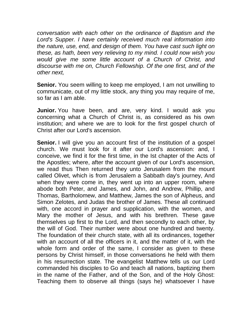*conversation with each other on the ordinance of Baptism and the Lord's Supper. I have certainly received much real information into the nature, use, end, and design of them. You have cast such light on these, as hath, been very relieving to my mind. I could now wish you would give me some little account of a Church of Christ, and discourse with me on, Church Fellowship. Of the one first, and of the other next,*

**Senior.** You seem willing to keep me employed, I am not unwilling to communicate, out of my little stock, any thing you may require of me, so far as I am able.

**Junior.** You have been, and are, very kind. I would ask you concerning what a Church of Christ is, as considered as his own institution; and where we are to look for the first gospel church of Christ after our Lord's ascension.

**Senior.** I will give you an account first of the institution of a gospel church. We must look for it after our Lord's ascension: and, I conceive, we find it for the first time, in the Ist chapter of the Acts of the Apostles; where, after the account given of our Lord's ascension, we read thus Then returned they unto Jerusalem from the mount called Olivet, which is from Jerusalem a Sabbath day's journey, And when they were come in, they went up into an upper room, where abode both Peter, and James, and John, and Andrew, Phillip, and Thomas, Bartholomew, and Matthew, James the son of Alpheus, and Simon Zelotes, and Judas the brother of James. These all continued with, one accord in prayer and supplication, with the women, and Mary the mother of Jesus, and with his brethren. These gave themselves up first to the Lord, and then secondly to each other, by the will of God. Their number were about one hundred and twenty. The foundation of their church state, with all its ordinances, together with an account of all the officers in it, and the matter of it, with the whole form and order of the same, I consider as given to these persons by Christ himself, in those conversations he held with them in his resurrection state. The evangelist Matthew tells us our Lord commanded his disciples to Go and teach all nations, baptizing them in the name of the Father, and of the Son, and of the Holy Ghost: Teaching them to observe all things (says he) whatsoever I have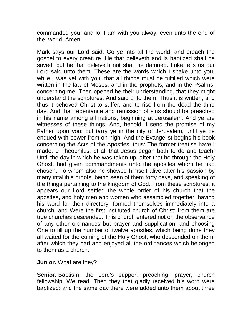commanded you: and lo, I am with you alway, even unto the end of the, world. Amen.

Mark says our Lord said, Go ye into all the world, and preach the gospel to every creature. He that believeth and is baptized shall be saved: but he that believeth not shall he damned. Luke tells us our Lord said unto them, These are the words which I spake unto you, while I was yet with you, that all things must be fulfilled which were written in the law of Moses, and in the prophets, and in the Psalms, concerning me. Then opened he their understanding, that they might understand the scriptures, And said unto them, Thus it is written, and thus it behoved Christ to suffer, and to rise from the dead the third day: And that repentance and remission of sins should be preached in his name among all nations, beginning at Jerusalem. And ye are witnesses of these things. And, behold, I send the promise of my Father upon you: but tarry ye in the city of Jerusalem, until ye be endued with power from on high. And the Evangelist begins his book concerning the Acts of the Apostles, thus: The former treatise have I made, 0 Theophilus, of all that Jesus began both to do and teach; Until the day in which he was taken up, after that he through the Holy Ghost, had given commandments unto the apostles whom he had chosen. To whom also he showed himself alive after his passion by many infallible proofs, being seen of them forty days, and speaking of the things pertaining to the kingdom of God. From these scriptures, it appears our Lord settled the whole order of his church that the apostles, and holy men and women who assembled together, having his word for their directory; formed themselves immediately into a church, and Were the first instituted church of Christ: from them are true churches descended. This church entered not on the observance of any other ordinances but prayer and supplication, and choosing One to fill up the number of twelve apostles, which being done they all waited for the coming of the Holy Ghost, who descended on them; after which they had and enjoyed all the ordinances which belonged to them as a church.

**Junior.** What are they?

**Senior.** Baptism, the Lord's supper, preaching, prayer, church fellowship. We read, Then they that gladly received his word were baptized: and the same day there were added unto them about three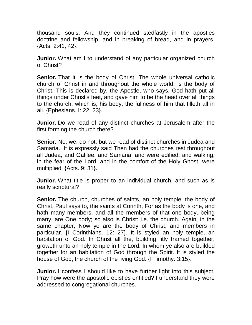thousand souls. And they continued stedfastly in the apostles doctrine and fellowship, and in breaking of bread, and in prayers. {Acts. 2:41, 42}.

**Junior.** What am I to understand of any particular organized church of Christ?

**Senior.** That it is the body of Christ. The whole universal catholic church of Christ in and throughout the whole world, is the body of Christ. This is declared by, the Apostle, who says, God hath put all things under Christ's feet, and gave him to be the head over all things to the church, which is, his body, the fullness of him that filleth all in all. {Ephesians. I: 22, 23}.

**Junior.** Do we read of any distinct churches at Jerusalem after the first forming the church there?

**Senior.** No, we. do not; but we read of distinct churches in Judea and Samaria., It is expressly said Then had the churches rest throughout all Judea, and Galilee, and Samaria, and were edified; and walking, in the fear of the Lord, and in the comfort of the Holy Ghost, were multiplied. {Acts. 9: 31}.

**Junior.** What title is proper to an individual church, and such as is really scriptural?

**Senior.** The church, churches of saints, an holy temple, the body of Christ. Paul says to, the saints at Corinth, For as the body is one, and hath many members, and all the members of that one body, being many, are One body; so also is Christ: i.e. the church. Again, in the same chapter, Now ye are the body of Christ, and members in particular. {I Corinthians. 12: 27}. It is styled an holy temple, an habitation of God. In Christ all the, building fitly framed together, groweth unto an holy temple in the Lord. In whom ye also are builded together for an habitation of God through the Spirit. It is styled the house of God, the church of the living God. {I Timothy. 3:15}.

**Junior.** I confess I should like to have further light into this subject. Pray how were the apostolic epistles entitled? I understand they were addressed to congregational churches.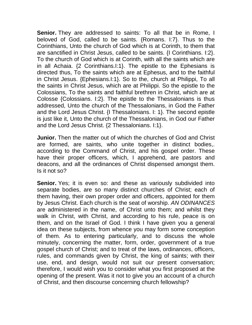**Senior.** They are addressed to saints: To all that be in Rome, I beloved of God, called to be saints. {Romans. I:7}. Thus to the Corinthians, Unto the church of God which is at Corinth, to them that are sanctified in Christ Jesus, called to be saints. {I Corinthians. I:2}. To the church of God which is at Corinth, with all the saints which are in all Achaia. {2 Corinthians.I:1}. The epistle to the Ephesians is directed thus, To the saints which are at Ephesus, and to the faithful in Christ Jesus. {Ephesians.I:1}. So to the, church at Philippi, To all the saints in Christ Jesus, which are at Philippi. So the epistle to the Colossians, To the saints and faithful brethren in Christ, which are at Colosse {Colossians. I:2}. The epistle to the Thessalonians is thus addressed, Unto the church of the Thessalonians, in God the Father and the Lord Jesus Christ. {I Thessalonians. I: 1}. The second epistle is just like it, Unto the church of the Thessalonians, in God our Father and the Lord Jesus Christ. {2 Thessalonians. I:1}.

**Junior.** Then the matter out of which the churches of God and Christ are formed, are saints, who unite together in distinct bodies,. according to the Command of Christ, and his gospel order. These have their proper officers, which, I apprehend, are pastors and deacons, and all the ordinances of Christ dispensed amongst them. Is it not so?

**Senior.** Yes; it is even so: and these as variously subdivided into separate bodies, are so many distinct churches of Christ; each of them having, their own proper order and officers, appointed for them by Jesus Christ. Each church is the seat of worship. *AN ODINANCES* are administered in the name, of Christ unto them; and whilst they walk in Christ, with Christ, and according to his rule, peace is on them, and on the Israel of God. I think I have given you a general idea on these subjects, from whence you may form some conception of them. As to entering particularly, and to discuss the whole minutely, concerning the matter, form, order, government of a true gospel church of Christ; and to treat of the laws, ordinances, officers, rules, and commands given by Christ, the king of saints; with their use, end, and design, would not suit our present conversation; therefore, I would wish you to consider what you first proposed at the opening of the present. Was it not to give you an account of a church of Christ, and then discourse concerning church fellowship?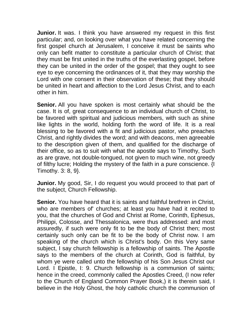**Junior.** It was. I think you have answered my request in this first particular; and, on looking over what you have related concerning the first gospel church at Jerusalem, I conceive it must be saints who only can befit matter to constitute a particular church of Christ; that they must be first united in the truths of the everlasting gospel, before they can be united in the order of the gospel; that they ought to see eye to eye concerning the ordinances of it, that they may worship the Lord with one consent in their observation of these; that they should be united in heart and affection to the Lord Jesus Christ, and to each other in him.

**Senior.** All you have spoken is most certainly what should be the case. It is of, great consequence to an individual church of Christ, to be favored with spiritual and judicious members, with such as shine like lights in the world, holding forth the word of life. It is a real blessing to be favored with a fit and judicious pastor, who preaches Christ, and rightly divides the word; and with deacons, men agreeable to the description given of them, and qualified for the discharge of their office, so as to suit with what the apostle says to Timothy, Such as are grave, not double-tongued, not given to much wine, not greedy of filthy lucre; Holding the mystery of the faith in a pure conscience. {I Timothy. 3: 8, 9}.

**Junior.** My good, Sir, I do request you would proceed to that part of the subject, Church Fellowship.

**Senior.** You have heard that it is saints and faithful brethren in Christ, who are members of' churches; at least you have had it recited to you, that the churches of God and Christ at Rome, Corinth, Ephesus, Philippi, Colosse, and Thessalonica, were thus addressed: and most assuredly, if such were only fit to be the body of Christ then; most certainly such only can be fit to be the body of Christ now. I am speaking of the church which is Christ's body. On this Very same subject, I say church fellowship is a fellowship of saints. The Apostle says to the members of the church at Corinth, God is faithful, by whom ye were called unto the fellowship of his Son Jesus Christ our Lord. I Epistle, I: 9. Church fellowship is a communion of saints; hence in the creed, commonly called the Apostles Creed, (I now refer to the Church of England Common Prayer Book,) it is therein said, I believe in the Holy Ghost, the holy catholic church the communion of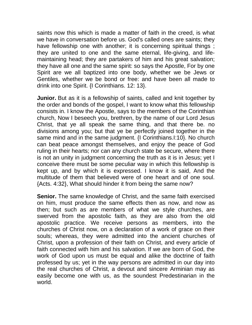saints now this which is made a matter of faith in the creed, is what we have in conversation before us. God's called ones are saints; they have fellowship one with another; it is concerning spiritual things; they are united to one and the same eternal, life-giving, and lifemaintaining head; they are partakers of him and his great salvation; they have all one and the same spirit: so says the Apostle, For by one Spirit are we all baptized into one body, whether we be Jews or Gentiles, whether we be bond or free: and have been all made to drink into one Spirit. {I Corinthians. 12: 13}.

**Junior.** But as it is a fellowship of saints, called and knit together by the order and bonds of the gospel, I want to know what this fellowship consists in. I know the Apostle, says to the members of the Corinthian church, Now I beseech you, brethren, by the name of our Lord Jesus Christ, that ye all speak the same thing, and that there be. no divisions among you; but that ye be perfectly joined together in the same mind and in the same judgment. {I Corinthians.I:10}. No church can beat peace amongst themselves, and enjoy the peace of God ruling in their hearts; nor can any church state be secure, where there is not an unity in judgment concerning the truth as it is in Jesus; yet I conceive there must be some peculiar way in which this fellowship is kept up, and by which it is expressed. I know it is said, And the multitude of them that believed were of one heart and of one soul. {Acts. 4:32}, What should hinder it from being the same now?

**Senior.** The same knowledge of Christ, and the same faith exercised on him, must produce the same effects then as now, and now as then; but such as are members of what we style churches, are swerved from the apostolic faith, as they are also from the old apostolic practice. We receive persons as members, into the churches of Christ now, on a declaration of a work of grace on their souls; whereas, they were admitted into the ancient churches of Christ, upon a profession of their faith on Christ, and every article of faith connected with him and his salvation. If we are born of God, the work of God upon us must be equal and alike the doctrine of faith professed by us; yet in the way persons are admitted in our day into the real churches of Christ, a devout and sincere Arminian may as easily become one with us, as the soundest Predestinarian in the world.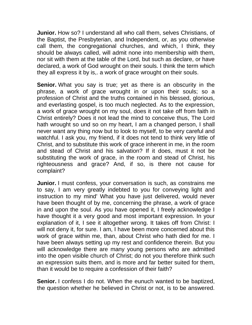**Junior.** How so? I understand all who call them, selves Christians, of the Baptist, the Presbyterian, and Independent, or, as you otherwise call them, the congregational churches, and which, I think, they should be always called, will admit none into membership with them, nor sit with them at the table of the Lord, but such as declare, or have declared, a work of God wrought on their souls. I think the term which they all express it by is,. a work of grace wrought on their souls.

**Senior.** What you say is true; yet as there is an obscurity in the phrase, a work of grace wrought in or upon their souls; so a profession of Christ and the truths contained in his blessed, glorious, and everlasting gospel, is too much neglected. As to the expression, a work of grace wrought on my soul, does it not take off from faith in Christ entirely? Does it not lead the mind to conceive thus, The Lord hath wrought so und so on my heart, I am a changed person, I shall never want any thing now but to look to myself, to be very careful and watchful. I ask you, my friend, if it does not tend to think very little of Christ, and to substitute this work of grace inherent in me, in the room and stead of Christ and his salvation? If it does, must it not be substituting the work of grace, in the room and stead of Christ, his righteousness and grace? And, if so, is there not cause for complaint?

**Junior.** I must confess, your conversation is such, as constrains me to say, I am very greatly indebted to you for conveying light and instruction to my mind' What you have just delivered, would never have been thought of by me, concerning the phrase, a work of grace in and upon the soul. As you have opened it, I freely acknowledge I have thought it a very good and most important expression. In your explanation of it, I see it altogether wrong. It takes off from Christ: I will not deny it, for sure. I am, I have been more concerned about this work of grace within me, than, about Christ who hath died for me. I have been always setting up my rest and confidence therein. But you will acknowledge there are many young persons who are admitted into the open visible church of Christ; do not you therefore think such an expression suits them, and is more and far better suited for them, than it would be to require a confession of their faith?

**Senior.** I confess I do not. When the eunuch wanted to be baptized, the question whether he believed in Christ or not, is to be answered.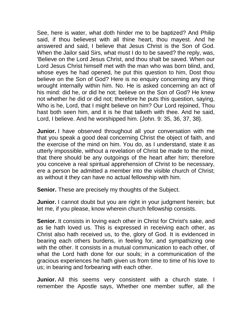See, here is water, what doth hinder me to be baptized? And Philip said, if thou believest with all thine heart, thou mayest. And he answered and said, I believe that Jesus Christ is the Son of God. When the Jailor said Sirs, what must I do to be saved? the reply, was, 'Believe on the Lord Jesus Christ, and thou shalt be saved. When our Lord Jesus Christ himself met with the man who was born blind, and, whose eyes he had opened, he put this question to him, Dost thou believe on the Son of God? Here is no enquiry concerning any thing wrought internally within him. No. He is asked concerning an act of his mind: did he, or did he not; believe on the Son of God? He knew not whether he did or did not; therefore he puts this question, saying, Who is he, Lord, that I might believe on him? Our Lord rejoined, Thou hast both seen him, and it is he that talketh with thee. And he said, Lord, I believe. And he worshipped him. {John. 9: 35, 36, 37, 38}.

**Junior.** I have observed throughout all your conversation with me that you speak a good deal concerning Christ the object of faith, and the exercise of the mind on him. You do, as I understand, state it as utterly impossible, without a revelation of Christ be made to the mind, that there should be any outgoings of the heart after him; therefore you conceive a real spiritual apprehension of Christ to be necessary, ere a person be admitted a member into the visible church of Christ; as without it they can have no actual fellowship with him.

**Senior.** These are precisely my thoughts of the Subject.

**Junior.** I cannot doubt but you are right in your judgment herein; but let me, if you please, know wherein church fellowship consists.

**Senior.** It consists in loving each other in Christ for Christ's sake, and as lie hath loved us. This is expressed in receiving each other, as Christ also hath received us, to the, glory of God. It is evidenced in bearing each others burdens, in feeling for, and sympathizing one with the other. It consists in a mutual communication to each other, of what the Lord hath done for our souls; in a communication of the gracious experiences he hath given us from time to time of his love to us; in bearing and forbearing with each other.

**Junior.** All this seems very consistent with a church state. I remember the Apostle says, Whether one member suffer, all the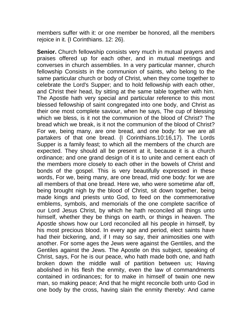members suffer with it: or one member be honored, all the members rejoice in it. {I Corinthians. 12: 26}.

**Senior.** Church fellowship consists very much in mutual prayers and praises offered up for each other, and in mutual meetings and converses in church assemblies. In a very particular manner, church fellowship Consists in the communion of saints, who belong to the same particular church or body of Christ, when they come together to celebrate the Lord's Supper; and to hold fellowship with each other, and Christ their head, by sitting at the same table together with him. The Apostle hath very special and particular reference to this most blessed fellowship of saint congregated into one body, and Christ as their one most complete saviour, when he says, The cup of blessing which we bless, is it not the communion of the blood of Christ? The bread which we break, is it not the communion of the blood of Christ? For we, being many, are one bread, and one body: for we are all partakers of that one bread. {I Corinthians.10:16,17}. The Lords Supper is a family feast; to which all the members of the church are expected. They should all be present at it, because it is a church ordinance; and one grand design of it is to unite and cement each of the members more closely to each other in the bowels of Christ and bonds of the gospel. This is very beautifully expressed in these words, For we, being many, are one bread, mid one body: for we are all members of that one bread. Here we, who were sometime afar off, being brought nigh by the blood of Christ, sit down together, being made kings and priests unto God, to feed on the commemorative emblems, symbols, and memorials of the one complete sacrifice of our Lord Jesus Christ, by which he hath reconciled all things unto himself, whether they be things on earth, or things in heaven. The Apostle shows how our Lord reconciled all his people in himself, by his most precious blood. In every age and period, elect saints have had their bickering, and, if I may so say, their animosities one with another. For some ages the Jews were against the Gentiles, and the Gentiles against the Jews. The Apostle on this subject, speaking of Christ, says, For he is our peace, who hath made both one, and hath broken down the middle wall of partition between us; Having abolished in his flesh the enmity, even the law of commandments contained in ordinances; for to make in himself of twain one new man, so making peace; And that he might reconcile both unto God in one body by the cross, having slain the enmity thereby: And came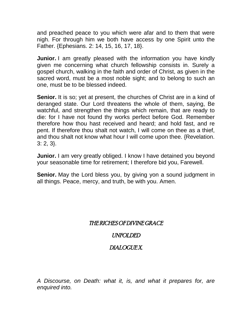and preached peace to you which were afar and to them that were nigh. For through him we both have access by one Spirit unto the Father. {Ephesians. 2: 14, 15, 16, 17, 18}.

**Junior.** I am greatly pleased with the information you have kindly given me concerning what church fellowship consists in. Surely a gospel church, walking in the faith and order of Christ, as given in the sacred word, must be a most noble sight; and to belong to such an one, must be to be blessed indeed.

**Senior.** It is so; yet at present, the churches of Christ are in a kind of deranged state. Our Lord threatens the whole of them, saying, Be watchful, and strengthen the things which remain, that are ready to die: for I have not found thy works perfect before God. Remember therefore how thou hast received and heard; and hold fast, and re pent. If therefore thou shalt not watch, I will come on thee as a thief, and thou shalt not know what hour I will come upon thee. {Revelation. 3: 2, 3}.

**Junior.** I am very greatly obliged. I know I have detained you beyond your seasonable time for retirement; I therefore bid you, Farewell.

**Senior.** May the Lord bless you, by giving yon a sound judgment in all things. Peace, mercy, and truth, be with you. Amen.

#### THE RICHES OF DIVINE GRACE

### UNFOLDED

### DIALOGUE X.

*A Discourse, on Death: what it, is, and what it prepares for, are enquired into.*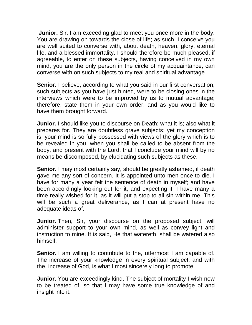**Junior.** Sir, I am exceeding glad to meet you once more in the body. You are drawing on towards the close of life; as such, I conceive you are well suited to converse with, about death, heaven, glory, eternal life, and a blessed immortality. I should therefore be much pleased, if agreeable, to enter on these subjects, having conceived in my own mind, you are the only person in the circle of my acquaintance, can converse with on such subjects to my real and spiritual advantage.

**Senior.** I believe, according to what you said in our first conversation, such subjects as you have just hinted, were to be closing ones in the interviews which were to be improved by us to mutual advantage; therefore, state them in your own order, and as you would like to have them brought forward.

**Junior.** I should like you to discourse on Death: what it is; also what it prepares for. They are doubtless grave subjects; yet my conception is, your mind is so fully possessed with views of the glory which is to be revealed in you, when you shall be called to be absent from the body, and present with the Lord, that I conclude your mind will by no means be discomposed, by elucidating such subjects as these.

**Senior.** I may most certainly say, should be greatly ashamed, if death gave me any sort of concern. It is appointed unto men once to die. I have for many a year felt the sentence of death in myself; and have been accordingly looking out for it, and expecting it. I have many a time really wished for it, as it will put a stop to all sin within me. This will be such a great deliverance, as I can at present have no adequate ideas of.

**Junior.** Then, Sir, your discourse on the proposed subject, will administer support to your own mind, as well as convey light and instruction to mine. It is said, He that watereth, shall be watered also himself.

**Senior.** I am willing to contribute to the, uttermost I am capable of. The increase of your knowledge in every spiritual subject, and with the, increase of God, is what I most sincerely long to promote.

**Junior.** You are exceedingly kind. The subject of mortality I wish now to be treated of, so that I may have some true knowledge of and insight into it.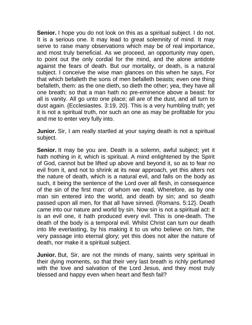**Senior.** I hope you do not look on this as a spiritual subject. I do not. It is a serious one. It may lead to great solemnity of mind. It may serve to raise many observations which may be of real importance, and most truly beneficial. As we proceed, an opportunity may open, to point out the only cordial for the mind, and the alone antidote against the fears of death. But our mortality, or death, is a natural subject. I conceive the wise man glances on this when he says, For that which befalleth the sons of men befalleth beasts; even one thing befalleth, them: as the one dieth, so dieth the other; yea, they have all one breath; so that a man hath no pre-eminence above a beast: for all is vanity. All go unto one place; all are of the dust, and all turn to dust again. {Ecclesiastes. 3:19, 20}. This is a very humbling truth; yet it is not a spiritual truth, nor such an one as may be profitable for you and me to enter very fully into.

**Junior.** Sir, I am really startled at your saying death is not a spiritual subject.

**Senior.** It may be you are. Death is a solemn, awful subject; yet it hath nothing in it, which is spiritual. A mind enlightened by the Spirit of God, cannot but be lifted up above and beyond it, so as to fear no evil from it, and not to shrink at its near approach, yet this alters not the nature of death, which is a natural evil, and falls on the body as such, it being the sentence of the Lord over all flesh, in consequence of the sin of the first man: of whom we read, Wherefore, as by one man sin entered into the world, and death by sin; and so death passed upon all men, for that all have sinned. {Romans. 5:12}. Death came into our nature and world by sin. Now sin is not a spiritual act: it is an evil one, it hath produced every evil. This is one-death. The death of the body is a temporal evil. Whilst Christ can turn our death into life everlasting, by his making it to us who believe on him, the very passage into eternal glory; yet this does not alter the nature of death, nor make it a spiritual subject.

**Junior.** But, Sir, are not the minds of many, saints very spiritual in their dying moments, so that their very last breath is richly perfumed with the love and salvation of the Lord Jesus, and they most truly blessed and happy even when heart and flesh fail?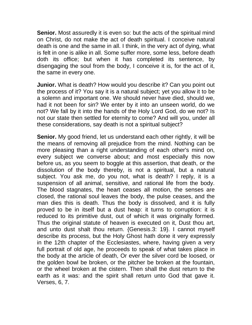**Senior.** Most assuredly it is even so: but the acts of the spiritual mind on Christ, do not make the act of death spiritual. I conceive natural death is one and the same in all. I think, in the very act of dying, what is felt in one is alike in all. Some suffer more, some less, before death doth its office; but when it has completed its sentence, by disengaging the soul from the body, I conceive it is, for the act of it, the same in every one.

**Junior.** What is death? How would you describe it? Can you point out the process of it? You say it is a natural subject; yet you allow it to be a solemn and important one. We should never have died, should we, had it not been for sin? We enter by it into an unseen world, do we not? We fall by it into the hands of the Holy Lord God, do we not? Is not our state then settled for eternity to come? And will you, under all these considerations, say death is not a spiritual subject?

**Senior.** My good friend, let us understand each other rightly, it will be the means of removing all prejudice from the mind. Nothing can be more pleasing than a right understanding of each other's mind on, every subject we converse about; and most especially this now before us, as you seem to boggle at this assertion, that death, or the dissolution of the body thereby, is not a spiritual, but a natural subject. You ask me, do you not, what is death? I reply, it is a suspension of all animal, sensitive, and rational life from the body. The blood stagnates, the heart ceases all motion, the senses are closed, the rational soul leaves the body, the pulse ceases, and the man dies this is death. Thus the body is dissolved, and it is fully proved to be in itself but a dust heap: it turns to corruption: it is reduced to its primitive dust, out of which it was originally formed. Thus the original statute of heaven is executed on it, Dust thou art, and unto dust shalt thou return. {Genesis.3: 19}. I cannot myself describe its process, but the Holy Ghost hath done it very expressly in the 12th chapter of the Ecclesiastes, where, having given a very full portrait of old age, he proceeds to speak of what takes place in the body at the article of death, Or ever the silver cord be loosed, or the golden bowl be broken, or the pitcher be broken at the fountain, or the wheel broken at the cistern. Then shall the dust return to the earth as it was: and the spirit shall return unto God that gave it. Verses, 6, 7.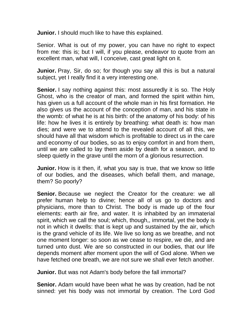**Junior.** I should much like to have this explained.

Senior. What is out of my power, you can have no right to expect from me: this is; but I will, if you please, endeavor to quote from an excellent man, what will, I conceive, cast great light on it.

**Junior.** Pray, Sir, do so; for though you say all this is but a natural subject, yet I really find it a very interesting one.

**Senior.** I say nothing against this: most assuredly it is so. The Holy Ghost, who is the creator of man, and formed the spirit within him, has given us a full account of the whole man in his first formation. He also gives us the account of the conception of man, and his state in the womb: of what he is at his birth: of the anatomy of his body: of his life: how he lives it is entirely by breathing: what death is: how man dies; and were we to attend to the revealed account of all this, we should have all that wisdom which is profitable to direct us in the care and economy of our bodies, so as to enjoy comfort in and from them, until we are called to lay them aside by death for a season, and to sleep quietly in the grave until the morn of a glorious resurrection.

**Junior.** How is it then, if, what you say is true, that we know so little of our bodies, and the diseases, which befall them, and manage, them? So poorly?

**Senior.** Because we neglect the Creator for the creature: we all prefer human help to divine; hence all of us go to doctors and physicians, more than to Christ. The body is made up of the four elements: earth air fire, and water. It is inhabited by an immaterial spirit, which we call the soul; which, though,, immortal, yet the body is not in which it dwells: that is kept up and sustained by the air, which is the grand vehicle of its life. We live so long as we breathe, and not one moment longer: so soon as we cease to respire, we die, and are turned unto dust. We are so constructed in our bodies, that our life depends moment after moment upon the will of God alone. When we have fetched one breath, we are not sure we shall ever fetch another.

**Junior.** But was not Adam's body before the fall immortal?

**Senior.** Adam would have been what he was by creation, had be not sinned: yet his body was not immortal by creation. The Lord God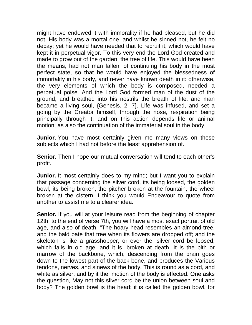might have endowed it with immorality if he had pleased, but he did not. His body was a mortal one, and whilst he sinned not, he felt no decay; yet he would have needed that to recruit it, which would have kept it in perpetual vigor. To this very end the Lord God created and made to grow out of the garden, the tree of life. This would have been the means, had not man fallen, of continuing his body in the most perfect state, so that he would have enjoyed the blessedness of immortality in his body, and never have known death in it: otherwise, the very elements of which the body is composed, needed a perpetual poise. And the Lord God formed man of the dust of the ground, and breathed into his nostrils the breath of life: and man became a living soul, {Genesis. 2: 7}. Life was infused, and set a going by the Creator himself, through the nose, respiration being principally through it; and on this action depends life or animal motion; as also the continuation of the immaterial soul in the body.

**Junior.** You have most certainly given me many views on these subjects which I had not before the least apprehension of.

**Senior.** Then I hope our mutual conversation will tend to each other's profit.

**Junior.** It most certainly does to my mind; but I want you to explain that passage concerning the silver cord, its being loosed, the golden bowl, its being broken, the pitcher broken at the fountain, the wheel broken at the cistern. I think you would Endeavour to quote from another to assist me to a clearer idea.

**Senior.** If you will at your leisure read from the beginning of chapter 12th, to the end of verse 7th, you will have a most exact portrait of old age, and also of death. "The hoary head resembles an-almond-tree, and the bald pate that tree when its flowers are dropped off; and the skeleton is like a grasshopper, or ever the, silver cord be loosed, which fails in old age, and it is, broken at death. It is the pith or marrow of the backbone, which, descending from the brain goes down to the lowest part of the back-bone, and produces the Various tendons, nerves, and sinews of the body. This is round as a cord, and white as silver, and by it the, motion of the body is effected. One asks the question, May not this silver cord be the union between soul and body? The golden bowl is the head: it is called the golden bowl, for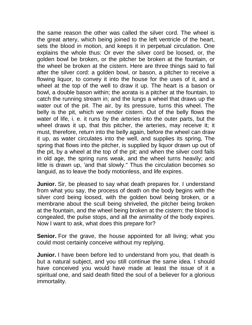the same reason the other was called the silver cord. The wheel is the great artery, which being joined to the left ventricle of the heart, sets the blood in motion, and keeps it in perpetual circulation. One explains the whole thus: Or ever the silver cord be loosed, or, the golden bowl be broken, or the pitcher be broken at the fountain, or the wheel be broken at the cistern. Here are three things said to fail after the silver cord: a golden bowl, or bason, a pitcher to receive a flowing liquor, to convey it into the house for the uses of it, and a wheel at the top of the well to draw it up. The heart is a bason or bowl, a double bason within; the aorata is a pitcher at the fountain, to catch the running stream in; and the lungs a wheel that draws up the water out of the pit. The air, by its pressure, turns this wheel. The belly is the pit, which we render cistern. Out of the belly flows the water of life, i. e. it runs by the arteries into the outer parts, but the wheel draws it up, that this pitcher, the arteries, may receive it; it must, therefore, return into the belly again, before the wheel can draw it up, as water circulates into the well, and supplies its spring, The spring that flows into the pitcher, is supplied by liquor drawn up out of the pit, by a wheel at the top of the pit; and when the silver cord fails in old age, the spring runs weak, and the wheel turns heavily; and little is drawn up, 'and that slowly." Thus the circulation becomes so languid, as to leave the body motionless, and life expires.

**Junior.** Sir, be pleased to say what death prepares for. I understand from what you say, the process of death on the body begins with the silver cord being loosed, with the golden bowl being broken, or a membrane about the scull being shriveled, the pitcher being broken at the fountain, and the wheel being broken at the cistern; the blood is congealed, the pulse stops, and all the animality of the body expires. Now I want to ask, what does this prepare for?

**Senior.** For the grave, the house appointed for all living; what you could most certainly conceive without my replying.

**Junior.** I have been before led to understand from you, that death is but a natural subject, and you still continue the same idea. I should have conceived you would have made at least the issue of it a spiritual one, and said death fitted the soul of a believer for a glorious immortality.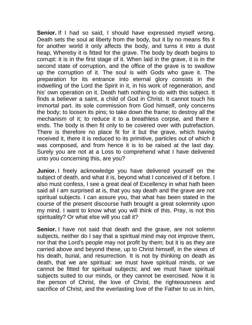**Senior.** If I had so said, I should have expressed myself wrong. Death sets the soul at liberty from the body, but it by no means fits it for another world it only affects the body, and turns it into a dust heap, Whereby it is fitted for the grave. The body by death begins to corrupt: it is in the first stage of it. When laid in the grave, it is in the second state of corruption, and the office of the grave is to swallow up the corruption of it. The soul is with Gods who gave it. The preparation for its entrance into eternal glory consists in the indwelling of the Lord the Spirit in it, in his work of regeneration, and his' own operation on it. Death hath nothing to do with this subject. It finds a believer a saint, a child of God in Christ. It cannot touch his immortal part. its sole commission from God himself, only concerns the body; to loosen its pins; to take down the frame; to destroy all the mechanism of it; to reduce it to a breathless corpse, and there it ends. The body is then fit only to be covered over with putrefaction. There is therefore no place fit for it but the grave, which having received it, there it is reduced to its primitive, particles out of which it was composed, and from hence it is to be raised at the last day. Surely you are not at a Loss to comprehend what I have delivered unto you concerning this, are you?

**Junior.** I freely acknowledge you have delivered yourself on the subject of death, and what it is, beyond what I conceived of it before. I also must confess, I see a great deal of Excellency in what hath been said all I am surprised at is, that you say death and the grave are not spiritual subjects. I can assure you, that what has been stated in the course of the present discourse hath brought a great solemnity upon my mind. I want to know what you will think of this. Pray, is not this spirituality? Or what else will you call it?

**Senior.** I have not said that death and the grave, are not solemn subjects, neither do I say that a spiritual mind may not improve them, nor that the Lord's people may not profit by them; but it is as they are carried above and beyond these, up to Christ himself, in the views of his death, burial, and resurrection. It is not by thinking on death as death, that we are spiritual: we must have spiritual minds, or we cannot be fitted for spiritual subjects; and we must have spiritual subjects suited to our minds, or they cannot be exercised. Now it is the person of Christ, the love of Christ, the righteousness and sacrifice of Christ, and the everlasting love of the Father to us in him,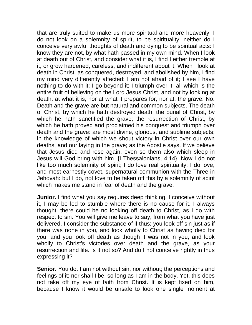that are truly suited to make us more spiritual and more heavenly. I do not look on a solemnity of spirit, to be spirituality; neither do I conceive very awful thoughts of death and dying to be spiritual acts: I know they are not, by what hath passed in my own mind. When I look at death out of Christ, and consider what it is, I find I either tremble at it, or grow hardened, careless, and indifferent about it. When I look at death in Christ, as conquered, destroyed, and abolished by him, I find my mind very differently affected: I am not afraid of it; I see I have nothing to do with it; I go beyond it; I triumph over it: all which is the entire fruit of believing on the Lord Jesus Christ, and not by looking at death, at what it is, nor at what it prepares for, nor at, the grave. No. Death and the grave are but natural and common subjects. The death of Christ, by which he hath destroyed death; the burial of Christ, by which he hath sanctified the grave; the resurrection of Christ, by which he hath proved and proclaimed his conquest and triumph over death and the grave: are most divine, glorious, and sublime subjects; in the knowledge of which we shout victory in Christ over our own deaths, and our laying in the grave; as the Apostle says, If we believe that Jesus died and rose again, even so them also which sleep in Jesus will God bring with him. {I Thessalonians, 4:14}. Now I do not like too much solemnity of spirit; I do love real spirituality; I do love, and most earnestly covet, supernatural communion with the Three in Jehovah: but I do, not love to be taken off this by a solemnity of spirit which makes me stand in fear of death and the grave.

**Junior.** I find what you say requires deep thinking. I conceive without it, I may be led to stumble where there is no cause for it. I always thought, there could be no looking off death to Christ, as I do with respect to sin. You will give me leave to say, from what you have just delivered, I consider the substance of if thus: you look off sin just as if there was none in you, and look wholly to Christ as having died for you; and you look off death as though it was not in you, and look wholly to Christ's victories over death and the grave, as your resurrection and life. Is it not so? And do I not conceive rightly in thus expressing it?

**Senior.** You do. I am not without sin, nor without; the perceptions and feelings of it; nor shall I be, so long as I am in the body. Yet, this does not take off my eye of faith from Christ. It is kept fixed on him, because I know it would be unsafe to look one single moment at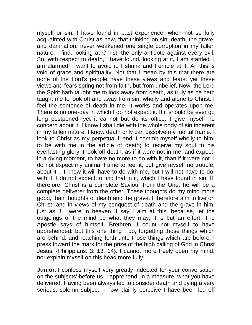myself or sin. I have found in past experience, when not so fully acquainted with Christ as now, that thinking on sin, death, the grave, and damnation, never weakened one single corruption in my fallen nature. I find, looking at Christ, the only antidote against every evil. So, with respect to death, I have found, looking at it, I am startled, I am alarmed, I want to avoid it, I shrink and tremble at it. All this is void of grace and spirituality. Not that I mean by this that there are none of the Lord's people have these views and fears; yet these views and fears spring not from faith, but from unbelief, Now, the Lord the Spirit hath taught me to look away from death, as truly as he hath taught me to look off and away from sin, wholly and alone to Christ. I feel the sentence of death in me. It works and operates upon me. There is no one-day in which I do not expect it. If it should be ever go long postponed, yet it cannot but do its office. I give myself no concern about it. I know I shall die with the whole body of sin inherent in my fallen nature. I know death only can dissolve my mortal frame. I look to Christ as my perpetual friend. I commit myself wholly to him: to be with me in the article of death; to receive my soul to his everlasting glory. I look off death, as if it were not in me; and expect, in a dying moment, to have no more to do with it, than if it were not. I do not expect my animal frame to feel it; but give myself no trouble, about it. , I know it will have to do with me, but I will not have to do, with it. I do not expect to find that in it, which I have found in sin. If, therefore, Christ is a complete Saviour from the One, he will be a complete deliverer from the other. These thoughts do my mind more good, than thoughts of death and the grave. I therefore aim to live on Christ, and in views of my conquest of death and the grave in him, just as if I were in heaven. I say I aim at this, because, let the outgoings of the mind be what they may, it is but an effort. The Apostle says of himself, Brethren, I count not myself to have apprehended: but this one thing I do, forgetting those things which are behind, and reaching forth unto those things which are before, I press toward the mark for the prize of the high calling of God in Christ Jesus. {Philippians. 3: 13, 14}. I cannot more freely open my mind, nor explain myself on this head more fully.

**Junior.** I confess myself very greatly indebted for your conversation on the subjects' before us. I apprehend, in a measure, what you have delivered. Having been always led to consider death and dying a very serious, solemn subject, I now plainly perceive I have been led off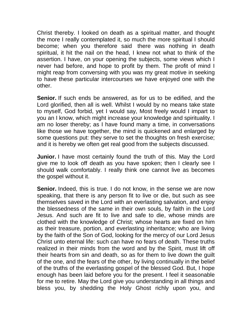Christ thereby. I looked on death as a spiritual matter, and thought the more I really contemplated it, so much the more spiritual I should become; when you therefore said there was nothing in death spiritual, it hit the nail on the head, I knew not what to think of the assertion. I have, on your opening the subjects, some views which I never had before, and hope to profit by them. The profit of mind I might reap from conversing with you was my great motive in seeking to have these particular intercourses we have enjoyed one with the other.

**Senior.** If such ends be answered, as for us to be edified, and the Lord glorified, then all is well. Whilst I would by no means take state to myself, God forbid, yet I would say, Most freely would I impart to you an I know, which might increase your knowledge and spirituality. I am no loser thereby; as I have found many a time, in conversations like those we have together, the mind is quickened and enlarged by some questions put: they serve to set the thoughts on fresh exercise; and it is hereby we often get real good from the subjects discussed.

**Junior.** I have most certainly found the truth of this. May the Lord give me to look off death as you have spoken; then I clearly see I should walk comfortably. I really think one cannot live as becomes the gospel without it.

**Senior.** Indeed, this is true. I do not know, in the sense we are now speaking, that there is any person fit to live or die, but such as see themselves saved in the Lord with an everlasting salvation, and enjoy the blessedness of the same in their own souls, by faith in the Lord Jesus. And such are fit to live and safe to die, whose minds are clothed with the knowledge of Christ; whose hearts are fixed on him as their treasure, portion, and everlasting inheritance; who are living by the faith of the Son of God, looking for the mercy of our Lord Jesus Christ unto eternal life: such can have no fears of death. These truths realized in their minds from the word and by the Spirit, must lift off their hearts from sin and death, so as for them to live down the guilt of the one, and the fears of the other, by living continually in the belief of the truths of the everlasting gospel of the blessed God. But, I hope enough has been laid before you for the present. I feel it seasonable for me to retire. May the Lord give you understanding in all things and bless you, by shedding the Holy Ghost richly upon you, and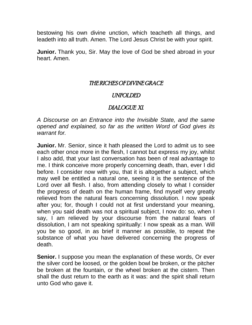bestowing his own divine unction, which teacheth all things, and leadeth into all truth. Amen. The Lord Jesus Christ be with your spirit.

**Junior.** Thank you, Sir. May the love of God be shed abroad in your heart. Amen.

## THE RICHES OF DIVINE GRACE

### UNFOLDED

## DIALOGUE XI.

*A Discourse on an Entrance into the Invisible State, and the same opened and explained, so far as the written Word of God gives its warrant for.*

**Junior.** Mr. Senior, since it hath pleased the Lord to admit us to see each other once more in the flesh, I cannot but express my joy, whilst I also add, that your last conversation has been of real advantage to me. I think conceive more properly concerning death, than, ever I did before. I consider now with you, that it is altogether a subject, which may well be entitled a natural one, seeing it is the sentence of the Lord over all flesh. I also, from attending closely to what I consider the progress of death on the human frame, find myself very greatly relieved from the natural fears concerning dissolution. I now speak after you; for, though I could not at first understand your meaning, when you said death was not a spiritual subject, I now do: so, when I say, I am relieved by your discourse from the natural fears of dissolution, I am not speaking spiritually: I now speak as a man. Will you be so good, in as brief it manner as possible, to repeat the substance of what you have delivered concerning the progress of death.

**Senior.** I suppose you mean the explanation of these words, Or ever the silver cord be loosed, or the golden bowl be broken, or the pitcher be broken at the fountain, or the wheel broken at the cistern. Then shall the dust return to the earth as it was: and the spirit shall return unto God who gave it.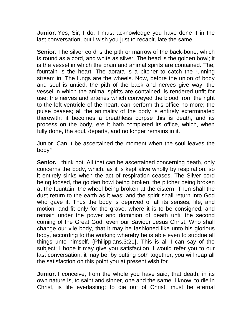**Junior.** Yes, Sir, I do. I must acknowledge you have done it in the last conversation, but I wish you just to recapitulate the same.

**Senior.** The silver cord is the pith or marrow of the back-bone, which is round as a cord, and white as silver. The head is the golden bowl; it is the vessel in which the brain and animal spirits are contained. The, fountain is the heart. The aorata is a pitcher to catch the running stream in. The lungs are the wheels. Now, before the union of body and soul is untied, the pith of the back and nerves give way; the vessel in which the animal spirits are contained, is rendered unfit for use; the nerves and arteries which conveyed the blood from the right to the left ventricle of the heart, can perform this office no more; the pulse ceases; all the animality of the body is entirely exterminated therewith: it becomes a breathless corpse this is death, and its process on the body, ere it hath completed its office, which, when fully done, the soul, departs, and no longer remains in it.

Junior. Can it be ascertained the moment when the soul leaves the body?

**Senior.** I think not. All that can be ascertained concerning death, only concerns the body, which, as it is kept alive wholly by respiration, so it entirely sinks when the act of respiration ceases, The Silver cord being loosed, the golden bowl being broken, the pitcher being broken at the fountain, the wheel being broken at the cistern. Then shall the dust return to the earth as it was: and the spirit shall return into God who gave it. Thus the body is deprived of all its senses, life, and motion, and fit only for the grave, where it is to be consigned, and remain under the power and dominion of death until the second coming of the Great God, even our Saviour Jesus Christ, Who shall change our vile body, that it may be fashioned like unto his glorious body, according to the working whereby he is able even to subdue all things unto himself. {Philippians.3:21}. This is all I can say of the subject: I hope it may give you satisfaction. I would refer you to our last conversation: it may be, by putting both together, you will reap all the satisfaction on this point you at present wish for.

**Junior.** I conceive, from the whole you have said, that death, in its own nature is, to saint and sinner, one and the same. I know, to die in Christ, is life everlasting; to die out of Christ, must be eternal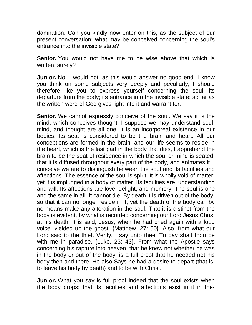damnation. Can you kindly now enter on this, as the subject of our present conversation; what may be conceived concerning the soul's entrance into the invisible state?

**Senior.** You would not have me to be wise above that which is written, surely?

**Junior.** No, I would not; as this would answer no good end. I know you think on some subjects very deeply and peculiarly; I should therefore like you to express yourself concerning the soul: its departure from the body; its entrance into the invisible state; so far as the written word of God gives light into it and warrant for.

**Senior.** We cannot expressly conceive of the soul. We say it is the mind, which conceives thought. I suppose we may understand soul, mind, and thought are all one. It is an incorporeal existence in our bodies. Its seat is considered to be the brain and heart. All our conceptions are formed in the brain, and our life seems to reside in the heart, which is the last part in the body that dies, I apprehend the brain to be the seat of residence in which the soul or mind is seated: that it is diffused throughout every part of the body, and animates it. I conceive we are to distinguish between the soul and its faculties and affections. The essence of the soul is spirit. It is wholly void of matter; yet it is implunged in a body of matter. Its faculties are, understanding and will. Its affections are love, delight, and memory. The soul is one and the same in all. It cannot die. By death it is driven out of the body, so that it can no longer reside in it; yet the death of the body can by no means make any alteration in the soul. That it is distinct from the body is evident, by what is recorded concerning our Lord Jesus Christ at his death. It is said, Jesus, when he had cried again with a loud voice, yielded up the ghost. {Matthew. 27: 50}. Also, from what our Lord said to the thief, Verity, I say unto thee, To day shalt thou be with me in paradise. {Luke. 23: 43}. From what the Apostle says concerning his rapture into heaven, that he knew not whether he was in the body or out of the body, is a full proof that he needed not his body then and there. He also Says he had a desire to depart (that is, to leave his body by death) and to be with Christ.

**Junior.** What you say is full proof indeed that the soul exists when the body drops: that its faculties and affections exist in it in the-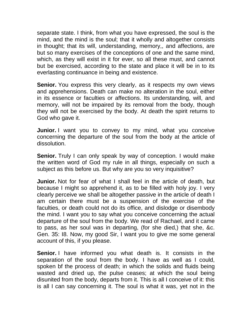separate state. I think, from what you have expressed, the soul is the mind, and the mind is the soul; that it wholly and altogether consists in thought; that its will, understanding, memory,, and affections, are but so many exercises of the conceptions of one and the same mind, which, as they will exist in it for ever, so all these must, and cannot but be exercised, according to the state and place it will be in to its everlasting continuance in being and existence.

**Senior.** You express this very clearly, as it respects my own views and apprehensions. Death can make no alteration in the soul, either in its essence or faculties or affections. Its understanding, will, and memory, will not be impaired by its removal from the body, though they will not be exercised by the body. At death the spirit returns to God who gave it.

**Junior.** I want you to convey to my mind, what you conceive concerning the departure of the soul from the body at the article of dissolution.

**Senior.** Truly I can only speak by way of conception. I would make the written word of God my rule in all things, especially on such a subject as this before us. But why are you so very inquisitive?

**Junior.** Not for fear of what I shall feel in the article of death, but because I might so apprehend it, as to be filled with holy joy. I very clearly perceive we shall be altogether passive in the article of death I am certain there must be a suspension of the exercise of the faculties, or death could not do its office, and dislodge or disembody the mind. I want you to say what you conceive concerning the actual departure of the soul from the body. We read of Rachael, and it came to pass, as her soul was in departing, (for she died,) that she, &c. Gen. 35: I8. Now, my good Sir, I want you to give me some general account of this, if you please.

**Senior.** I have informed you what death is. It consists in the separation of the soul from the body. I have as well as I could, spoken bf the process of death; in which the solids and fluids being wasted and dried up, the pulse ceases; at which the soul being disunited from the body, departs from it. This is all I conceive of it: this is all I can say concerning it. The soul is what it was, yet not in the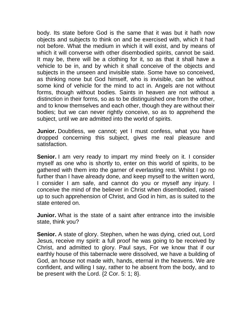body. Its state before God is the same that it was but it hath now objects and subjects to think on and be exercised with, which it had not before. What the medium in which it will exist, and by means of which it will converse with other disembodied spirits, cannot be said. It may be, there will be a clothing for it, so as that it shall have a vehicle to be in, and by which it shall conceive of the objects and subjects in the unseen and invisible state. Some have so conceived, as thinking none but God himself, who is invisible, can be without some kind of vehicle for the mind to act in. Angels are not without forms, though without bodies. Saints in heaven are not without a distinction in their forms, so as to be distinguished one from the other, and to know themselves and each other, though they are without their bodies; but we can never rightly conceive, so as to apprehend the subject, until we are admitted into the world of spirits.

**Junior.** Doubtless, we cannot; yet I must confess, what you have dropped concerning this subject, gives me real pleasure and satisfaction.

**Senior.** I am very ready to impart my mind freely on it. I consider myself as one who is shortly to, enter on this world of spirits, to be gathered with them into the garner of everlasting rest. Whilst I go no further than I have already done, and keep myself to the written word, I consider I am safe, and cannot do you or myself any injury. I conceive the mind of the believer in Christ when disembodied, raised up to such apprehension of Christ, and God in him, as is suited to the state entered on.

**Junior.** What is the state of a saint after entrance into the invisible state, think you?

**Senior.** A state of glory. Stephen, when he was dying, cried out, Lord Jesus, receive my spirit: a full proof he was going to be received by Christ, and admitted to glory. Paul says, For we know that if our earthly house of this tabernacle were dissolved, we have a building of God, an house not made with, hands, eternal in the heavens. We are confident, and willing I say, rather to he absent from the body, and to be present with the Lord. {2 Cor. 5: 1; 8}.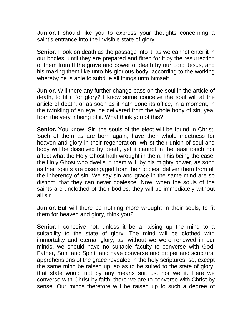**Junior.** I should like you to express your thoughts concerning a saint's entrance into the invisible state of glory.

**Senior.** I look on death as the passage into it, as we cannot enter it in our bodies, until they are prepared and fitted for it by the resurrection of them from If the grave and power of death by our Lord Jesus, and his making them like unto his glorious body, according to the working whereby he is able to subdue all things unto himself.

**Junior.** Will there any further change pass on the soul in the article of death, to fit it for glory? I know some conceive the soul will at the article of death, or as soon as it hath done its office, in a moment, in the twinkling of an eye, be delivered from the whole body of sin, yea, from the very inbeing of it. What think you of this?

**Senior.** You know, Sir, the souls of the elect will be found in Christ. Such of them as are born again, have their whole meetness for heaven and glory in their regeneration; whilst their union of soul and body will be dissolved by death, yet it cannot in the least touch nor affect what the Holy Ghost hath wrought in them. This being the case, the Holy Ghost who dwells in them will, by his mighty power, as soon as their spirits are disengaged from their bodies, deliver them from all the inherency of sin. We say sin and grace in the same mind are so distinct, that they can never coalesce. Now, when the souls of the saints are unclothed of their bodies, they will be immediately without all sin.

**Junior.** But will there be nothing more wrought in their souls, to fit them for heaven and glory, think you?

**Senior.** I conceive not, unless it be a raising up the mind to a suitability to the state of glory. The mind will be clothed with immortality and eternal glory; as, without we were renewed in our minds, we should have no suitable faculty to converse with God, Father, Son, and Spirit, and have converse and proper and scriptural apprehensions of the grace revealed in the holy scriptures; so, except the same mind be raised up, so as to be suited to the state of glory, that state would not by any means suit us, nor we it. Here we converse with Christ by faith; there we are to converse with Christ by sense. Our minds therefore will be raised up to such a degree of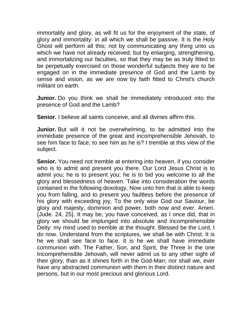immortality and glory, as will fit us for the enjoyment of the state, of glory and immortality: in all which we shall be passive. It is the Holy Ghost will perform all this; not by communicating any thing unto us which we have not already received; but by enlarging, strengthening, and immortalizing our faculties, so that they may be as truly fitted to be perpetually exercised on those wonderful subjects they are to be engaged on in the immediate presence of God and the Lamb by sense and vision, as we are now by faith fitted to Christ's church militant on earth.

**Junior.** Do you think we shall be immediately introduced into the presence of God and the Lamb?

**Senior.** I believe all saints conceive, and all divines affirm this.

**Junior.** But will it not be overwhelming, to be admitted into the immediate presence of the great and incomprehensible Jehovah, to see him face to face, to see him as he is? I tremble at this view of the subject.

**Senior.** You need not tremble at entering into heaven, if you consider who is to admit and present you there. Our Lord Jesus Christ is to admit you; he is to present you; he is to bid you welcome to all the glory and blessedness of heaven. Take into consideration the words contained in the following doxology, Now unto him that is able to keep you from falling, and to present you faultless before the presence of his glory with exceeding joy, To the only wise God our Saviour, be glory and majesty, dominion and power, both now and ever. Amen. {Jude. 24, 25}. It may be, you have conceived, as I once did, that in glory we should be implunged into absolute and incomprehensible Deity: my mind used to tremble at the thought. Blessed be the Lord, I do now. Understand from the scriptures, we shall be with Christ. It is he we shall see face to face. It is he we shall have immediate communion with. The Father, Son, and Spirit, the Three in the one Incomprehensible Jehovah, will never admit us to any other sight of their glory, than as it shines forth in the God-Man; nor shall we, ever have any abstracted communion with them in their distinct nature and persons, but in our most precious and glorious Lord.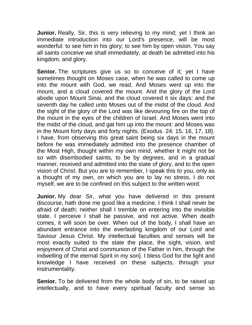**Junior.** Really, Sir, this is very relieving to my mind; yet I think an immediate introduction into our Lord's presence, will be most wonderful: to see him in his glory; to see him by open vision. You say all saints conceive we shall immediately, at death be admitted into his kingdom, and glory.

**Senior.** The scriptures give us so to conceive of it; yet I have sometimes thought on Moses case, when he was called to come up into the mount with God, we read, And Moses went up into the mount, and a cloud covered the mount. And the glory of the Lord abode upon Mount Sinai, and the cloud covered it six days: and the seventh day he called unto Moses out of the midst of the cloud. And the sight of the glory of the Lord was like devouring fire on the top of the mount in the eyes of the children of Israel. And Moses went into the midst of the cloud, and gat him up into the mount: and Moses was in the Mount forty days and forty nights. {Exodus. 24: 15, 16, 17, 18}. I have, from observing this great saint being six days in the mount before he was immediately admitted into the presence chamber of the Most High, thought within my own mind, whether it might not be so with disembodied saints, to be by degrees, and in a gradual manner, received and admitted into the state of glory, and to the open vision of Christ. But you are to remember, I speak this to you, only as a thought of my own, on which you are to lay no stress, I do not myself, we are to be confined on this subject to the written word.

**Junior.** My dear Sir, what you have delivered in this present discourse, hath done me good like a medicine. I think I shall never be afraid of death; neither shall I tremble on entering into the invisible state. I perceive I shall be passive, and not active. When death comes, it will soon be over. When out of the body, I shall have an abundant entrance into the everlasting kingdom of our Lord and Saviour Jesus Christ. My intellectual faculties and senses will be most exactly suited to the state the place, the sight, vision, and enjoyment of Christ and communion of the Father in him, through the indwelling of the eternal Spirit in my son]. I bless God for the light and knowledge I have received on these subjects, through your instrumentality.

**Senior.** To be delivered from the whole body of sin, to be raised up intellectually, and to have every spiritual faculty and sense so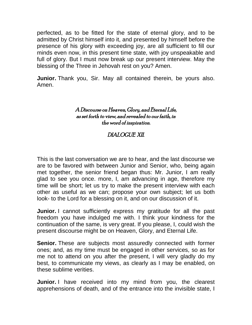perfected, as to be fitted for the state of eternal glory, and to be admitted by Christ himself into it, and presented by himself before the presence of his glory with exceeding joy, are all sufficient to fill our minds even now, in this present time state, with joy unspeakable and full of glory. But I must now break up our present interview. May the blessing of the Three in Jehovah rest on you? Amen.

**Junior.** Thank you, Sir. May all contained therein, be yours also. Amen.

### A Discourse on Heaven, Glory, and Eternal Life, as set forth to view, and revealed to our faith, in the word of inspiration.

# DIALOGUE XII.

This is the last conversation we are to hear, and the last discourse we are to be favored with between Junior and Senior, who, being again met together, the senior friend began thus: Mr. Junior, I am really glad to see you once. more, I, am advancing in age, therefore my time will be short; let us try to make the present interview with each other as useful as we can; propose your own subject; let us both look- to the Lord for a blessing on it, and on our discussion of it.

**Junior.** I cannot sufficiently express my gratitude for all the past freedom you have indulged me with. I think your kindness for the continuation of the same, is very great. If you please, I, could wish the present discourse might be on Heaven, Glory, and Eternal Life.

**Senior.** These are subjects most assuredly connected with former ones; and, as my time must be engaged in other services, so as for me not to attend on you after the present, I will very gladly do my best, to communicate my views, as clearly as I may be enabled, on these sublime verities.

**Junior.** I have received into my mind from you, the clearest apprehensions of death, and of the entrance into the invisible state, I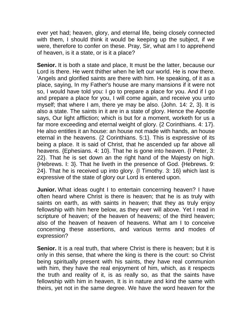ever yet had; heaven, glory, and eternal life, being closely connected with them, I should think it would be keeping up the subject, if we were, therefore to confer on these. Pray, Sir, what am I to apprehend of heaven, is it a state, or is it a place?

**Senior.** It is both a state and place, It must be the latter, because our Lord is there. He went thither when he left our world. He is now there. 'Angels and glorified saints are there with him. He speaking, of it as a place, saying, In my Father's house are many mansions if it were not so, I would have told you: I go to prepare a place for you. And if I go and prepare a place for you, I will come again, and receive you unto myself; that where I am, there ye may be also. {John. 14: 2, 3}. It is also a state. The saints in it are in a state of glory. Hence the Apostle says, Our light affliction; which is but for a moment, worketh for us a far more exceeding and eternal weight of glory. {2 Corinthians. 4: 17}. He also entitles it an house: an house not made with hands, an house eternal in the heavens. {2 Corinthians. 5:1}. This is expressive of its being a place. It is said of Christ, that he ascended up far above all heavens. {Ephesians. 4: 10}. That he is gone into heaven. {I Peter, 3: 22}. That he is set down an the right hand of the Majesty on high. {Hebrews. I: 3}. That he liveth in the presence of God. {Hebrews. 9: 24}. That he is received up into glory. {I Timothy. 3: 16} which last is expressive of the state of glory our Lord is entered upon.

**Junior.** What ideas ought I to entertain concerning heaven? I have often heard where Christ is there is heaven; that he is as truly with saints on earth, as with saints in heaven; that they as truly enjoy fellowship with him here below, as they ever will above. Yet I read in scripture of heaven; of the heaven of heavens; of the third heaven; also of the heaven of heaven of heavens. What am I to conceive concerning these assertions, and various terms and modes of expression?

**Senior.** It is a real truth, that where Christ is there is heaven; but it is only in this sense, that where the king is there is the court: so Christ being spiritually present with his saints, they have real communion with him, they have the real enjoyment of him, which, as it respects the truth and reality of it, is as really so, as that the saints have fellowship with him in heaven, It is in nature and kind the same with theirs, yet not in the same degree. We have the word heaven for the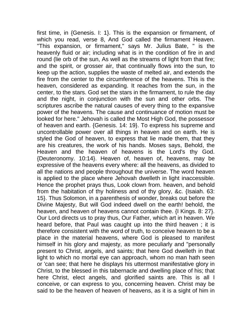first time, in {Genesis. I: 1}. This is the expansion or firmament, of which you read, verse 8, And God called the firmament Heaven. "This expansion, or firmament," says Mr. Julius Bate, " is the heavenly fluid or air; including what is in the condition of fire in and round (lie orb of the sun, As well as the streams of light from that fire; and the spirit, or grosser air, that continually flows into the sun, to keep up the action, supplies the waste of melted air, and extends the fire from the center to the circumference of the heavens. This is the heaven, considered as expanding. It reaches from the sun, in the center, to the stars. God set the stars in the firmament, to rule the day and the night, in conjunction with the sun and other orbs. The scriptures ascribe the natural causes of every thing to the expansive power of the heavens. The cause and continuance of motion must be looked for here." Jehovah is called the Most High God, the possessor of heaven and earth. {Genesis. 14: 19}. To express his supreme and uncontrollable power over all things in heaven and on earth. He is styled the God of heaven, to express that lie made them, that they are his creatures, the work of his hands. Moses says, Behold, the Heaven and the heaven of heavens is the Lord's thy God. {Deuteronomy. 10:14}. Heaven of, heaven of, heavens, may be expressive of the heavens every where: all the heavens, as divided to all the nations and people throughout the universe. The word heaven is applied to the place where Jehovah dwelleth in light inaccessible. Hence the prophet prays thus, Look clown from. heaven, and behold from the habitation of thy holiness and of thy glory, &c. {Isaiah. 63: 15}. Thus Solomon, in a parenthesis of wonder, breaks out before the Divine Majesty, But will God indeed dwell on the earth! behold, the heaven, and heaven of heavens cannot contain thee. {I Kings. 8: 27}. Our Lord directs us to pray thus, Our Father, which art in heaven. We heard before, that Paul was caught up into the third heaven ; it is therefore consistent with the word of truth, to conceive heaven to be a place in the material heavens, where God is pleased to manifest himself in his glory and majesty, as more peculiarly and "personally present to Christ, angels, and saints; that here God dwelleth in that light to which no mortal eye can approach, whom no man hath seen or 'can see; that here he displays his uttermost manifestative glory in Christ, to the blessed in this tabernacle and dwelling place of his; that here Christ, elect angels, and glorified saints are. This is all I conceive, or can express to you, concerning heaven. Christ may be said to be the heaven of heaven of heavens, as it is a sight of him in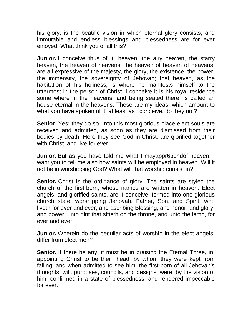his glory, is the beatific vision in which eternal glory consists, and immutable and endless blessings and blessedness are for ever enjoyed. What think you of all this?

**Junior.** I conceive thus of it: heaven, the airy heaven, the starry heaven, the heaven of heavens, the heaven of heaven of heavens, are all expressive of the majesty, the glory, the existence, the power, the immensity, the sovereignty of Jehovah; that heaven, as the habitation of his holiness, is where he manifests himself to the uttermost in the person of Christ. I conceive it is his royal residence some where in the heavens, and being seated there, is called an house eternal in the heavens. These are my ideas, which amount to what you have spoken of it, at least as I conceive, do they not?

**Senior.** Yes; they do so. Into this most glorious place elect souls are received and admitted, as soon as they are dismissed from their bodies by death. Here they see God in Christ, are glorified together with Christ, and live for ever.

**Junior.** But as you have told me what I mayappr6bendof heaven, I want you to tell me also how saints will be employed in heaven. Will it not be in worshipping God? What will that worship consist in?

**Senior.** Christ is the ordinance of glory. The saints are styled the church of the first-born, whose names are written in heaven. Elect angels, and glorified saints, are, I conceive, formed into one glorious church state, worshipping Jehovah, Father, Son, and Spirit, who liveth for ever and ever, and ascribing Blessing, and honor, and glory, and power, unto hint that sitteth on the throne, and unto the lamb, for ever and ever.

**Junior.** Wherein do the peculiar acts of worship in the elect angels, differ from elect men?

**Senior.** If there be any, it must be in praising the Eternal Three, in, appointing Christ to be their, head, by whom they were kept from falling; and when admitted to see him, the first-born of all Jehovah's thoughts, will, purposes, councils, and designs, were, by the vision of him, confirmed in a state of blessedness, and rendered impeccable for ever.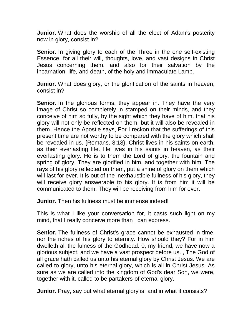**Junior.** What does the worship of all the elect of Adam's posterity now in glory, consist in?

**Senior.** In giving glory to each of the Three in the one self-existing Essence, for all their will, thoughts, love, and vast designs in Christ Jesus concerning them, and also for their salvation by the incarnation, life, and death, of the holy and immaculate Lamb.

**Junior.** What does glory, or the glorification of the saints in heaven, consist in?

**Senior.** In the glorious forms, they appear in. They have the very image of Christ so completely in stamped on their minds, and they conceive of him so fully, by the sight which they have of him, that his glory will not only be reflected on them, but it will also be revealed in them. Hence the Apostle says, For I reckon that the sufferings of this present time are not worthy to be compared with the glory which shall be revealed in us. {Romans. 8:18}. Christ lives in his saints on earth, as their everlasting life. He lives in his saints in heaven, as their everlasting glory. He is to them the Lord of glory: the fountain and spring of glory. They are glorified in him, and together with him. The rays of his glory reflected on them, put a shine of glory on them which will last for ever. It is out of the inexhaustible fullness of his glory, they will receive glory answerable to his glory. It is from him it will be communicated to them. They will be receiving from him for ever.

**Junior.** Then his fullness must be immense indeed!

This is what I like your conversation for, it casts such light on my mind, that I really conceive more than I can express.

**Senior.** The fullness of Christ's grace cannot be exhausted in time. nor the riches of his glory to eternity. How should they? For in him dwelleth all the fulness of the Godhead. 0, my friend, we have now a glorious subject, and we have a vast prospect before us. , The God of all grace hath called us unto his eternal glory by Christ Jesus. We are called to glory, unto his eternal glory, which is all in Christ Jesus. As sure as we are called into the kingdom of God's dear Son, we were, together with it, called to be partakers-of eternal glory.

**Junior.** Pray, say out what eternal glory is: and in what it consists?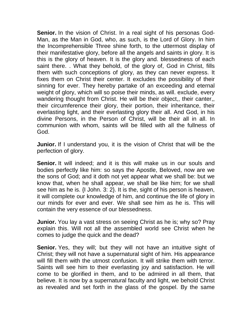**Senior.** In the vision of Christ. In a real sight of his personas God-Man, as the Man in God, who, as such, is the Lord of Glory. In him the Incomprehensible Three shine forth, to the uttermost display of their manifestative glory, before all the angels and saints in glory. It is this is the glory of heaven. It is the glory and. blessedness of each saint there. . What they behold, of the glory of, God in Christ, fills them with such conceptions of glory, as they can never express. It fixes them on Christ their center. It excludes the possibility of their sinning for ever. They hereby partake of an exceeding and eternal weight of glory, which will so poise their minds, as will. exclude, every wandering thought from Christ. He will be their object,, their canter,, their circumference their glory, their portion, their inheritance, their everlasting light, and their everlasting glory their all. And God, in his divine Persons, in the Person of Christ, will be their all in all. In communion with whom, saints will be filled with all the fullness of God.

**Junior.** If I understand you, it is the vision of Christ that will be the perfection of glory.

**Senior.** It will indeed; and it is this will make us in our souls and bodies perfectly like him: so says the Apostle, Beloved, now are we the sons of God; and it doth not yet appear what we shall be: but we know that, when he shall appear, we shall be like him; for we shall see him as he is. {I John. 3: 2}. It is the, sight of his person is heaven, it will complete our knowledge of him, and continue the life of glory in our minds for ever and ever. We shall see him as he is. This will contain the very essence of our blessedness.

**Junior.** You lay a vast stress on seeing Christ as he is; why so? Pray explain this. Will not all the assembled world see Christ when he comes to judge the quick and the dead?

**Senior.** Yes, they will; but they will not have an intuitive sight of Christ; they will not have a supernatural sight of him. His appearance will fill them with the utmost confusion. It will strike them with terror. Saints will see him to their everlasting joy and satisfaction. He will come to be glorified in them, and to be admired in all them, that believe. It is now by a supernatural faculty and light, we behold Christ as revealed and set forth in the glass of the gospel. By the same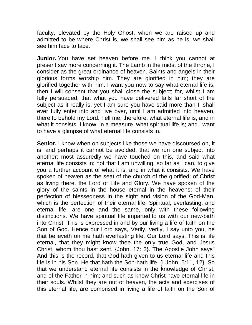faculty, elevated by the Holy Ghost, when we are raised up and admitted to be where Christ is, we shall see him as he is, we shall see him face to face.

**Junior.** You have set heaven before me. I think you cannot at present say more concerning it. The Lamb in the midst of the throne, I consider as the great ordinance of heaven. Saints and angels in their glorious forms worship him. They are glorified in him; they are glorified together with him. I want you now to say what eternal life is, then I will consent that you shall close the subject; for, whilst I am fully persuaded, that what you have delivered falls far short of the subject as it really is, yet I am sure you have said more than I ,shall ever fully enter into and live over, until I am admitted into heaven, there to behold my Lord. Tell me, therefore, what eternal life is, and in what it consists. I know, in a measure, what spiritual life is; and I want to have a glimpse of what eternal life consists in.

**Senior.** I know when on subjects like those we have discoursed on, it is, and perhaps it cannot be avoided, that we run one subject into another; most assuredly we have touched on this, and said what eternal life consists in; not that I am unwilling, so far as I can, to give you a further account of what it is, and in what it consists. We have spoken of heaven as the seat of the church of the glorified; of Christ as living there, the Lord of Life and Glory. We have spoken of the glory of the saints in the house eternal in the heavens: of their perfection of blessedness in the sight and vision of the God-Man, which is the perfection of their eternal life. Spiritual, everlasting, and eternal life, are one and the same, only with these following distinctions. We have spiritual life imparted to us with our new-birth into Christ. This is expressed in and by our living a life of faith on the Son of God. Hence our Lord says, Verily, verily, I say unto you, he that believeth on me hath everlasting life. Our Lord says, This is life eternal, that they might know thee the only true God, and Jesus Christ, whom thou hast sent. {John. 17: 3}. The Apostle John says" And this is the record, that God hath given to us eternal life and this life is in his Son. He that hath the Son-hath life. {I John. 5:11, 12}. So that we understand eternal life consists in the knowledge of Christ, and of the Father in him; and such as know Christ have eternal life in their souls. Whilst they are out of heaven, the acts and exercises of this eternal life, are comprised in living a life of faith on the Son of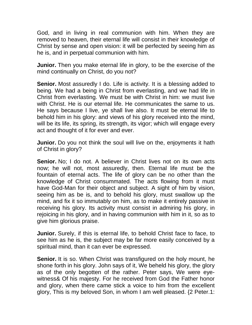God, and in living in real communion with him. When they are removed to heaven, their eternal life will consist in their knowledge of Christ by sense and open vision: it will be perfected by seeing him as he is, and in perpetual communion with him.

**Junior.** Then you make eternal life in glory, to be the exercise of the mind continually on Christ, do you not?

**Senior.** Most assuredly I do. Life is activity. It is a blessing added to being. We had a being in Christ from everlasting, and we had life in Christ from everlasting. We must be with Christ in him: we must live with Christ. He is our eternal life. He communicates the same to us. He says because I live, ye shall live also. It must be eternal life to behold him in his glory: and views of his glory received into the mind, will be its life, its spring, its strength, its vigor; which will engage every act and thought of it for ever and ever.

**Junior.** Do you not think the soul will live on the, enjoyments it hath of Christ in glory?

**Senior.** No: I do not. A believer in Christ lives not on its own acts now; he will not, most assuredly, then. Eternal life must be the fountain of eternal acts. The life of glory can be no other than the knowledge of Christ consummated. The acts flowing from it must have God-Man for their object and subject. A sight of him by vision, seeing him as be is, and to behold his glory, must swallow up the mind, and fix it so immutably on him, as to make it entirely passive in receiving his glory. Its activity must consist in admiring his glory, in rejoicing in his glory, and in having communion with him in it, so as to give him glorious praise.

**Junior.** Surely, if this is eternal life, to behold Christ face to face, to see him as he is, the subject may be far more easily conceived by a spiritual mind, than it can ever be expressed.

**Senior.** It is so. When Christ was transfigured on the holy mount, he shone forth in his glory. John says of it, We beheld his glory, the glory as of the only begotten of the rather. Peter says, We were eyewitness& Of his majesty. For he received from God the Father honor and glory, when there came stick a voice to him from the excellent glory, This is my beloved Son, in whom I am well pleased. {2 Peter.1: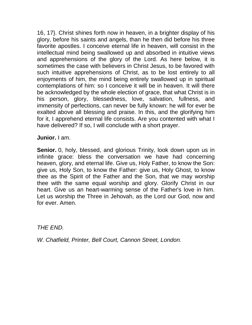16, 17}. Christ shines forth now in heaven, in a brighter display of his glory, before his saints and angels, than he then did before his three favorite apostles. I conceive eternal life in heaven, will consist in the intellectual mind being swallowed up and absorbed in intuitive views and apprehensions of the glory of the Lord. As here below, it is sometimes the case with believers in Christ Jesus, to be favored with such intuitive apprehensions of Christ, as to be lost entirely to all enjoyments of him, the mind being entirely swallowed up in spiritual contemplations of him: so I conceive it will be in heaven. It will there be acknowledged by the whole election of grace, that what Christ is in his person, glory, blessedness, love, salvation, fullness, and immensity of perfections, can never be fully known: he will for ever be exalted above all blessing and praise. In this, and the glorifying him for it, I apprehend eternal life consists. Are you contented with what I have delivered? If so, I will conclude with a short prayer.

**Junior.** I am.

**Senior.** 0, holy, blessed, and glorious Trinity, look down upon us in infinite grace: bless the conversation we have had concerning heaven, glory, and eternal life. Give us, Holy Father, to know the Son: give us, Holy Son, to know the Father: give us, Holy Ghost, to know thee as the Spirit of the Father and the Son, that we may worship thee with the same equal worship and glory. Glorify Christ in our heart. Give us an heart-warming sense of the Father's love in him. Let us worship the Three in Jehovah, as the Lord our God, now and for ever. Amen.

*THE END.*

*W. Chatfield, Printer, Bell Court, Cannon Street, London.*